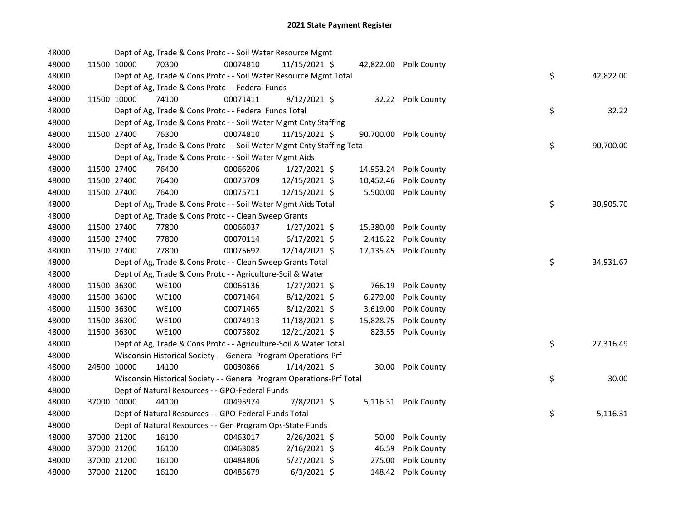| 48000 |             | Dept of Ag, Trade & Cons Protc - - Soil Water Resource Mgmt            |          |                |           |                       |    |           |
|-------|-------------|------------------------------------------------------------------------|----------|----------------|-----------|-----------------------|----|-----------|
| 48000 | 11500 10000 | 70300                                                                  | 00074810 | 11/15/2021 \$  |           | 42,822.00 Polk County |    |           |
| 48000 |             | Dept of Ag, Trade & Cons Protc - - Soil Water Resource Mgmt Total      |          |                |           |                       | \$ | 42,822.00 |
| 48000 |             | Dept of Ag, Trade & Cons Protc - - Federal Funds                       |          |                |           |                       |    |           |
| 48000 | 11500 10000 | 74100                                                                  | 00071411 | $8/12/2021$ \$ |           | 32.22 Polk County     |    |           |
| 48000 |             | Dept of Ag, Trade & Cons Protc - - Federal Funds Total                 |          |                |           |                       | \$ | 32.22     |
| 48000 |             | Dept of Ag, Trade & Cons Protc - - Soil Water Mgmt Cnty Staffing       |          |                |           |                       |    |           |
| 48000 | 11500 27400 | 76300                                                                  | 00074810 | 11/15/2021 \$  |           | 90,700.00 Polk County |    |           |
| 48000 |             | Dept of Ag, Trade & Cons Protc - - Soil Water Mgmt Cnty Staffing Total |          |                |           |                       | \$ | 90,700.00 |
| 48000 |             | Dept of Ag, Trade & Cons Protc - - Soil Water Mgmt Aids                |          |                |           |                       |    |           |
| 48000 | 11500 27400 | 76400                                                                  | 00066206 | $1/27/2021$ \$ | 14,953.24 | Polk County           |    |           |
| 48000 | 11500 27400 | 76400                                                                  | 00075709 | 12/15/2021 \$  | 10,452.46 | Polk County           |    |           |
| 48000 | 11500 27400 | 76400                                                                  | 00075711 | 12/15/2021 \$  | 5,500.00  | Polk County           |    |           |
| 48000 |             | Dept of Ag, Trade & Cons Protc - - Soil Water Mgmt Aids Total          |          |                |           |                       | \$ | 30,905.70 |
| 48000 |             | Dept of Ag, Trade & Cons Protc - - Clean Sweep Grants                  |          |                |           |                       |    |           |
| 48000 | 11500 27400 | 77800                                                                  | 00066037 | $1/27/2021$ \$ | 15,380.00 | Polk County           |    |           |
| 48000 | 11500 27400 | 77800                                                                  | 00070114 | $6/17/2021$ \$ | 2,416.22  | Polk County           |    |           |
| 48000 | 11500 27400 | 77800                                                                  | 00075692 | 12/14/2021 \$  | 17,135.45 | Polk County           |    |           |
| 48000 |             | Dept of Ag, Trade & Cons Protc - - Clean Sweep Grants Total            |          |                |           |                       | \$ | 34,931.67 |
| 48000 |             | Dept of Ag, Trade & Cons Protc - - Agriculture-Soil & Water            |          |                |           |                       |    |           |
| 48000 | 11500 36300 | <b>WE100</b>                                                           | 00066136 | $1/27/2021$ \$ | 766.19    | Polk County           |    |           |
| 48000 | 11500 36300 | <b>WE100</b>                                                           | 00071464 | $8/12/2021$ \$ | 6,279.00  | Polk County           |    |           |
| 48000 | 11500 36300 | <b>WE100</b>                                                           | 00071465 | $8/12/2021$ \$ | 3,619.00  | Polk County           |    |           |
| 48000 | 11500 36300 | <b>WE100</b>                                                           | 00074913 | 11/18/2021 \$  | 15,828.75 | Polk County           |    |           |
| 48000 | 11500 36300 | <b>WE100</b>                                                           | 00075802 | 12/21/2021 \$  | 823.55    | Polk County           |    |           |
| 48000 |             | Dept of Ag, Trade & Cons Protc - - Agriculture-Soil & Water Total      |          |                |           |                       | \$ | 27,316.49 |
| 48000 |             | Wisconsin Historical Society - - General Program Operations-Prf        |          |                |           |                       |    |           |
| 48000 | 24500 10000 | 14100                                                                  | 00030866 | $1/14/2021$ \$ |           | 30.00 Polk County     |    |           |
| 48000 |             | Wisconsin Historical Society - - General Program Operations-Prf Total  |          |                |           |                       | \$ | 30.00     |
| 48000 |             | Dept of Natural Resources - - GPO-Federal Funds                        |          |                |           |                       |    |           |
| 48000 | 37000 10000 | 44100                                                                  | 00495974 | 7/8/2021 \$    |           | 5,116.31 Polk County  |    |           |
| 48000 |             | Dept of Natural Resources - - GPO-Federal Funds Total                  |          |                |           |                       | \$ | 5,116.31  |
| 48000 |             | Dept of Natural Resources - - Gen Program Ops-State Funds              |          |                |           |                       |    |           |
| 48000 | 37000 21200 | 16100                                                                  | 00463017 | 2/26/2021 \$   | 50.00     | Polk County           |    |           |
| 48000 | 37000 21200 | 16100                                                                  | 00463085 | 2/16/2021 \$   | 46.59     | Polk County           |    |           |
| 48000 | 37000 21200 | 16100                                                                  | 00484806 | $5/27/2021$ \$ | 275.00    | Polk County           |    |           |
| 48000 | 37000 21200 | 16100                                                                  | 00485679 | $6/3/2021$ \$  | 148.42    | Polk County           |    |           |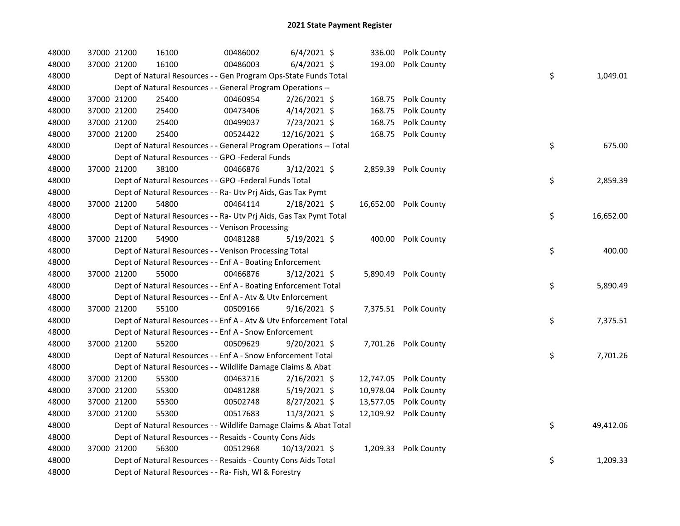| 48000 | 37000 21200 | 16100 | 00486002                                                           | $6/4/2021$ \$  |           | 336.00 Polk County    |    |           |
|-------|-------------|-------|--------------------------------------------------------------------|----------------|-----------|-----------------------|----|-----------|
| 48000 | 37000 21200 | 16100 | 00486003                                                           | $6/4/2021$ \$  | 193.00    | Polk County           |    |           |
| 48000 |             |       | Dept of Natural Resources - - Gen Program Ops-State Funds Total    |                |           |                       | \$ | 1,049.01  |
| 48000 |             |       | Dept of Natural Resources - - General Program Operations --        |                |           |                       |    |           |
| 48000 | 37000 21200 | 25400 | 00460954                                                           | 2/26/2021 \$   |           | 168.75 Polk County    |    |           |
| 48000 | 37000 21200 | 25400 | 00473406                                                           | $4/14/2021$ \$ | 168.75    | Polk County           |    |           |
| 48000 | 37000 21200 | 25400 | 00499037                                                           | 7/23/2021 \$   | 168.75    | Polk County           |    |           |
| 48000 | 37000 21200 | 25400 | 00524422                                                           | 12/16/2021 \$  |           | 168.75 Polk County    |    |           |
| 48000 |             |       | Dept of Natural Resources - - General Program Operations -- Total  |                |           |                       | \$ | 675.00    |
| 48000 |             |       | Dept of Natural Resources - - GPO -Federal Funds                   |                |           |                       |    |           |
| 48000 | 37000 21200 | 38100 | 00466876                                                           | 3/12/2021 \$   | 2,859.39  | Polk County           |    |           |
| 48000 |             |       | Dept of Natural Resources - - GPO -Federal Funds Total             |                |           |                       | \$ | 2,859.39  |
| 48000 |             |       | Dept of Natural Resources - - Ra- Utv Prj Aids, Gas Tax Pymt       |                |           |                       |    |           |
| 48000 | 37000 21200 | 54800 | 00464114                                                           | $2/18/2021$ \$ |           | 16,652.00 Polk County |    |           |
| 48000 |             |       | Dept of Natural Resources - - Ra- Utv Prj Aids, Gas Tax Pymt Total |                |           |                       | \$ | 16,652.00 |
| 48000 |             |       | Dept of Natural Resources - - Venison Processing                   |                |           |                       |    |           |
| 48000 | 37000 21200 | 54900 | 00481288                                                           | 5/19/2021 \$   |           | 400.00 Polk County    |    |           |
| 48000 |             |       | Dept of Natural Resources - - Venison Processing Total             |                |           |                       | \$ | 400.00    |
| 48000 |             |       | Dept of Natural Resources - - Enf A - Boating Enforcement          |                |           |                       |    |           |
| 48000 | 37000 21200 | 55000 | 00466876                                                           | 3/12/2021 \$   |           | 5,890.49 Polk County  |    |           |
| 48000 |             |       | Dept of Natural Resources - - Enf A - Boating Enforcement Total    |                |           |                       | \$ | 5,890.49  |
| 48000 |             |       | Dept of Natural Resources - - Enf A - Atv & Utv Enforcement        |                |           |                       |    |           |
| 48000 | 37000 21200 | 55100 | 00509166                                                           | 9/16/2021 \$   |           | 7,375.51 Polk County  |    |           |
| 48000 |             |       | Dept of Natural Resources - - Enf A - Atv & Utv Enforcement Total  |                |           |                       | \$ | 7,375.51  |
| 48000 |             |       | Dept of Natural Resources - - Enf A - Snow Enforcement             |                |           |                       |    |           |
| 48000 | 37000 21200 | 55200 | 00509629                                                           | $9/20/2021$ \$ |           | 7,701.26 Polk County  |    |           |
| 48000 |             |       | Dept of Natural Resources - - Enf A - Snow Enforcement Total       |                |           |                       | \$ | 7,701.26  |
| 48000 |             |       | Dept of Natural Resources - - Wildlife Damage Claims & Abat        |                |           |                       |    |           |
| 48000 | 37000 21200 | 55300 | 00463716                                                           | $2/16/2021$ \$ |           | 12,747.05 Polk County |    |           |
| 48000 | 37000 21200 | 55300 | 00481288                                                           | $5/19/2021$ \$ | 10,978.04 | Polk County           |    |           |
| 48000 | 37000 21200 | 55300 | 00502748                                                           | 8/27/2021 \$   | 13,577.05 | Polk County           |    |           |
| 48000 | 37000 21200 | 55300 | 00517683                                                           | 11/3/2021 \$   |           | 12,109.92 Polk County |    |           |
| 48000 |             |       | Dept of Natural Resources - - Wildlife Damage Claims & Abat Total  |                |           |                       | \$ | 49,412.06 |
| 48000 |             |       | Dept of Natural Resources - - Resaids - County Cons Aids           |                |           |                       |    |           |
| 48000 | 37000 21200 | 56300 | 00512968                                                           | 10/13/2021 \$  |           | 1,209.33 Polk County  |    |           |
| 48000 |             |       | Dept of Natural Resources - - Resaids - County Cons Aids Total     |                |           |                       | \$ | 1,209.33  |
| 48000 |             |       | Dept of Natural Resources - - Ra- Fish, WI & Forestry              |                |           |                       |    |           |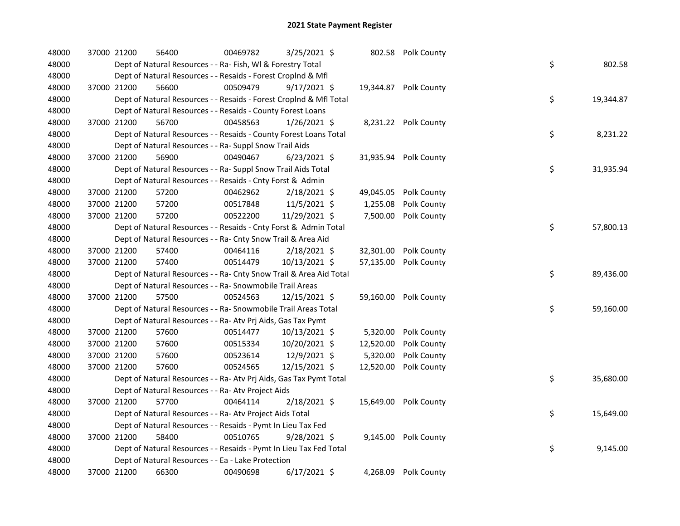| 48000 |             | 37000 21200 | 56400                                                              | 00469782 | 3/25/2021 \$   | 802.58    | Polk County           |    |           |
|-------|-------------|-------------|--------------------------------------------------------------------|----------|----------------|-----------|-----------------------|----|-----------|
| 48000 |             |             | Dept of Natural Resources - - Ra- Fish, WI & Forestry Total        |          |                |           |                       | \$ | 802.58    |
| 48000 |             |             | Dept of Natural Resources - - Resaids - Forest CropInd & Mfl       |          |                |           |                       |    |           |
| 48000 |             | 37000 21200 | 56600                                                              | 00509479 | 9/17/2021 \$   |           | 19,344.87 Polk County |    |           |
| 48000 |             |             | Dept of Natural Resources - - Resaids - Forest CropInd & Mfl Total |          |                |           |                       | \$ | 19,344.87 |
| 48000 |             |             | Dept of Natural Resources - - Resaids - County Forest Loans        |          |                |           |                       |    |           |
| 48000 |             | 37000 21200 | 56700                                                              | 00458563 | $1/26/2021$ \$ |           | 8,231.22 Polk County  |    |           |
| 48000 |             |             | Dept of Natural Resources - - Resaids - County Forest Loans Total  |          |                |           |                       | \$ | 8,231.22  |
| 48000 |             |             | Dept of Natural Resources - - Ra- Suppl Snow Trail Aids            |          |                |           |                       |    |           |
| 48000 |             | 37000 21200 | 56900                                                              | 00490467 | $6/23/2021$ \$ |           | 31,935.94 Polk County |    |           |
| 48000 |             |             | Dept of Natural Resources - - Ra- Suppl Snow Trail Aids Total      |          |                |           |                       | \$ | 31,935.94 |
| 48000 |             |             | Dept of Natural Resources - - Resaids - Cnty Forst & Admin         |          |                |           |                       |    |           |
| 48000 | 37000 21200 |             | 57200                                                              | 00462962 | $2/18/2021$ \$ | 49,045.05 | Polk County           |    |           |
| 48000 |             | 37000 21200 | 57200                                                              | 00517848 | 11/5/2021 \$   | 1,255.08  | Polk County           |    |           |
| 48000 |             | 37000 21200 | 57200                                                              | 00522200 | 11/29/2021 \$  | 7,500.00  | Polk County           |    |           |
| 48000 |             |             | Dept of Natural Resources - - Resaids - Cnty Forst & Admin Total   |          |                |           |                       | \$ | 57,800.13 |
| 48000 |             |             | Dept of Natural Resources - - Ra- Cnty Snow Trail & Area Aid       |          |                |           |                       |    |           |
| 48000 |             | 37000 21200 | 57400                                                              | 00464116 | 2/18/2021 \$   | 32,301.00 | Polk County           |    |           |
| 48000 |             | 37000 21200 | 57400                                                              | 00514479 | 10/13/2021 \$  | 57,135.00 | Polk County           |    |           |
| 48000 |             |             | Dept of Natural Resources - - Ra- Cnty Snow Trail & Area Aid Total |          |                |           |                       | \$ | 89,436.00 |
| 48000 |             |             | Dept of Natural Resources - - Ra- Snowmobile Trail Areas           |          |                |           |                       |    |           |
| 48000 |             | 37000 21200 | 57500                                                              | 00524563 | 12/15/2021 \$  |           | 59,160.00 Polk County |    |           |
| 48000 |             |             | Dept of Natural Resources - - Ra- Snowmobile Trail Areas Total     |          |                |           |                       | \$ | 59,160.00 |
| 48000 |             |             | Dept of Natural Resources - - Ra- Atv Prj Aids, Gas Tax Pymt       |          |                |           |                       |    |           |
| 48000 | 37000 21200 |             | 57600                                                              | 00514477 | 10/13/2021 \$  | 5,320.00  | Polk County           |    |           |
| 48000 |             | 37000 21200 | 57600                                                              | 00515334 | 10/20/2021 \$  | 12,520.00 | Polk County           |    |           |
| 48000 |             | 37000 21200 | 57600                                                              | 00523614 | 12/9/2021 \$   | 5,320.00  | Polk County           |    |           |
| 48000 |             | 37000 21200 | 57600                                                              | 00524565 | 12/15/2021 \$  | 12,520.00 | Polk County           |    |           |
| 48000 |             |             | Dept of Natural Resources - - Ra- Atv Prj Aids, Gas Tax Pymt Total |          |                |           |                       | \$ | 35,680.00 |
| 48000 |             |             | Dept of Natural Resources - - Ra- Atv Project Aids                 |          |                |           |                       |    |           |
| 48000 |             | 37000 21200 | 57700                                                              | 00464114 | $2/18/2021$ \$ | 15,649.00 | Polk County           |    |           |
| 48000 |             |             | Dept of Natural Resources - - Ra- Atv Project Aids Total           |          |                |           |                       | \$ | 15,649.00 |
| 48000 |             |             | Dept of Natural Resources - - Resaids - Pymt In Lieu Tax Fed       |          |                |           |                       |    |           |
| 48000 |             | 37000 21200 | 58400                                                              | 00510765 | 9/28/2021 \$   |           | 9,145.00 Polk County  |    |           |
| 48000 |             |             | Dept of Natural Resources - - Resaids - Pymt In Lieu Tax Fed Total |          |                |           |                       | \$ | 9,145.00  |
| 48000 |             |             | Dept of Natural Resources - - Ea - Lake Protection                 |          |                |           |                       |    |           |
| 48000 |             | 37000 21200 | 66300                                                              | 00490698 | $6/17/2021$ \$ |           | 4,268.09 Polk County  |    |           |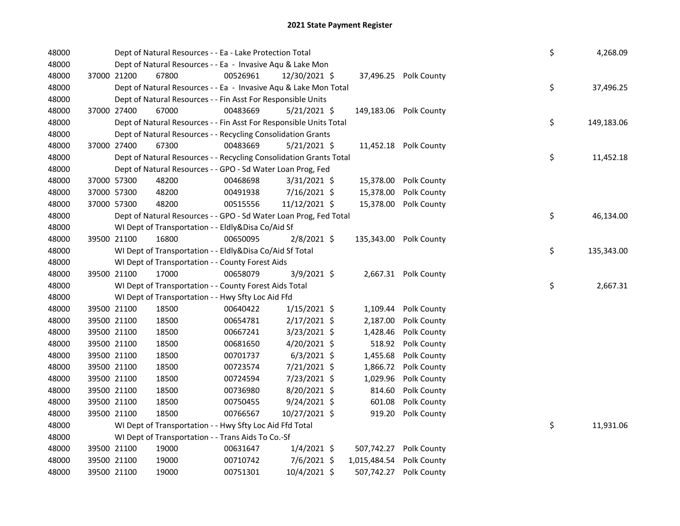| 48000 |             | Dept of Natural Resources - - Ea - Lake Protection Total           |          |                |  |                          |                        |  |    | 4,268.09   |
|-------|-------------|--------------------------------------------------------------------|----------|----------------|--|--------------------------|------------------------|--|----|------------|
| 48000 |             | Dept of Natural Resources - - Ea - Invasive Aqu & Lake Mon         |          |                |  |                          |                        |  |    |            |
| 48000 | 37000 21200 | 67800                                                              | 00526961 | 12/30/2021 \$  |  |                          | 37,496.25 Polk County  |  |    |            |
| 48000 |             | Dept of Natural Resources - - Ea - Invasive Aqu & Lake Mon Total   |          |                |  |                          |                        |  | \$ | 37,496.25  |
| 48000 |             | Dept of Natural Resources - - Fin Asst For Responsible Units       |          |                |  |                          |                        |  |    |            |
| 48000 | 37000 27400 | 67000                                                              | 00483669 | $5/21/2021$ \$ |  |                          | 149,183.06 Polk County |  |    |            |
| 48000 |             | Dept of Natural Resources - - Fin Asst For Responsible Units Total |          |                |  |                          |                        |  | \$ | 149,183.06 |
| 48000 |             | Dept of Natural Resources - - Recycling Consolidation Grants       |          |                |  |                          |                        |  |    |            |
| 48000 | 37000 27400 | 67300                                                              | 00483669 | 5/21/2021 \$   |  |                          | 11,452.18 Polk County  |  |    |            |
| 48000 |             | Dept of Natural Resources - - Recycling Consolidation Grants Total |          |                |  |                          |                        |  | \$ | 11,452.18  |
| 48000 |             | Dept of Natural Resources - - GPO - Sd Water Loan Prog, Fed        |          |                |  |                          |                        |  |    |            |
| 48000 | 37000 57300 | 48200                                                              | 00468698 | $3/31/2021$ \$ |  | 15,378.00                | Polk County            |  |    |            |
| 48000 | 37000 57300 | 48200                                                              | 00491938 | 7/16/2021 \$   |  | 15,378.00                | Polk County            |  |    |            |
| 48000 | 37000 57300 | 48200                                                              | 00515556 | 11/12/2021 \$  |  | 15,378.00                | Polk County            |  |    |            |
| 48000 |             | Dept of Natural Resources - - GPO - Sd Water Loan Prog, Fed Total  |          |                |  |                          |                        |  | \$ | 46,134.00  |
| 48000 |             | WI Dept of Transportation - - Eldly&Disa Co/Aid Sf                 |          |                |  |                          |                        |  |    |            |
| 48000 | 39500 21100 | 16800                                                              | 00650095 | 2/8/2021 \$    |  |                          | 135,343.00 Polk County |  |    |            |
| 48000 |             | WI Dept of Transportation - - Eldly&Disa Co/Aid Sf Total           |          |                |  |                          |                        |  | \$ | 135,343.00 |
| 48000 |             | WI Dept of Transportation - - County Forest Aids                   |          |                |  |                          |                        |  |    |            |
| 48000 | 39500 21100 | 17000                                                              | 00658079 | 3/9/2021 \$    |  |                          | 2,667.31 Polk County   |  |    |            |
| 48000 |             | WI Dept of Transportation - - County Forest Aids Total             |          |                |  |                          |                        |  | \$ | 2,667.31   |
| 48000 |             | WI Dept of Transportation - - Hwy Sfty Loc Aid Ffd                 |          |                |  |                          |                        |  |    |            |
| 48000 | 39500 21100 | 18500                                                              | 00640422 | $1/15/2021$ \$ |  | 1,109.44                 | Polk County            |  |    |            |
| 48000 | 39500 21100 | 18500                                                              | 00654781 | $2/17/2021$ \$ |  | 2,187.00                 | Polk County            |  |    |            |
| 48000 | 39500 21100 | 18500                                                              | 00667241 | $3/23/2021$ \$ |  | 1,428.46                 | Polk County            |  |    |            |
| 48000 | 39500 21100 | 18500                                                              | 00681650 | $4/20/2021$ \$ |  | 518.92                   | Polk County            |  |    |            |
| 48000 | 39500 21100 | 18500                                                              | 00701737 | $6/3/2021$ \$  |  | 1,455.68                 | Polk County            |  |    |            |
| 48000 | 39500 21100 | 18500                                                              | 00723574 | 7/21/2021 \$   |  |                          | 1,866.72 Polk County   |  |    |            |
| 48000 | 39500 21100 | 18500                                                              | 00724594 | 7/23/2021 \$   |  | 1,029.96                 | Polk County            |  |    |            |
| 48000 | 39500 21100 | 18500                                                              | 00736980 | 8/20/2021 \$   |  | 814.60                   | Polk County            |  |    |            |
| 48000 | 39500 21100 | 18500                                                              | 00750455 | $9/24/2021$ \$ |  | 601.08                   | Polk County            |  |    |            |
| 48000 | 39500 21100 | 18500                                                              | 00766567 | 10/27/2021 \$  |  | 919.20                   | Polk County            |  |    |            |
| 48000 |             | WI Dept of Transportation - - Hwy Sfty Loc Aid Ffd Total           |          |                |  |                          |                        |  | \$ | 11,931.06  |
| 48000 |             | WI Dept of Transportation - - Trans Aids To Co.-Sf                 |          |                |  |                          |                        |  |    |            |
| 48000 | 39500 21100 | 19000                                                              | 00631647 | $1/4/2021$ \$  |  | 507,742.27               | Polk County            |  |    |            |
| 48000 | 39500 21100 | 19000                                                              | 00710742 | $7/6/2021$ \$  |  | 1,015,484.54 Polk County |                        |  |    |            |
| 48000 | 39500 21100 | 19000                                                              | 00751301 | 10/4/2021 \$   |  |                          | 507,742.27 Polk County |  |    |            |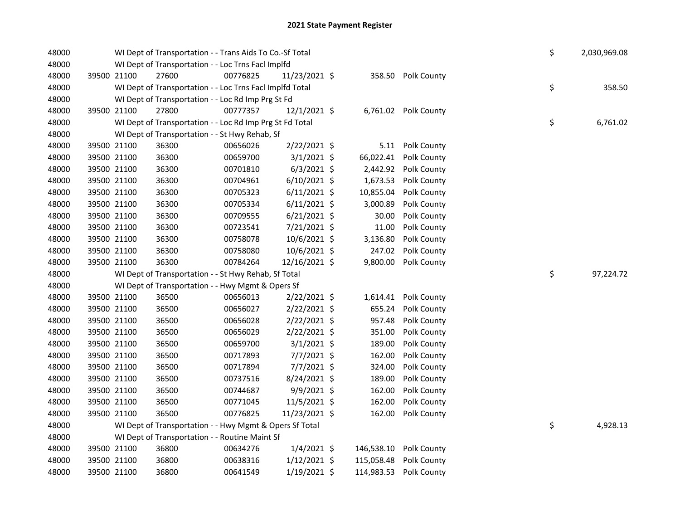| 48000 |             | WI Dept of Transportation - - Trans Aids To Co.-Sf Total |          |                |  |            |                      |  |    | 2,030,969.08 |
|-------|-------------|----------------------------------------------------------|----------|----------------|--|------------|----------------------|--|----|--------------|
| 48000 |             | WI Dept of Transportation - - Loc Trns Facl Implfd       |          |                |  |            |                      |  |    |              |
| 48000 | 39500 21100 | 27600                                                    | 00776825 | 11/23/2021 \$  |  |            | 358.50 Polk County   |  |    |              |
| 48000 |             | WI Dept of Transportation - - Loc Trns Facl Implfd Total |          |                |  |            |                      |  | \$ | 358.50       |
| 48000 |             | WI Dept of Transportation - - Loc Rd Imp Prg St Fd       |          |                |  |            |                      |  |    |              |
| 48000 | 39500 21100 | 27800                                                    | 00777357 | 12/1/2021 \$   |  |            | 6,761.02 Polk County |  |    |              |
| 48000 |             | WI Dept of Transportation - - Loc Rd Imp Prg St Fd Total |          |                |  |            |                      |  | \$ | 6,761.02     |
| 48000 |             | WI Dept of Transportation - - St Hwy Rehab, Sf           |          |                |  |            |                      |  |    |              |
| 48000 | 39500 21100 | 36300                                                    | 00656026 | 2/22/2021 \$   |  |            | 5.11 Polk County     |  |    |              |
| 48000 | 39500 21100 | 36300                                                    | 00659700 | $3/1/2021$ \$  |  | 66,022.41  | Polk County          |  |    |              |
| 48000 | 39500 21100 | 36300                                                    | 00701810 | $6/3/2021$ \$  |  | 2,442.92   | Polk County          |  |    |              |
| 48000 | 39500 21100 | 36300                                                    | 00704961 | $6/10/2021$ \$ |  | 1,673.53   | Polk County          |  |    |              |
| 48000 | 39500 21100 | 36300                                                    | 00705323 | $6/11/2021$ \$ |  | 10,855.04  | Polk County          |  |    |              |
| 48000 | 39500 21100 | 36300                                                    | 00705334 | $6/11/2021$ \$ |  | 3,000.89   | Polk County          |  |    |              |
| 48000 | 39500 21100 | 36300                                                    | 00709555 | $6/21/2021$ \$ |  | 30.00      | Polk County          |  |    |              |
| 48000 | 39500 21100 | 36300                                                    | 00723541 | 7/21/2021 \$   |  | 11.00      | Polk County          |  |    |              |
| 48000 | 39500 21100 | 36300                                                    | 00758078 | 10/6/2021 \$   |  | 3,136.80   | Polk County          |  |    |              |
| 48000 | 39500 21100 | 36300                                                    | 00758080 | 10/6/2021 \$   |  | 247.02     | Polk County          |  |    |              |
| 48000 | 39500 21100 | 36300                                                    | 00784264 | 12/16/2021 \$  |  | 9,800.00   | Polk County          |  |    |              |
| 48000 |             | WI Dept of Transportation - - St Hwy Rehab, Sf Total     |          |                |  |            |                      |  | \$ | 97,224.72    |
| 48000 |             | WI Dept of Transportation - - Hwy Mgmt & Opers Sf        |          |                |  |            |                      |  |    |              |
| 48000 | 39500 21100 | 36500                                                    | 00656013 | $2/22/2021$ \$ |  | 1,614.41   | Polk County          |  |    |              |
| 48000 | 39500 21100 | 36500                                                    | 00656027 | 2/22/2021 \$   |  | 655.24     | Polk County          |  |    |              |
| 48000 | 39500 21100 | 36500                                                    | 00656028 | $2/22/2021$ \$ |  | 957.48     | Polk County          |  |    |              |
| 48000 | 39500 21100 | 36500                                                    | 00656029 | 2/22/2021 \$   |  | 351.00     | Polk County          |  |    |              |
| 48000 | 39500 21100 | 36500                                                    | 00659700 | $3/1/2021$ \$  |  | 189.00     | Polk County          |  |    |              |
| 48000 | 39500 21100 | 36500                                                    | 00717893 | 7/7/2021 \$    |  | 162.00     | Polk County          |  |    |              |
| 48000 | 39500 21100 | 36500                                                    | 00717894 | 7/7/2021 \$    |  | 324.00     | Polk County          |  |    |              |
| 48000 | 39500 21100 | 36500                                                    | 00737516 | 8/24/2021 \$   |  | 189.00     | Polk County          |  |    |              |
| 48000 | 39500 21100 | 36500                                                    | 00744687 | $9/9/2021$ \$  |  | 162.00     | Polk County          |  |    |              |
| 48000 | 39500 21100 | 36500                                                    | 00771045 | 11/5/2021 \$   |  | 162.00     | Polk County          |  |    |              |
| 48000 | 39500 21100 | 36500                                                    | 00776825 | 11/23/2021 \$  |  | 162.00     | Polk County          |  |    |              |
| 48000 |             | WI Dept of Transportation - - Hwy Mgmt & Opers Sf Total  |          |                |  |            |                      |  | \$ | 4,928.13     |
| 48000 |             | WI Dept of Transportation - - Routine Maint Sf           |          |                |  |            |                      |  |    |              |
| 48000 | 39500 21100 | 36800                                                    | 00634276 | $1/4/2021$ \$  |  | 146,538.10 | Polk County          |  |    |              |
| 48000 | 39500 21100 | 36800                                                    | 00638316 | $1/12/2021$ \$ |  | 115,058.48 | Polk County          |  |    |              |
| 48000 | 39500 21100 | 36800                                                    | 00641549 | $1/19/2021$ \$ |  | 114,983.53 | Polk County          |  |    |              |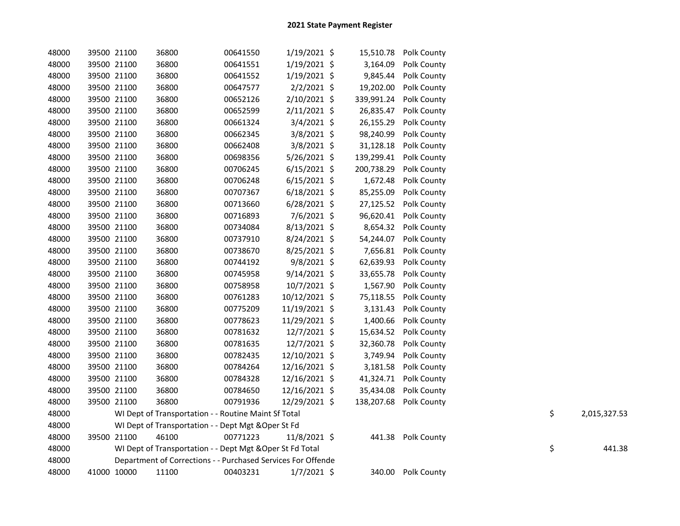| 48000 | 39500 21100 | 36800 | 00641550                                                     | $1/19/2021$ \$ | 15,510.78  | Polk County |    |              |
|-------|-------------|-------|--------------------------------------------------------------|----------------|------------|-------------|----|--------------|
| 48000 | 39500 21100 | 36800 | 00641551                                                     | $1/19/2021$ \$ | 3,164.09   | Polk County |    |              |
| 48000 | 39500 21100 | 36800 | 00641552                                                     | $1/19/2021$ \$ | 9,845.44   | Polk County |    |              |
| 48000 | 39500 21100 | 36800 | 00647577                                                     | $2/2/2021$ \$  | 19,202.00  | Polk County |    |              |
| 48000 | 39500 21100 | 36800 | 00652126                                                     | 2/10/2021 \$   | 339,991.24 | Polk County |    |              |
| 48000 | 39500 21100 | 36800 | 00652599                                                     | $2/11/2021$ \$ | 26,835.47  | Polk County |    |              |
| 48000 | 39500 21100 | 36800 | 00661324                                                     | 3/4/2021 \$    | 26,155.29  | Polk County |    |              |
| 48000 | 39500 21100 | 36800 | 00662345                                                     | $3/8/2021$ \$  | 98,240.99  | Polk County |    |              |
| 48000 | 39500 21100 | 36800 | 00662408                                                     | 3/8/2021 \$    | 31,128.18  | Polk County |    |              |
| 48000 | 39500 21100 | 36800 | 00698356                                                     | $5/26/2021$ \$ | 139,299.41 | Polk County |    |              |
| 48000 | 39500 21100 | 36800 | 00706245                                                     | $6/15/2021$ \$ | 200,738.29 | Polk County |    |              |
| 48000 | 39500 21100 | 36800 | 00706248                                                     | $6/15/2021$ \$ | 1,672.48   | Polk County |    |              |
| 48000 | 39500 21100 | 36800 | 00707367                                                     | $6/18/2021$ \$ | 85,255.09  | Polk County |    |              |
| 48000 | 39500 21100 | 36800 | 00713660                                                     | $6/28/2021$ \$ | 27,125.52  | Polk County |    |              |
| 48000 | 39500 21100 | 36800 | 00716893                                                     | 7/6/2021 \$    | 96,620.41  | Polk County |    |              |
| 48000 | 39500 21100 | 36800 | 00734084                                                     | 8/13/2021 \$   | 8,654.32   | Polk County |    |              |
| 48000 | 39500 21100 | 36800 | 00737910                                                     | 8/24/2021 \$   | 54,244.07  | Polk County |    |              |
| 48000 | 39500 21100 | 36800 | 00738670                                                     | 8/25/2021 \$   | 7,656.81   | Polk County |    |              |
| 48000 | 39500 21100 | 36800 | 00744192                                                     | 9/8/2021 \$    | 62,639.93  | Polk County |    |              |
| 48000 | 39500 21100 | 36800 | 00745958                                                     | 9/14/2021 \$   | 33,655.78  | Polk County |    |              |
| 48000 | 39500 21100 | 36800 | 00758958                                                     | 10/7/2021 \$   | 1,567.90   | Polk County |    |              |
| 48000 | 39500 21100 | 36800 | 00761283                                                     | 10/12/2021 \$  | 75,118.55  | Polk County |    |              |
| 48000 | 39500 21100 | 36800 | 00775209                                                     | 11/19/2021 \$  | 3,131.43   | Polk County |    |              |
| 48000 | 39500 21100 | 36800 | 00778623                                                     | 11/29/2021 \$  | 1,400.66   | Polk County |    |              |
| 48000 | 39500 21100 | 36800 | 00781632                                                     | 12/7/2021 \$   | 15,634.52  | Polk County |    |              |
| 48000 | 39500 21100 | 36800 | 00781635                                                     | 12/7/2021 \$   | 32,360.78  | Polk County |    |              |
| 48000 | 39500 21100 | 36800 | 00782435                                                     | 12/10/2021 \$  | 3,749.94   | Polk County |    |              |
| 48000 | 39500 21100 | 36800 | 00784264                                                     | 12/16/2021 \$  | 3,181.58   | Polk County |    |              |
| 48000 | 39500 21100 | 36800 | 00784328                                                     | 12/16/2021 \$  | 41,324.71  | Polk County |    |              |
| 48000 | 39500 21100 | 36800 | 00784650                                                     | 12/16/2021 \$  | 35,434.08  | Polk County |    |              |
| 48000 | 39500 21100 | 36800 | 00791936                                                     | 12/29/2021 \$  | 138,207.68 | Polk County |    |              |
| 48000 |             |       | WI Dept of Transportation - - Routine Maint Sf Total         |                |            |             | \$ | 2,015,327.53 |
| 48000 |             |       | WI Dept of Transportation - - Dept Mgt & Oper St Fd          |                |            |             |    |              |
| 48000 | 39500 21100 | 46100 | 00771223                                                     | 11/8/2021 \$   | 441.38     | Polk County |    |              |
| 48000 |             |       | WI Dept of Transportation - - Dept Mgt & Oper St Fd Total    |                |            |             | \$ | 441.38       |
| 48000 |             |       | Department of Corrections - - Purchased Services For Offende |                |            |             |    |              |
| 48000 | 41000 10000 | 11100 | 00403231                                                     | $1/7/2021$ \$  | 340.00     | Polk County |    |              |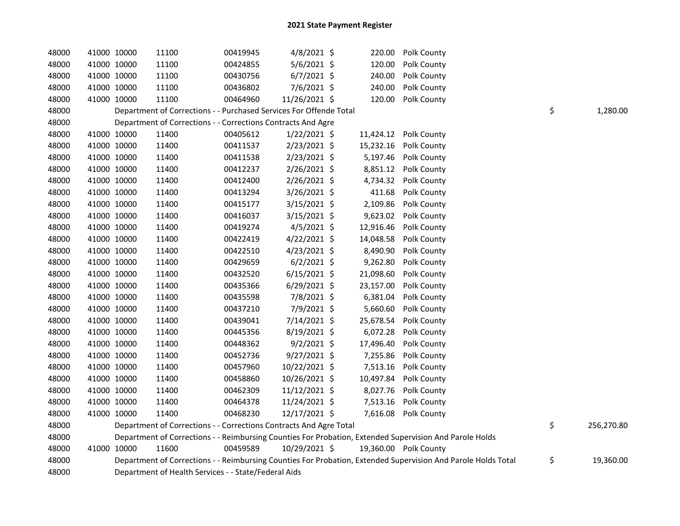| 48000 | 41000 10000 | 11100                                                              | 00419945 | 4/8/2021 \$    | 220.00    | Polk County                                                                                                   |                  |
|-------|-------------|--------------------------------------------------------------------|----------|----------------|-----------|---------------------------------------------------------------------------------------------------------------|------------------|
| 48000 | 41000 10000 | 11100                                                              | 00424855 | 5/6/2021 \$    | 120.00    | Polk County                                                                                                   |                  |
| 48000 | 41000 10000 | 11100                                                              | 00430756 | $6/7/2021$ \$  | 240.00    | Polk County                                                                                                   |                  |
| 48000 | 41000 10000 | 11100                                                              | 00436802 | 7/6/2021 \$    | 240.00    | Polk County                                                                                                   |                  |
| 48000 | 41000 10000 | 11100                                                              | 00464960 | 11/26/2021 \$  | 120.00    | Polk County                                                                                                   |                  |
| 48000 |             | Department of Corrections - - Purchased Services For Offende Total |          |                |           |                                                                                                               | \$<br>1,280.00   |
| 48000 |             | Department of Corrections - - Corrections Contracts And Agre       |          |                |           |                                                                                                               |                  |
| 48000 | 41000 10000 | 11400                                                              | 00405612 | $1/22/2021$ \$ | 11,424.12 | Polk County                                                                                                   |                  |
| 48000 | 41000 10000 | 11400                                                              | 00411537 | 2/23/2021 \$   | 15,232.16 | Polk County                                                                                                   |                  |
| 48000 | 41000 10000 | 11400                                                              | 00411538 | 2/23/2021 \$   | 5,197.46  | Polk County                                                                                                   |                  |
| 48000 | 41000 10000 | 11400                                                              | 00412237 | $2/26/2021$ \$ | 8,851.12  | Polk County                                                                                                   |                  |
| 48000 | 41000 10000 | 11400                                                              | 00412400 | 2/26/2021 \$   | 4,734.32  | Polk County                                                                                                   |                  |
| 48000 | 41000 10000 | 11400                                                              | 00413294 | 3/26/2021 \$   | 411.68    | Polk County                                                                                                   |                  |
| 48000 | 41000 10000 | 11400                                                              | 00415177 | 3/15/2021 \$   | 2,109.86  | Polk County                                                                                                   |                  |
| 48000 | 41000 10000 | 11400                                                              | 00416037 | 3/15/2021 \$   | 9,623.02  | Polk County                                                                                                   |                  |
| 48000 | 41000 10000 | 11400                                                              | 00419274 | 4/5/2021 \$    | 12,916.46 | Polk County                                                                                                   |                  |
| 48000 | 41000 10000 | 11400                                                              | 00422419 | $4/22/2021$ \$ | 14,048.58 | Polk County                                                                                                   |                  |
| 48000 | 41000 10000 | 11400                                                              | 00422510 | $4/23/2021$ \$ | 8,490.90  | Polk County                                                                                                   |                  |
| 48000 | 41000 10000 | 11400                                                              | 00429659 | $6/2/2021$ \$  | 9,262.80  | Polk County                                                                                                   |                  |
| 48000 | 41000 10000 | 11400                                                              | 00432520 | $6/15/2021$ \$ | 21,098.60 | Polk County                                                                                                   |                  |
| 48000 | 41000 10000 | 11400                                                              | 00435366 | $6/29/2021$ \$ | 23,157.00 | Polk County                                                                                                   |                  |
| 48000 | 41000 10000 | 11400                                                              | 00435598 | 7/8/2021 \$    | 6,381.04  | Polk County                                                                                                   |                  |
| 48000 | 41000 10000 | 11400                                                              | 00437210 | 7/9/2021 \$    | 5,660.60  | Polk County                                                                                                   |                  |
| 48000 | 41000 10000 | 11400                                                              | 00439041 | 7/14/2021 \$   | 25,678.54 | Polk County                                                                                                   |                  |
| 48000 | 41000 10000 | 11400                                                              | 00445356 | 8/19/2021 \$   | 6,072.28  | Polk County                                                                                                   |                  |
| 48000 | 41000 10000 | 11400                                                              | 00448362 | $9/2/2021$ \$  | 17,496.40 | Polk County                                                                                                   |                  |
| 48000 | 41000 10000 | 11400                                                              | 00452736 | $9/27/2021$ \$ | 7,255.86  | Polk County                                                                                                   |                  |
| 48000 | 41000 10000 | 11400                                                              | 00457960 | 10/22/2021 \$  | 7,513.16  | Polk County                                                                                                   |                  |
| 48000 | 41000 10000 | 11400                                                              | 00458860 | 10/26/2021 \$  | 10,497.84 | Polk County                                                                                                   |                  |
| 48000 | 41000 10000 | 11400                                                              | 00462309 | 11/12/2021 \$  | 8,027.76  | Polk County                                                                                                   |                  |
| 48000 | 41000 10000 | 11400                                                              | 00464378 | 11/24/2021 \$  | 7,513.16  | Polk County                                                                                                   |                  |
| 48000 | 41000 10000 | 11400                                                              | 00468230 | 12/17/2021 \$  | 7,616.08  | Polk County                                                                                                   |                  |
| 48000 |             | Department of Corrections - - Corrections Contracts And Agre Total |          |                |           |                                                                                                               | \$<br>256,270.80 |
| 48000 |             |                                                                    |          |                |           | Department of Corrections - - Reimbursing Counties For Probation, Extended Supervision And Parole Holds       |                  |
| 48000 | 41000 10000 | 11600                                                              | 00459589 | 10/29/2021 \$  |           | 19,360.00 Polk County                                                                                         |                  |
| 48000 |             |                                                                    |          |                |           | Department of Corrections - - Reimbursing Counties For Probation, Extended Supervision And Parole Holds Total | \$<br>19,360.00  |
| 48000 |             | Department of Health Services - - State/Federal Aids               |          |                |           |                                                                                                               |                  |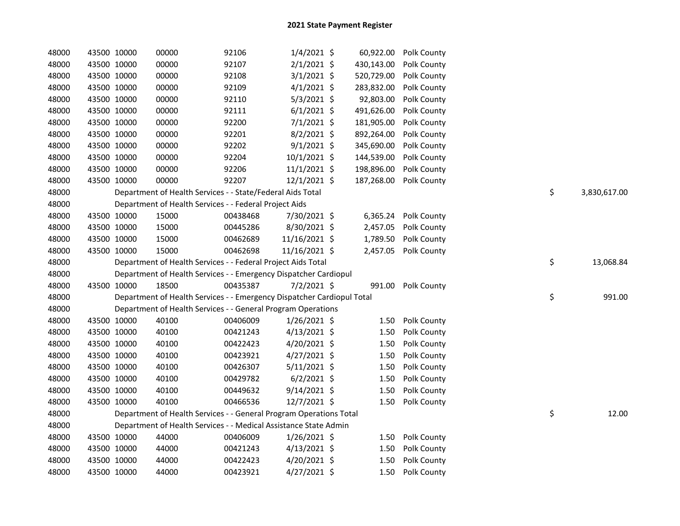| 48000 | 43500 10000 | 00000 | 92106                                                                  | $1/4/2021$ \$  | 60,922.00  | Polk County          |                    |
|-------|-------------|-------|------------------------------------------------------------------------|----------------|------------|----------------------|--------------------|
| 48000 | 43500 10000 | 00000 | 92107                                                                  | $2/1/2021$ \$  | 430,143.00 | Polk County          |                    |
| 48000 | 43500 10000 | 00000 | 92108                                                                  | $3/1/2021$ \$  | 520,729.00 | Polk County          |                    |
| 48000 | 43500 10000 | 00000 | 92109                                                                  | $4/1/2021$ \$  | 283,832.00 | Polk County          |                    |
| 48000 | 43500 10000 | 00000 | 92110                                                                  | $5/3/2021$ \$  | 92,803.00  | Polk County          |                    |
| 48000 | 43500 10000 | 00000 | 92111                                                                  | $6/1/2021$ \$  | 491,626.00 | Polk County          |                    |
| 48000 | 43500 10000 | 00000 | 92200                                                                  | $7/1/2021$ \$  | 181,905.00 | Polk County          |                    |
| 48000 | 43500 10000 | 00000 | 92201                                                                  | $8/2/2021$ \$  | 892,264.00 | Polk County          |                    |
| 48000 | 43500 10000 | 00000 | 92202                                                                  | $9/1/2021$ \$  | 345,690.00 | Polk County          |                    |
| 48000 | 43500 10000 | 00000 | 92204                                                                  | $10/1/2021$ \$ | 144,539.00 | Polk County          |                    |
| 48000 | 43500 10000 | 00000 | 92206                                                                  | $11/1/2021$ \$ | 198,896.00 | Polk County          |                    |
| 48000 | 43500 10000 | 00000 | 92207                                                                  | $12/1/2021$ \$ | 187,268.00 | Polk County          |                    |
| 48000 |             |       | Department of Health Services - - State/Federal Aids Total             |                |            |                      | \$<br>3,830,617.00 |
| 48000 |             |       | Department of Health Services - - Federal Project Aids                 |                |            |                      |                    |
| 48000 | 43500 10000 | 15000 | 00438468                                                               | 7/30/2021 \$   | 6,365.24   | Polk County          |                    |
| 48000 | 43500 10000 | 15000 | 00445286                                                               | 8/30/2021 \$   | 2,457.05   | Polk County          |                    |
| 48000 | 43500 10000 | 15000 | 00462689                                                               | 11/16/2021 \$  | 1,789.50   | Polk County          |                    |
| 48000 | 43500 10000 | 15000 | 00462698                                                               | 11/16/2021 \$  |            | 2,457.05 Polk County |                    |
| 48000 |             |       | Department of Health Services - - Federal Project Aids Total           |                |            |                      | \$<br>13,068.84    |
| 48000 |             |       | Department of Health Services - - Emergency Dispatcher Cardiopul       |                |            |                      |                    |
| 48000 | 43500 10000 | 18500 | 00435387                                                               | $7/2/2021$ \$  | 991.00     | Polk County          |                    |
| 48000 |             |       | Department of Health Services - - Emergency Dispatcher Cardiopul Total |                |            |                      | \$                 |
| 48000 |             |       | Department of Health Services - - General Program Operations           |                |            |                      |                    |
| 48000 | 43500 10000 | 40100 | 00406009                                                               | $1/26/2021$ \$ | 1.50       | Polk County          |                    |
| 48000 | 43500 10000 | 40100 | 00421243                                                               | $4/13/2021$ \$ | 1.50       | Polk County          |                    |
| 48000 | 43500 10000 | 40100 | 00422423                                                               | $4/20/2021$ \$ | 1.50       | Polk County          |                    |
| 48000 | 43500 10000 | 40100 | 00423921                                                               | $4/27/2021$ \$ | 1.50       | Polk County          |                    |
| 48000 | 43500 10000 | 40100 | 00426307                                                               | $5/11/2021$ \$ | 1.50       | Polk County          |                    |
| 48000 | 43500 10000 | 40100 | 00429782                                                               | $6/2/2021$ \$  | 1.50       | Polk County          |                    |
| 48000 | 43500 10000 | 40100 | 00449632                                                               | $9/14/2021$ \$ | 1.50       | Polk County          |                    |
| 48000 | 43500 10000 | 40100 | 00466536                                                               | 12/7/2021 \$   | 1.50       | Polk County          |                    |
| 48000 |             |       | Department of Health Services - - General Program Operations Total     |                |            |                      | \$                 |
| 48000 |             |       | Department of Health Services - - Medical Assistance State Admin       |                |            |                      |                    |
| 48000 | 43500 10000 | 44000 | 00406009                                                               | $1/26/2021$ \$ | 1.50       | Polk County          |                    |
| 48000 | 43500 10000 | 44000 | 00421243                                                               | $4/13/2021$ \$ | 1.50       | Polk County          |                    |
| 48000 | 43500 10000 | 44000 | 00422423                                                               | 4/20/2021 \$   | 1.50       | Polk County          |                    |
| 48000 | 43500 10000 | 44000 | 00423921                                                               | $4/27/2021$ \$ | 1.50       | Polk County          |                    |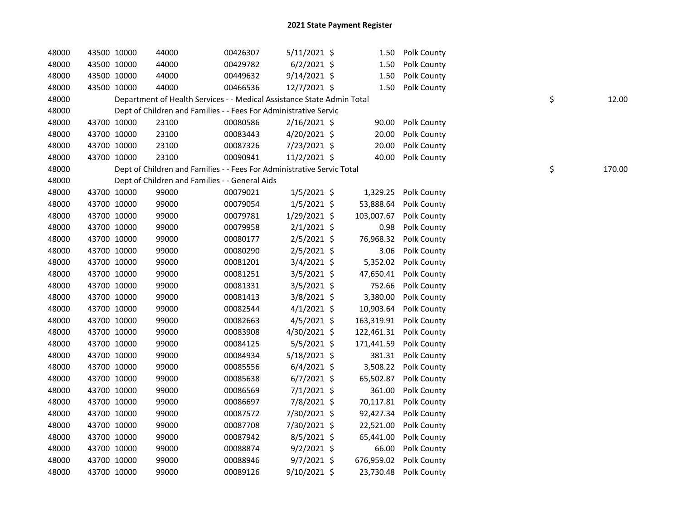| 48000 | 43500 10000 | 44000 | 00426307                                                               | $5/11/2021$ \$ | 1.50       | Polk County            |    |        |
|-------|-------------|-------|------------------------------------------------------------------------|----------------|------------|------------------------|----|--------|
| 48000 | 43500 10000 | 44000 | 00429782                                                               | $6/2/2021$ \$  | 1.50       | Polk County            |    |        |
| 48000 | 43500 10000 | 44000 | 00449632                                                               | 9/14/2021 \$   | 1.50       | Polk County            |    |        |
| 48000 | 43500 10000 | 44000 | 00466536                                                               | 12/7/2021 \$   |            | 1.50 Polk County       |    |        |
| 48000 |             |       | Department of Health Services - - Medical Assistance State Admin Total |                |            |                        | \$ | 12.00  |
| 48000 |             |       | Dept of Children and Families - - Fees For Administrative Servic       |                |            |                        |    |        |
| 48000 | 43700 10000 | 23100 | 00080586                                                               | $2/16/2021$ \$ | 90.00      | Polk County            |    |        |
| 48000 | 43700 10000 | 23100 | 00083443                                                               | 4/20/2021 \$   | 20.00      | Polk County            |    |        |
| 48000 | 43700 10000 | 23100 | 00087326                                                               | 7/23/2021 \$   | 20.00      | Polk County            |    |        |
| 48000 | 43700 10000 | 23100 | 00090941                                                               | 11/2/2021 \$   | 40.00      | Polk County            |    |        |
| 48000 |             |       | Dept of Children and Families - - Fees For Administrative Servic Total |                |            |                        | \$ | 170.00 |
| 48000 |             |       | Dept of Children and Families - - General Aids                         |                |            |                        |    |        |
| 48000 | 43700 10000 | 99000 | 00079021                                                               | $1/5/2021$ \$  |            | 1,329.25 Polk County   |    |        |
| 48000 | 43700 10000 | 99000 | 00079054                                                               | $1/5/2021$ \$  |            | 53,888.64 Polk County  |    |        |
| 48000 | 43700 10000 | 99000 | 00079781                                                               | $1/29/2021$ \$ |            | 103,007.67 Polk County |    |        |
| 48000 | 43700 10000 | 99000 | 00079958                                                               | $2/1/2021$ \$  | 0.98       | Polk County            |    |        |
| 48000 | 43700 10000 | 99000 | 00080177                                                               | $2/5/2021$ \$  |            | 76,968.32 Polk County  |    |        |
| 48000 | 43700 10000 | 99000 | 00080290                                                               | $2/5/2021$ \$  | 3.06       | Polk County            |    |        |
| 48000 | 43700 10000 | 99000 | 00081201                                                               | $3/4/2021$ \$  |            | 5,352.02 Polk County   |    |        |
| 48000 | 43700 10000 | 99000 | 00081251                                                               | 3/5/2021 \$    | 47,650.41  | Polk County            |    |        |
| 48000 | 43700 10000 | 99000 | 00081331                                                               | 3/5/2021 \$    | 752.66     | Polk County            |    |        |
| 48000 | 43700 10000 | 99000 | 00081413                                                               | 3/8/2021 \$    | 3,380.00   | Polk County            |    |        |
| 48000 | 43700 10000 | 99000 | 00082544                                                               | $4/1/2021$ \$  | 10,903.64  | Polk County            |    |        |
| 48000 | 43700 10000 | 99000 | 00082663                                                               | $4/5/2021$ \$  |            | 163,319.91 Polk County |    |        |
| 48000 | 43700 10000 | 99000 | 00083908                                                               | 4/30/2021 \$   | 122,461.31 | Polk County            |    |        |
| 48000 | 43700 10000 | 99000 | 00084125                                                               | $5/5/2021$ \$  | 171,441.59 | Polk County            |    |        |
| 48000 | 43700 10000 | 99000 | 00084934                                                               | 5/18/2021 \$   |            | 381.31 Polk County     |    |        |
| 48000 | 43700 10000 | 99000 | 00085556                                                               | $6/4/2021$ \$  |            | 3,508.22 Polk County   |    |        |
| 48000 | 43700 10000 | 99000 | 00085638                                                               | $6/7/2021$ \$  | 65,502.87  | Polk County            |    |        |
| 48000 | 43700 10000 | 99000 | 00086569                                                               | $7/1/2021$ \$  | 361.00     | Polk County            |    |        |
| 48000 | 43700 10000 | 99000 | 00086697                                                               | 7/8/2021 \$    |            | 70,117.81 Polk County  |    |        |
| 48000 | 43700 10000 | 99000 | 00087572                                                               | 7/30/2021 \$   |            | 92,427.34 Polk County  |    |        |
| 48000 | 43700 10000 | 99000 | 00087708                                                               | 7/30/2021 \$   | 22,521.00  | Polk County            |    |        |
| 48000 | 43700 10000 | 99000 | 00087942                                                               | $8/5/2021$ \$  | 65,441.00  | Polk County            |    |        |
| 48000 | 43700 10000 | 99000 | 00088874                                                               | $9/2/2021$ \$  | 66.00      | Polk County            |    |        |
| 48000 | 43700 10000 | 99000 | 00088946                                                               | $9/7/2021$ \$  | 676,959.02 | Polk County            |    |        |
| 48000 | 43700 10000 | 99000 | 00089126                                                               | 9/10/2021 \$   |            | 23,730.48 Polk County  |    |        |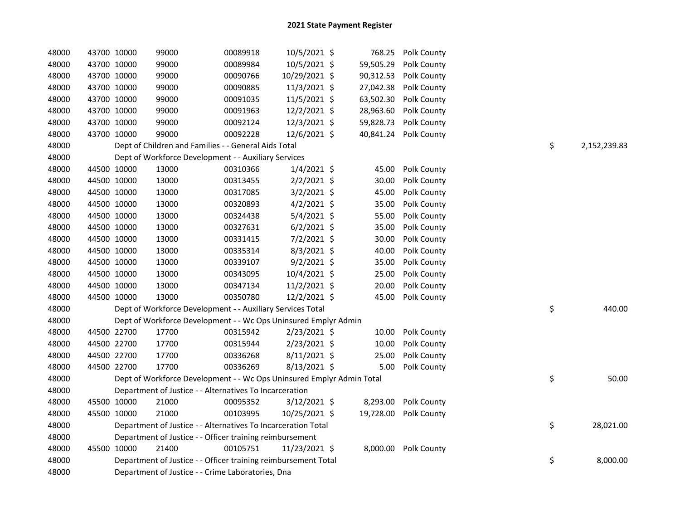| 48000 | 43700 10000 | 99000                                                                 | 00089918 | 10/5/2021 \$   |           | 768.25 Polk County    |    |              |
|-------|-------------|-----------------------------------------------------------------------|----------|----------------|-----------|-----------------------|----|--------------|
| 48000 | 43700 10000 | 99000                                                                 | 00089984 | 10/5/2021 \$   | 59,505.29 | Polk County           |    |              |
| 48000 | 43700 10000 | 99000                                                                 | 00090766 | 10/29/2021 \$  | 90,312.53 | Polk County           |    |              |
| 48000 | 43700 10000 | 99000                                                                 | 00090885 | 11/3/2021 \$   | 27,042.38 | Polk County           |    |              |
| 48000 | 43700 10000 | 99000                                                                 | 00091035 | 11/5/2021 \$   | 63,502.30 | Polk County           |    |              |
| 48000 | 43700 10000 | 99000                                                                 | 00091963 | 12/2/2021 \$   | 28,963.60 | Polk County           |    |              |
| 48000 | 43700 10000 | 99000                                                                 | 00092124 | 12/3/2021 \$   | 59,828.73 | Polk County           |    |              |
| 48000 | 43700 10000 | 99000                                                                 | 00092228 | $12/6/2021$ \$ | 40,841.24 | Polk County           |    |              |
| 48000 |             | Dept of Children and Families - - General Aids Total                  |          |                |           |                       | \$ | 2,152,239.83 |
| 48000 |             | Dept of Workforce Development - - Auxiliary Services                  |          |                |           |                       |    |              |
| 48000 | 44500 10000 | 13000                                                                 | 00310366 | $1/4/2021$ \$  | 45.00     | Polk County           |    |              |
| 48000 | 44500 10000 | 13000                                                                 | 00313455 | $2/2/2021$ \$  | 30.00     | Polk County           |    |              |
| 48000 | 44500 10000 | 13000                                                                 | 00317085 | 3/2/2021 \$    | 45.00     | Polk County           |    |              |
| 48000 | 44500 10000 | 13000                                                                 | 00320893 | $4/2/2021$ \$  | 35.00     | Polk County           |    |              |
| 48000 | 44500 10000 | 13000                                                                 | 00324438 | $5/4/2021$ \$  | 55.00     | Polk County           |    |              |
| 48000 | 44500 10000 | 13000                                                                 | 00327631 | $6/2/2021$ \$  | 35.00     | Polk County           |    |              |
| 48000 | 44500 10000 | 13000                                                                 | 00331415 | $7/2/2021$ \$  | 30.00     | Polk County           |    |              |
| 48000 | 44500 10000 | 13000                                                                 | 00335314 | 8/3/2021 \$    | 40.00     | Polk County           |    |              |
| 48000 | 44500 10000 | 13000                                                                 | 00339107 | $9/2/2021$ \$  | 35.00     | Polk County           |    |              |
| 48000 | 44500 10000 | 13000                                                                 | 00343095 | 10/4/2021 \$   | 25.00     | Polk County           |    |              |
| 48000 | 44500 10000 | 13000                                                                 | 00347134 | $11/2/2021$ \$ | 20.00     | Polk County           |    |              |
| 48000 | 44500 10000 | 13000                                                                 | 00350780 | 12/2/2021 \$   | 45.00     | Polk County           |    |              |
| 48000 |             | Dept of Workforce Development - - Auxiliary Services Total            |          |                |           |                       | \$ | 440.00       |
| 48000 |             | Dept of Workforce Development - - Wc Ops Uninsured Emplyr Admin       |          |                |           |                       |    |              |
| 48000 | 44500 22700 | 17700                                                                 | 00315942 | 2/23/2021 \$   | 10.00     | Polk County           |    |              |
| 48000 | 44500 22700 | 17700                                                                 | 00315944 | $2/23/2021$ \$ | 10.00     | Polk County           |    |              |
| 48000 | 44500 22700 | 17700                                                                 | 00336268 | 8/11/2021 \$   | 25.00     | Polk County           |    |              |
| 48000 | 44500 22700 | 17700                                                                 | 00336269 | $8/13/2021$ \$ | 5.00      | Polk County           |    |              |
| 48000 |             | Dept of Workforce Development - - Wc Ops Uninsured Emplyr Admin Total |          |                |           |                       | \$ | 50.00        |
| 48000 |             | Department of Justice - - Alternatives To Incarceration               |          |                |           |                       |    |              |
| 48000 | 45500 10000 | 21000                                                                 | 00095352 | $3/12/2021$ \$ | 8,293.00  | Polk County           |    |              |
| 48000 | 45500 10000 | 21000                                                                 | 00103995 | 10/25/2021 \$  |           | 19,728.00 Polk County |    |              |
| 48000 |             | Department of Justice - - Alternatives To Incarceration Total         |          |                |           |                       | \$ | 28,021.00    |
| 48000 |             | Department of Justice - - Officer training reimbursement              |          |                |           |                       |    |              |
| 48000 | 45500 10000 | 21400                                                                 | 00105751 | 11/23/2021 \$  |           | 8,000.00 Polk County  |    |              |
| 48000 |             | Department of Justice - - Officer training reimbursement Total        |          |                |           |                       | \$ | 8,000.00     |
| 48000 |             | Department of Justice - - Crime Laboratories, Dna                     |          |                |           |                       |    |              |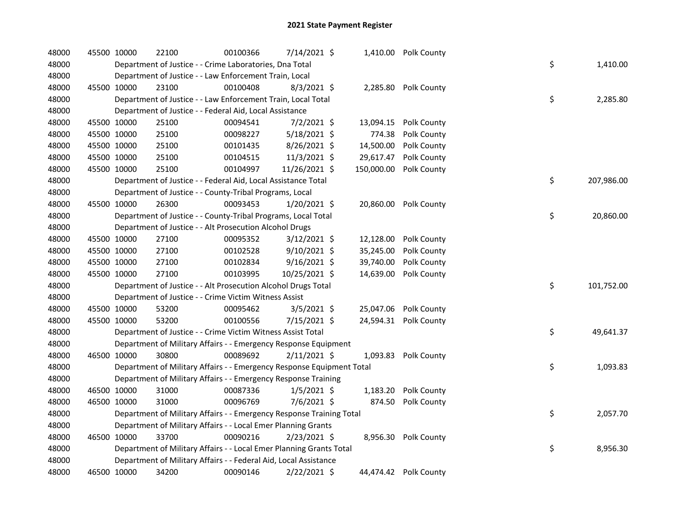| 48000 | 45500 10000 | 22100 | 00100366                                                              | 7/14/2021 \$   |            | 1,410.00 Polk County  |    |            |
|-------|-------------|-------|-----------------------------------------------------------------------|----------------|------------|-----------------------|----|------------|
| 48000 |             |       | Department of Justice - - Crime Laboratories, Dna Total               |                |            |                       | \$ | 1,410.00   |
| 48000 |             |       | Department of Justice - - Law Enforcement Train, Local                |                |            |                       |    |            |
| 48000 | 45500 10000 | 23100 | 00100408                                                              | 8/3/2021 \$    |            | 2,285.80 Polk County  |    |            |
| 48000 |             |       | Department of Justice - - Law Enforcement Train, Local Total          |                |            |                       | \$ | 2,285.80   |
| 48000 |             |       | Department of Justice - - Federal Aid, Local Assistance               |                |            |                       |    |            |
| 48000 | 45500 10000 | 25100 | 00094541                                                              | $7/2/2021$ \$  | 13,094.15  | Polk County           |    |            |
| 48000 | 45500 10000 | 25100 | 00098227                                                              | $5/18/2021$ \$ | 774.38     | Polk County           |    |            |
| 48000 | 45500 10000 | 25100 | 00101435                                                              | 8/26/2021 \$   | 14,500.00  | Polk County           |    |            |
| 48000 | 45500 10000 | 25100 | 00104515                                                              | 11/3/2021 \$   | 29,617.47  | Polk County           |    |            |
| 48000 | 45500 10000 | 25100 | 00104997                                                              | 11/26/2021 \$  | 150,000.00 | Polk County           |    |            |
| 48000 |             |       | Department of Justice - - Federal Aid, Local Assistance Total         |                |            |                       | \$ | 207,986.00 |
| 48000 |             |       | Department of Justice - - County-Tribal Programs, Local               |                |            |                       |    |            |
| 48000 | 45500 10000 | 26300 | 00093453                                                              | 1/20/2021 \$   |            | 20,860.00 Polk County |    |            |
| 48000 |             |       | Department of Justice - - County-Tribal Programs, Local Total         |                |            |                       | \$ | 20,860.00  |
| 48000 |             |       | Department of Justice - - Alt Prosecution Alcohol Drugs               |                |            |                       |    |            |
| 48000 | 45500 10000 | 27100 | 00095352                                                              | $3/12/2021$ \$ | 12,128.00  | Polk County           |    |            |
| 48000 | 45500 10000 | 27100 | 00102528                                                              | $9/10/2021$ \$ | 35,245.00  | Polk County           |    |            |
| 48000 | 45500 10000 | 27100 | 00102834                                                              | $9/16/2021$ \$ | 39,740.00  | Polk County           |    |            |
| 48000 | 45500 10000 | 27100 | 00103995                                                              | 10/25/2021 \$  | 14,639.00  | Polk County           |    |            |
| 48000 |             |       | Department of Justice - - Alt Prosecution Alcohol Drugs Total         |                |            |                       | \$ | 101,752.00 |
| 48000 |             |       | Department of Justice - - Crime Victim Witness Assist                 |                |            |                       |    |            |
| 48000 | 45500 10000 | 53200 | 00095462                                                              | 3/5/2021 \$    |            | 25,047.06 Polk County |    |            |
| 48000 | 45500 10000 | 53200 | 00100556                                                              | 7/15/2021 \$   |            | 24,594.31 Polk County |    |            |
| 48000 |             |       | Department of Justice - - Crime Victim Witness Assist Total           |                |            |                       | \$ | 49,641.37  |
| 48000 |             |       | Department of Military Affairs - - Emergency Response Equipment       |                |            |                       |    |            |
| 48000 | 46500 10000 | 30800 | 00089692                                                              | $2/11/2021$ \$ |            | 1,093.83 Polk County  |    |            |
| 48000 |             |       | Department of Military Affairs - - Emergency Response Equipment Total |                |            |                       | \$ | 1,093.83   |
| 48000 |             |       | Department of Military Affairs - - Emergency Response Training        |                |            |                       |    |            |
| 48000 | 46500 10000 | 31000 | 00087336                                                              | $1/5/2021$ \$  | 1,183.20   | Polk County           |    |            |
| 48000 | 46500 10000 | 31000 | 00096769                                                              | 7/6/2021 \$    | 874.50     | Polk County           |    |            |
| 48000 |             |       | Department of Military Affairs - - Emergency Response Training Total  |                |            |                       | \$ | 2,057.70   |
| 48000 |             |       | Department of Military Affairs - - Local Emer Planning Grants         |                |            |                       |    |            |
| 48000 | 46500 10000 | 33700 | 00090216                                                              | 2/23/2021 \$   | 8,956.30   | Polk County           |    |            |
| 48000 |             |       | Department of Military Affairs - - Local Emer Planning Grants Total   |                |            |                       | \$ | 8,956.30   |
| 48000 |             |       | Department of Military Affairs - - Federal Aid, Local Assistance      |                |            |                       |    |            |
| 48000 | 46500 10000 | 34200 | 00090146                                                              | 2/22/2021 \$   |            | 44,474.42 Polk County |    |            |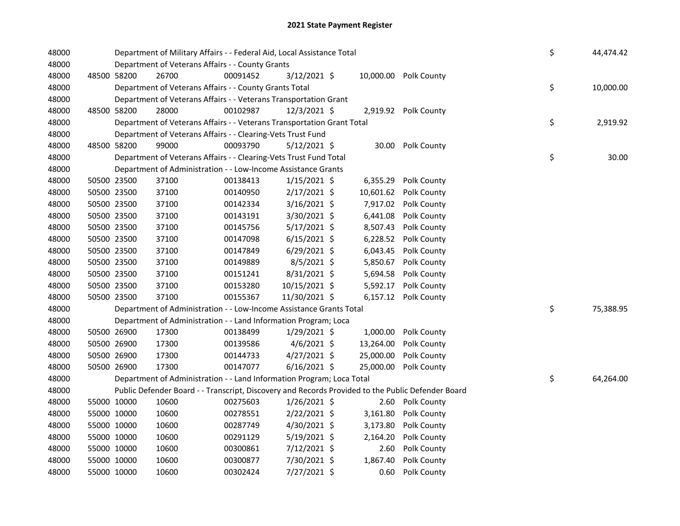| 48000 |             |             | Department of Military Affairs - - Federal Aid, Local Assistance Total<br>Department of Veterans Affairs - - County Grants |          |                |  |           |                                                                                                   |    | 44,474.42 |
|-------|-------------|-------------|----------------------------------------------------------------------------------------------------------------------------|----------|----------------|--|-----------|---------------------------------------------------------------------------------------------------|----|-----------|
| 48000 |             |             |                                                                                                                            |          |                |  |           |                                                                                                   |    |           |
| 48000 |             | 48500 58200 | 26700                                                                                                                      | 00091452 | 3/12/2021 \$   |  |           | 10,000.00 Polk County                                                                             |    |           |
| 48000 |             |             | Department of Veterans Affairs - - County Grants Total                                                                     |          |                |  |           |                                                                                                   | \$ | 10,000.00 |
| 48000 |             |             | Department of Veterans Affairs - - Veterans Transportation Grant                                                           |          |                |  |           |                                                                                                   |    |           |
| 48000 |             | 48500 58200 | 28000                                                                                                                      | 00102987 | $12/3/2021$ \$ |  |           | 2,919.92 Polk County                                                                              |    |           |
| 48000 |             |             | Department of Veterans Affairs - - Veterans Transportation Grant Total                                                     |          |                |  |           |                                                                                                   | \$ | 2,919.92  |
| 48000 |             |             | Department of Veterans Affairs - - Clearing-Vets Trust Fund                                                                |          |                |  |           |                                                                                                   |    |           |
| 48000 |             | 48500 58200 | 99000                                                                                                                      | 00093790 | $5/12/2021$ \$ |  |           | 30.00 Polk County                                                                                 |    |           |
| 48000 |             |             | Department of Veterans Affairs - - Clearing-Vets Trust Fund Total                                                          |          |                |  |           |                                                                                                   | \$ | 30.00     |
| 48000 |             |             | Department of Administration - - Low-Income Assistance Grants                                                              |          |                |  |           |                                                                                                   |    |           |
| 48000 |             | 50500 23500 | 37100                                                                                                                      | 00138413 | $1/15/2021$ \$ |  |           | 6,355.29 Polk County                                                                              |    |           |
| 48000 |             | 50500 23500 | 37100                                                                                                                      | 00140950 | 2/17/2021 \$   |  | 10,601.62 | Polk County                                                                                       |    |           |
| 48000 |             | 50500 23500 | 37100                                                                                                                      | 00142334 | 3/16/2021 \$   |  | 7,917.02  | Polk County                                                                                       |    |           |
| 48000 |             | 50500 23500 | 37100                                                                                                                      | 00143191 | 3/30/2021 \$   |  | 6,441.08  | Polk County                                                                                       |    |           |
| 48000 |             | 50500 23500 | 37100                                                                                                                      | 00145756 | $5/17/2021$ \$ |  | 8,507.43  | Polk County                                                                                       |    |           |
| 48000 |             | 50500 23500 | 37100                                                                                                                      | 00147098 | $6/15/2021$ \$ |  | 6,228.52  | Polk County                                                                                       |    |           |
| 48000 |             | 50500 23500 | 37100                                                                                                                      | 00147849 | $6/29/2021$ \$ |  | 6,043.45  | Polk County                                                                                       |    |           |
| 48000 |             | 50500 23500 | 37100                                                                                                                      | 00149889 | $8/5/2021$ \$  |  | 5,850.67  | Polk County                                                                                       |    |           |
| 48000 |             | 50500 23500 | 37100                                                                                                                      | 00151241 | 8/31/2021 \$   |  | 5,694.58  | Polk County                                                                                       |    |           |
| 48000 |             | 50500 23500 | 37100                                                                                                                      | 00153280 | 10/15/2021 \$  |  | 5,592.17  | Polk County                                                                                       |    |           |
| 48000 |             | 50500 23500 | 37100                                                                                                                      | 00155367 | 11/30/2021 \$  |  |           | 6,157.12 Polk County                                                                              |    |           |
| 48000 |             |             | Department of Administration - - Low-Income Assistance Grants Total                                                        |          |                |  |           |                                                                                                   | \$ | 75,388.95 |
| 48000 |             |             | Department of Administration - - Land Information Program; Loca                                                            |          |                |  |           |                                                                                                   |    |           |
| 48000 |             | 50500 26900 | 17300                                                                                                                      | 00138499 | $1/29/2021$ \$ |  |           | 1,000.00 Polk County                                                                              |    |           |
| 48000 |             | 50500 26900 | 17300                                                                                                                      | 00139586 | $4/6/2021$ \$  |  | 13,264.00 | Polk County                                                                                       |    |           |
| 48000 |             | 50500 26900 | 17300                                                                                                                      | 00144733 | $4/27/2021$ \$ |  | 25,000.00 | Polk County                                                                                       |    |           |
| 48000 |             | 50500 26900 | 17300                                                                                                                      | 00147077 | $6/16/2021$ \$ |  | 25,000.00 | Polk County                                                                                       |    |           |
| 48000 |             |             | Department of Administration - - Land Information Program; Loca Total                                                      |          |                |  |           |                                                                                                   | \$ | 64,264.00 |
| 48000 |             |             |                                                                                                                            |          |                |  |           | Public Defender Board - - Transcript, Discovery and Records Provided to the Public Defender Board |    |           |
| 48000 |             | 55000 10000 | 10600                                                                                                                      | 00275603 | $1/26/2021$ \$ |  |           | 2.60 Polk County                                                                                  |    |           |
| 48000 |             | 55000 10000 | 10600                                                                                                                      | 00278551 | $2/22/2021$ \$ |  | 3,161.80  | Polk County                                                                                       |    |           |
| 48000 |             | 55000 10000 | 10600                                                                                                                      | 00287749 | $4/30/2021$ \$ |  | 3,173.80  | Polk County                                                                                       |    |           |
| 48000 |             | 55000 10000 | 10600                                                                                                                      | 00291129 | 5/19/2021 \$   |  | 2,164.20  | Polk County                                                                                       |    |           |
| 48000 |             | 55000 10000 | 10600                                                                                                                      | 00300861 | 7/12/2021 \$   |  | 2.60      | Polk County                                                                                       |    |           |
| 48000 |             | 55000 10000 | 10600                                                                                                                      | 00300877 | 7/30/2021 \$   |  | 1,867.40  | Polk County                                                                                       |    |           |
| 48000 | 55000 10000 |             | 10600                                                                                                                      | 00302424 | 7/27/2021 \$   |  | 0.60      | Polk County                                                                                       |    |           |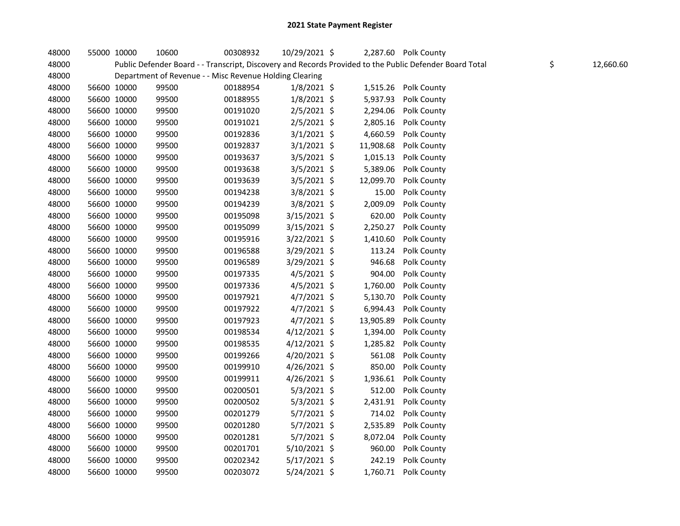| 48000 | 55000 10000 | 10600                                                   | 00308932 | 10/29/2021 \$  |           | 2,287.60 Polk County                                                                                    |                 |
|-------|-------------|---------------------------------------------------------|----------|----------------|-----------|---------------------------------------------------------------------------------------------------------|-----------------|
| 48000 |             |                                                         |          |                |           | Public Defender Board - - Transcript, Discovery and Records Provided to the Public Defender Board Total | \$<br>12,660.60 |
| 48000 |             | Department of Revenue - - Misc Revenue Holding Clearing |          |                |           |                                                                                                         |                 |
| 48000 | 56600 10000 | 99500                                                   | 00188954 | $1/8/2021$ \$  |           | 1,515.26 Polk County                                                                                    |                 |
| 48000 | 56600 10000 | 99500                                                   | 00188955 | $1/8/2021$ \$  | 5,937.93  | Polk County                                                                                             |                 |
| 48000 | 56600 10000 | 99500                                                   | 00191020 | $2/5/2021$ \$  | 2,294.06  | Polk County                                                                                             |                 |
| 48000 | 56600 10000 | 99500                                                   | 00191021 | $2/5/2021$ \$  | 2,805.16  | Polk County                                                                                             |                 |
| 48000 | 56600 10000 | 99500                                                   | 00192836 | $3/1/2021$ \$  | 4,660.59  | Polk County                                                                                             |                 |
| 48000 | 56600 10000 | 99500                                                   | 00192837 | $3/1/2021$ \$  | 11,908.68 | Polk County                                                                                             |                 |
| 48000 | 56600 10000 | 99500                                                   | 00193637 | $3/5/2021$ \$  | 1,015.13  | Polk County                                                                                             |                 |
| 48000 | 56600 10000 | 99500                                                   | 00193638 | $3/5/2021$ \$  | 5,389.06  | Polk County                                                                                             |                 |
| 48000 | 56600 10000 | 99500                                                   | 00193639 | $3/5/2021$ \$  | 12,099.70 | Polk County                                                                                             |                 |
| 48000 | 56600 10000 | 99500                                                   | 00194238 | $3/8/2021$ \$  | 15.00     | Polk County                                                                                             |                 |
| 48000 | 56600 10000 | 99500                                                   | 00194239 | $3/8/2021$ \$  | 2,009.09  | Polk County                                                                                             |                 |
| 48000 | 56600 10000 | 99500                                                   | 00195098 | 3/15/2021 \$   | 620.00    | Polk County                                                                                             |                 |
| 48000 | 56600 10000 | 99500                                                   | 00195099 | 3/15/2021 \$   | 2,250.27  | Polk County                                                                                             |                 |
| 48000 | 56600 10000 | 99500                                                   | 00195916 | 3/22/2021 \$   | 1,410.60  | Polk County                                                                                             |                 |
| 48000 | 56600 10000 | 99500                                                   | 00196588 | 3/29/2021 \$   | 113.24    | Polk County                                                                                             |                 |
| 48000 | 56600 10000 | 99500                                                   | 00196589 | $3/29/2021$ \$ | 946.68    | Polk County                                                                                             |                 |
| 48000 | 56600 10000 | 99500                                                   | 00197335 | 4/5/2021 \$    | 904.00    | Polk County                                                                                             |                 |
| 48000 | 56600 10000 | 99500                                                   | 00197336 | $4/5/2021$ \$  | 1,760.00  | Polk County                                                                                             |                 |
| 48000 | 56600 10000 | 99500                                                   | 00197921 | $4/7/2021$ \$  | 5,130.70  | Polk County                                                                                             |                 |
| 48000 | 56600 10000 | 99500                                                   | 00197922 | $4/7/2021$ \$  | 6,994.43  | Polk County                                                                                             |                 |
| 48000 | 56600 10000 | 99500                                                   | 00197923 | $4/7/2021$ \$  | 13,905.89 | Polk County                                                                                             |                 |
| 48000 | 56600 10000 | 99500                                                   | 00198534 | 4/12/2021 \$   | 1,394.00  | Polk County                                                                                             |                 |
| 48000 | 56600 10000 | 99500                                                   | 00198535 | $4/12/2021$ \$ | 1,285.82  | Polk County                                                                                             |                 |
| 48000 | 56600 10000 | 99500                                                   | 00199266 | 4/20/2021 \$   | 561.08    | Polk County                                                                                             |                 |
| 48000 | 56600 10000 | 99500                                                   | 00199910 | 4/26/2021 \$   | 850.00    | Polk County                                                                                             |                 |
| 48000 | 56600 10000 | 99500                                                   | 00199911 | 4/26/2021 \$   | 1,936.61  | Polk County                                                                                             |                 |
| 48000 | 56600 10000 | 99500                                                   | 00200501 | $5/3/2021$ \$  | 512.00    | Polk County                                                                                             |                 |
| 48000 | 56600 10000 | 99500                                                   | 00200502 | $5/3/2021$ \$  | 2,431.91  | Polk County                                                                                             |                 |
| 48000 | 56600 10000 | 99500                                                   | 00201279 | $5/7/2021$ \$  |           | 714.02 Polk County                                                                                      |                 |
| 48000 | 56600 10000 | 99500                                                   | 00201280 | $5/7/2021$ \$  | 2,535.89  | Polk County                                                                                             |                 |
| 48000 | 56600 10000 | 99500                                                   | 00201281 | $5/7/2021$ \$  | 8,072.04  | Polk County                                                                                             |                 |
| 48000 | 56600 10000 | 99500                                                   | 00201701 | 5/10/2021 \$   | 960.00    | Polk County                                                                                             |                 |
| 48000 | 56600 10000 | 99500                                                   | 00202342 | $5/17/2021$ \$ | 242.19    | Polk County                                                                                             |                 |
| 48000 | 56600 10000 | 99500                                                   | 00203072 | 5/24/2021 \$   |           | 1,760.71 Polk County                                                                                    |                 |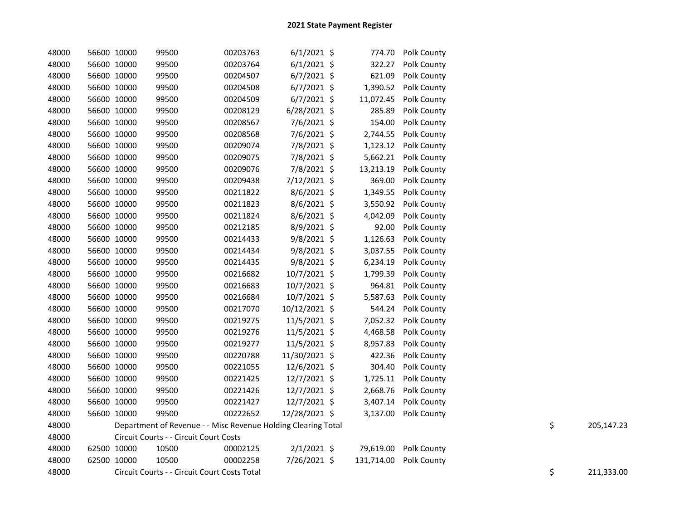| 48000 | 56600 10000 | 99500                                                         | 00203763 | $6/1/2021$ \$  |            | 774.70 Polk County    |  |                  |
|-------|-------------|---------------------------------------------------------------|----------|----------------|------------|-----------------------|--|------------------|
| 48000 | 56600 10000 | 99500                                                         | 00203764 | $6/1/2021$ \$  | 322.27     | Polk County           |  |                  |
| 48000 | 56600 10000 | 99500                                                         | 00204507 | $6/7/2021$ \$  | 621.09     | Polk County           |  |                  |
| 48000 | 56600 10000 | 99500                                                         | 00204508 | $6/7/2021$ \$  | 1,390.52   | Polk County           |  |                  |
| 48000 | 56600 10000 | 99500                                                         | 00204509 | $6/7/2021$ \$  | 11,072.45  | Polk County           |  |                  |
| 48000 | 56600 10000 | 99500                                                         | 00208129 | $6/28/2021$ \$ | 285.89     | Polk County           |  |                  |
| 48000 | 56600 10000 | 99500                                                         | 00208567 | 7/6/2021 \$    | 154.00     | Polk County           |  |                  |
| 48000 | 56600 10000 | 99500                                                         | 00208568 | 7/6/2021 \$    | 2,744.55   | Polk County           |  |                  |
| 48000 | 56600 10000 | 99500                                                         | 00209074 | 7/8/2021 \$    | 1,123.12   | Polk County           |  |                  |
| 48000 | 56600 10000 | 99500                                                         | 00209075 | 7/8/2021 \$    | 5,662.21   | Polk County           |  |                  |
| 48000 | 56600 10000 | 99500                                                         | 00209076 | 7/8/2021 \$    | 13,213.19  | Polk County           |  |                  |
| 48000 | 56600 10000 | 99500                                                         | 00209438 | 7/12/2021 \$   | 369.00     | Polk County           |  |                  |
| 48000 | 56600 10000 | 99500                                                         | 00211822 | $8/6/2021$ \$  | 1,349.55   | Polk County           |  |                  |
| 48000 | 56600 10000 | 99500                                                         | 00211823 | $8/6/2021$ \$  | 3,550.92   | Polk County           |  |                  |
| 48000 | 56600 10000 | 99500                                                         | 00211824 | $8/6/2021$ \$  | 4,042.09   | Polk County           |  |                  |
| 48000 | 56600 10000 | 99500                                                         | 00212185 | 8/9/2021 \$    | 92.00      | Polk County           |  |                  |
| 48000 | 56600 10000 | 99500                                                         | 00214433 | $9/8/2021$ \$  | 1,126.63   | Polk County           |  |                  |
| 48000 | 56600 10000 | 99500                                                         | 00214434 | 9/8/2021 \$    | 3,037.55   | Polk County           |  |                  |
| 48000 | 56600 10000 | 99500                                                         | 00214435 | 9/8/2021 \$    | 6,234.19   | Polk County           |  |                  |
| 48000 | 56600 10000 | 99500                                                         | 00216682 | 10/7/2021 \$   | 1,799.39   | Polk County           |  |                  |
| 48000 | 56600 10000 | 99500                                                         | 00216683 | 10/7/2021 \$   | 964.81     | Polk County           |  |                  |
| 48000 | 56600 10000 | 99500                                                         | 00216684 | 10/7/2021 \$   | 5,587.63   | Polk County           |  |                  |
| 48000 | 56600 10000 | 99500                                                         | 00217070 | 10/12/2021 \$  | 544.24     | Polk County           |  |                  |
| 48000 | 56600 10000 | 99500                                                         | 00219275 | 11/5/2021 \$   | 7,052.32   | Polk County           |  |                  |
| 48000 | 56600 10000 | 99500                                                         | 00219276 | 11/5/2021 \$   | 4,468.58   | Polk County           |  |                  |
| 48000 | 56600 10000 | 99500                                                         | 00219277 | 11/5/2021 \$   | 8,957.83   | Polk County           |  |                  |
| 48000 | 56600 10000 | 99500                                                         | 00220788 | 11/30/2021 \$  | 422.36     | Polk County           |  |                  |
| 48000 | 56600 10000 | 99500                                                         | 00221055 | 12/6/2021 \$   | 304.40     | Polk County           |  |                  |
| 48000 | 56600 10000 | 99500                                                         | 00221425 | 12/7/2021 \$   | 1,725.11   | Polk County           |  |                  |
| 48000 | 56600 10000 | 99500                                                         | 00221426 | 12/7/2021 \$   | 2,668.76   | Polk County           |  |                  |
| 48000 | 56600 10000 | 99500                                                         | 00221427 | 12/7/2021 \$   | 3,407.14   | Polk County           |  |                  |
| 48000 | 56600 10000 | 99500                                                         | 00222652 | 12/28/2021 \$  |            | 3,137.00 Polk County  |  |                  |
| 48000 |             | Department of Revenue - - Misc Revenue Holding Clearing Total |          |                |            |                       |  | \$<br>205,147.23 |
| 48000 |             | Circuit Courts - - Circuit Court Costs                        |          |                |            |                       |  |                  |
| 48000 | 62500 10000 | 10500                                                         | 00002125 | $2/1/2021$ \$  |            | 79,619.00 Polk County |  |                  |
| 48000 | 62500 10000 | 10500                                                         | 00002258 | 7/26/2021 \$   | 131,714.00 | Polk County           |  |                  |
| 48000 |             | Circuit Courts - - Circuit Court Costs Total                  |          |                |            |                       |  | \$<br>211,333.00 |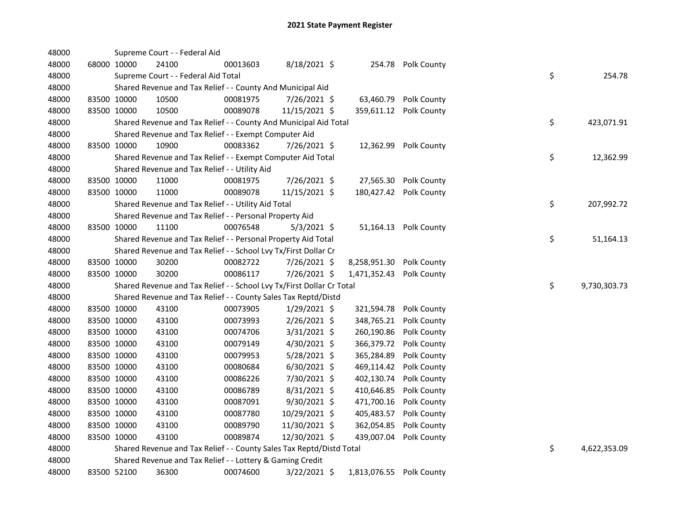| 48000 |             | Supreme Court - - Federal Aid                                         |          |                |                          |                        |    |              |
|-------|-------------|-----------------------------------------------------------------------|----------|----------------|--------------------------|------------------------|----|--------------|
| 48000 | 68000 10000 | 24100                                                                 | 00013603 | 8/18/2021 \$   |                          | 254.78 Polk County     |    |              |
| 48000 |             | Supreme Court - - Federal Aid Total                                   |          |                |                          |                        | \$ | 254.78       |
| 48000 |             | Shared Revenue and Tax Relief - - County And Municipal Aid            |          |                |                          |                        |    |              |
| 48000 | 83500 10000 | 10500                                                                 | 00081975 | 7/26/2021 \$   | 63,460.79                | Polk County            |    |              |
| 48000 | 83500 10000 | 10500                                                                 | 00089078 | 11/15/2021 \$  |                          | 359,611.12 Polk County |    |              |
| 48000 |             | Shared Revenue and Tax Relief - - County And Municipal Aid Total      |          |                |                          |                        | \$ | 423,071.91   |
| 48000 |             | Shared Revenue and Tax Relief - - Exempt Computer Aid                 |          |                |                          |                        |    |              |
| 48000 | 83500 10000 | 10900                                                                 | 00083362 | 7/26/2021 \$   | 12,362.99                | Polk County            |    |              |
| 48000 |             | Shared Revenue and Tax Relief - - Exempt Computer Aid Total           |          |                |                          |                        | \$ | 12,362.99    |
| 48000 |             | Shared Revenue and Tax Relief - - Utility Aid                         |          |                |                          |                        |    |              |
| 48000 | 83500 10000 | 11000                                                                 | 00081975 | 7/26/2021 \$   | 27,565.30                | Polk County            |    |              |
| 48000 | 83500 10000 | 11000                                                                 | 00089078 | 11/15/2021 \$  |                          | 180,427.42 Polk County |    |              |
| 48000 |             | Shared Revenue and Tax Relief - - Utility Aid Total                   |          |                |                          |                        | \$ | 207,992.72   |
| 48000 |             | Shared Revenue and Tax Relief - - Personal Property Aid               |          |                |                          |                        |    |              |
| 48000 | 83500 10000 | 11100                                                                 | 00076548 | $5/3/2021$ \$  |                          | 51,164.13 Polk County  |    |              |
| 48000 |             | Shared Revenue and Tax Relief - - Personal Property Aid Total         |          |                |                          |                        | \$ | 51,164.13    |
| 48000 |             | Shared Revenue and Tax Relief - - School Lvy Tx/First Dollar Cr       |          |                |                          |                        |    |              |
| 48000 | 83500 10000 | 30200                                                                 | 00082722 | 7/26/2021 \$   | 8,258,951.30             | Polk County            |    |              |
| 48000 | 83500 10000 | 30200                                                                 | 00086117 | 7/26/2021 \$   | 1,471,352.43             | Polk County            |    |              |
| 48000 |             | Shared Revenue and Tax Relief - - School Lvy Tx/First Dollar Cr Total |          |                |                          |                        | \$ | 9,730,303.73 |
| 48000 |             | Shared Revenue and Tax Relief - - County Sales Tax Reptd/Distd        |          |                |                          |                        |    |              |
| 48000 | 83500 10000 | 43100                                                                 | 00073905 | $1/29/2021$ \$ | 321,594.78               | Polk County            |    |              |
| 48000 | 83500 10000 | 43100                                                                 | 00073993 | 2/26/2021 \$   | 348,765.21               | Polk County            |    |              |
| 48000 | 83500 10000 | 43100                                                                 | 00074706 | 3/31/2021 \$   | 260,190.86               | Polk County            |    |              |
| 48000 | 83500 10000 | 43100                                                                 | 00079149 | $4/30/2021$ \$ | 366,379.72               | Polk County            |    |              |
| 48000 | 83500 10000 | 43100                                                                 | 00079953 | 5/28/2021 \$   | 365,284.89               | Polk County            |    |              |
| 48000 | 83500 10000 | 43100                                                                 | 00080684 | $6/30/2021$ \$ | 469,114.42               | Polk County            |    |              |
| 48000 | 83500 10000 | 43100                                                                 | 00086226 | 7/30/2021 \$   | 402,130.74               | Polk County            |    |              |
| 48000 | 83500 10000 | 43100                                                                 | 00086789 | $8/31/2021$ \$ | 410,646.85               | Polk County            |    |              |
| 48000 | 83500 10000 | 43100                                                                 | 00087091 | 9/30/2021 \$   | 471,700.16               | Polk County            |    |              |
| 48000 | 83500 10000 | 43100                                                                 | 00087780 | 10/29/2021 \$  | 405,483.57               | Polk County            |    |              |
| 48000 | 83500 10000 | 43100                                                                 | 00089790 | 11/30/2021 \$  | 362,054.85               | Polk County            |    |              |
| 48000 | 83500 10000 | 43100                                                                 | 00089874 | 12/30/2021 \$  | 439,007.04               | Polk County            |    |              |
| 48000 |             | Shared Revenue and Tax Relief - - County Sales Tax Reptd/Distd Total  |          |                |                          |                        | \$ | 4,622,353.09 |
| 48000 |             | Shared Revenue and Tax Relief - - Lottery & Gaming Credit             |          |                |                          |                        |    |              |
| 48000 | 83500 52100 | 36300                                                                 | 00074600 | 3/22/2021 \$   | 1,813,076.55 Polk County |                        |    |              |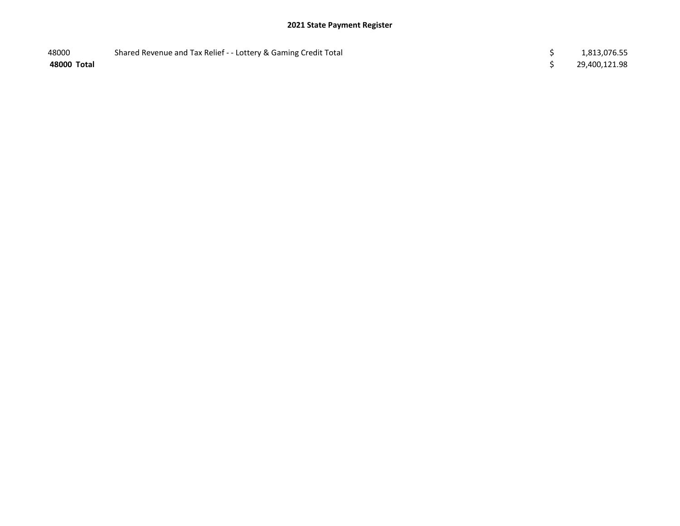| 48000       | Shared Revenue and Tax Relief - - Lottery & Gaming Credit Total | 1,813,076.55  |
|-------------|-----------------------------------------------------------------|---------------|
| 48000 Total |                                                                 | 29,400,121.98 |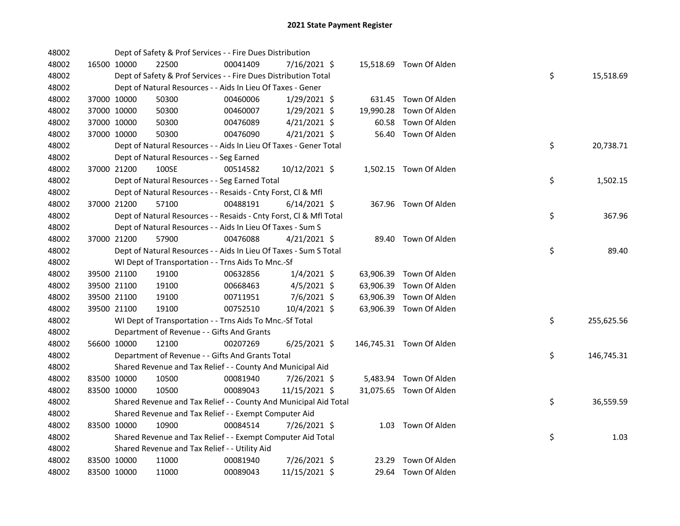| 48002 |             | Dept of Safety & Prof Services - - Fire Dues Distribution          |          |                |           |                          |    |            |
|-------|-------------|--------------------------------------------------------------------|----------|----------------|-----------|--------------------------|----|------------|
| 48002 | 16500 10000 | 22500                                                              | 00041409 | 7/16/2021 \$   |           | 15,518.69 Town Of Alden  |    |            |
| 48002 |             | Dept of Safety & Prof Services - - Fire Dues Distribution Total    |          |                |           |                          | \$ | 15,518.69  |
| 48002 |             | Dept of Natural Resources - - Aids In Lieu Of Taxes - Gener        |          |                |           |                          |    |            |
| 48002 | 37000 10000 | 50300                                                              | 00460006 | 1/29/2021 \$   |           | 631.45 Town Of Alden     |    |            |
| 48002 | 37000 10000 | 50300                                                              | 00460007 | $1/29/2021$ \$ | 19,990.28 | Town Of Alden            |    |            |
| 48002 | 37000 10000 | 50300                                                              | 00476089 | $4/21/2021$ \$ | 60.58     | Town Of Alden            |    |            |
| 48002 | 37000 10000 | 50300                                                              | 00476090 | $4/21/2021$ \$ | 56.40     | Town Of Alden            |    |            |
| 48002 |             | Dept of Natural Resources - - Aids In Lieu Of Taxes - Gener Total  |          |                |           |                          | \$ | 20,738.71  |
| 48002 |             | Dept of Natural Resources - - Seg Earned                           |          |                |           |                          |    |            |
| 48002 | 37000 21200 | 100SE                                                              | 00514582 | 10/12/2021 \$  |           | 1,502.15 Town Of Alden   |    |            |
| 48002 |             | Dept of Natural Resources - - Seg Earned Total                     |          |                |           |                          | \$ | 1,502.15   |
| 48002 |             | Dept of Natural Resources - - Resaids - Cnty Forst, Cl & Mfl       |          |                |           |                          |    |            |
| 48002 | 37000 21200 | 57100                                                              | 00488191 | $6/14/2021$ \$ |           | 367.96 Town Of Alden     |    |            |
| 48002 |             | Dept of Natural Resources - - Resaids - Cnty Forst, Cl & Mfl Total |          |                |           |                          | \$ | 367.96     |
| 48002 |             | Dept of Natural Resources - - Aids In Lieu Of Taxes - Sum S        |          |                |           |                          |    |            |
| 48002 | 37000 21200 | 57900                                                              | 00476088 | $4/21/2021$ \$ |           | 89.40 Town Of Alden      |    |            |
| 48002 |             | Dept of Natural Resources - - Aids In Lieu Of Taxes - Sum S Total  |          |                |           |                          | \$ | 89.40      |
| 48002 |             | WI Dept of Transportation - - Trns Aids To Mnc.-Sf                 |          |                |           |                          |    |            |
| 48002 | 39500 21100 | 19100                                                              | 00632856 | $1/4/2021$ \$  |           | 63,906.39 Town Of Alden  |    |            |
| 48002 | 39500 21100 | 19100                                                              | 00668463 | $4/5/2021$ \$  | 63,906.39 | Town Of Alden            |    |            |
| 48002 | 39500 21100 | 19100                                                              | 00711951 | 7/6/2021 \$    |           | 63,906.39 Town Of Alden  |    |            |
| 48002 | 39500 21100 | 19100                                                              | 00752510 | 10/4/2021 \$   |           | 63,906.39 Town Of Alden  |    |            |
| 48002 |             | WI Dept of Transportation - - Trns Aids To Mnc.-Sf Total           |          |                |           |                          | \$ | 255,625.56 |
| 48002 |             | Department of Revenue - - Gifts And Grants                         |          |                |           |                          |    |            |
| 48002 | 56600 10000 | 12100                                                              | 00207269 | $6/25/2021$ \$ |           | 146,745.31 Town Of Alden |    |            |
| 48002 |             | Department of Revenue - - Gifts And Grants Total                   |          |                |           |                          | \$ | 146,745.31 |
| 48002 |             | Shared Revenue and Tax Relief - - County And Municipal Aid         |          |                |           |                          |    |            |
| 48002 | 83500 10000 | 10500                                                              | 00081940 | 7/26/2021 \$   |           | 5,483.94 Town Of Alden   |    |            |
| 48002 | 83500 10000 | 10500                                                              | 00089043 | 11/15/2021 \$  |           | 31,075.65 Town Of Alden  |    |            |
| 48002 |             | Shared Revenue and Tax Relief - - County And Municipal Aid Total   |          |                |           |                          | \$ | 36,559.59  |
| 48002 |             | Shared Revenue and Tax Relief - - Exempt Computer Aid              |          |                |           |                          |    |            |
| 48002 | 83500 10000 | 10900                                                              | 00084514 | 7/26/2021 \$   |           | 1.03 Town Of Alden       |    |            |
| 48002 |             | Shared Revenue and Tax Relief - - Exempt Computer Aid Total        |          |                |           |                          | \$ | 1.03       |
| 48002 |             | Shared Revenue and Tax Relief - - Utility Aid                      |          |                |           |                          |    |            |
| 48002 | 83500 10000 | 11000                                                              | 00081940 | 7/26/2021 \$   | 23.29     | Town Of Alden            |    |            |
| 48002 | 83500 10000 | 11000                                                              | 00089043 | 11/15/2021 \$  |           | 29.64 Town Of Alden      |    |            |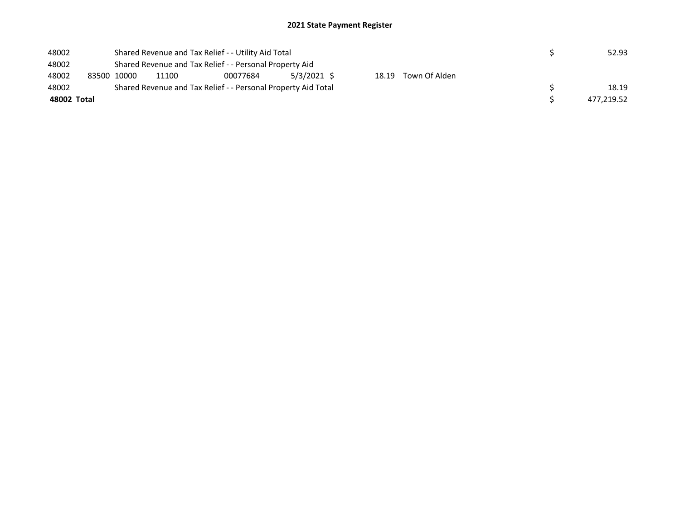| 48002       | Shared Revenue and Tax Relief - - Utility Aid Total |                                                               |          |               |  |                     |  | 52.93      |
|-------------|-----------------------------------------------------|---------------------------------------------------------------|----------|---------------|--|---------------------|--|------------|
| 48002       |                                                     | Shared Revenue and Tax Relief - - Personal Property Aid       |          |               |  |                     |  |            |
| 48002       | 83500 10000                                         | 11100                                                         | 00077684 | $5/3/2021$ \$ |  | 18.19 Town Of Alden |  |            |
| 48002       |                                                     | Shared Revenue and Tax Relief - - Personal Property Aid Total |          |               |  |                     |  | 18.19      |
| 48002 Total |                                                     |                                                               |          |               |  |                     |  | 477,219.52 |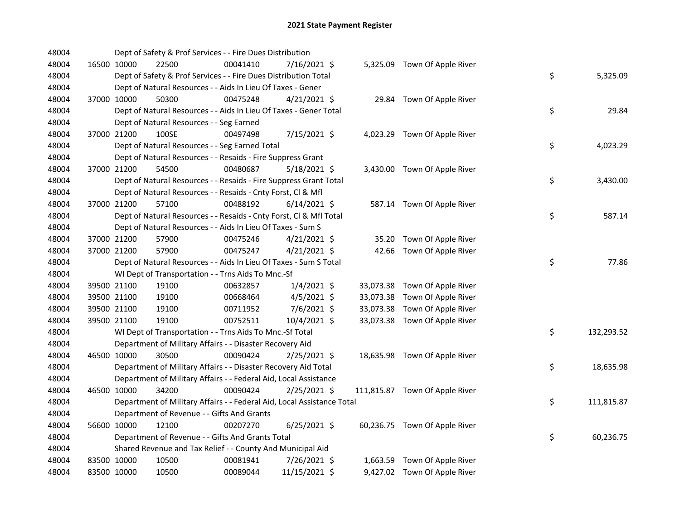| 48004 |             | Dept of Safety & Prof Services - - Fire Dues Distribution              |          |                |  |                                |    |            |
|-------|-------------|------------------------------------------------------------------------|----------|----------------|--|--------------------------------|----|------------|
| 48004 | 16500 10000 | 22500                                                                  | 00041410 | 7/16/2021 \$   |  | 5,325.09 Town Of Apple River   |    |            |
| 48004 |             | Dept of Safety & Prof Services - - Fire Dues Distribution Total        |          |                |  |                                | \$ | 5,325.09   |
| 48004 |             | Dept of Natural Resources - - Aids In Lieu Of Taxes - Gener            |          |                |  |                                |    |            |
| 48004 | 37000 10000 | 50300                                                                  | 00475248 | $4/21/2021$ \$ |  | 29.84 Town Of Apple River      |    |            |
| 48004 |             | Dept of Natural Resources - - Aids In Lieu Of Taxes - Gener Total      |          |                |  |                                | \$ | 29.84      |
| 48004 |             | Dept of Natural Resources - - Seg Earned                               |          |                |  |                                |    |            |
| 48004 | 37000 21200 | 100SE                                                                  | 00497498 | 7/15/2021 \$   |  | 4,023.29 Town Of Apple River   |    |            |
| 48004 |             | Dept of Natural Resources - - Seg Earned Total                         |          |                |  |                                | \$ | 4,023.29   |
| 48004 |             | Dept of Natural Resources - - Resaids - Fire Suppress Grant            |          |                |  |                                |    |            |
| 48004 | 37000 21200 | 54500                                                                  | 00480687 | $5/18/2021$ \$ |  | 3,430.00 Town Of Apple River   |    |            |
| 48004 |             | Dept of Natural Resources - - Resaids - Fire Suppress Grant Total      |          |                |  |                                | \$ | 3,430.00   |
| 48004 |             | Dept of Natural Resources - - Resaids - Cnty Forst, Cl & Mfl           |          |                |  |                                |    |            |
| 48004 | 37000 21200 | 57100                                                                  | 00488192 | $6/14/2021$ \$ |  | 587.14 Town Of Apple River     |    |            |
| 48004 |             | Dept of Natural Resources - - Resaids - Cnty Forst, Cl & Mfl Total     |          |                |  |                                | \$ | 587.14     |
| 48004 |             | Dept of Natural Resources - - Aids In Lieu Of Taxes - Sum S            |          |                |  |                                |    |            |
| 48004 | 37000 21200 | 57900                                                                  | 00475246 | $4/21/2021$ \$ |  | 35.20 Town Of Apple River      |    |            |
| 48004 | 37000 21200 | 57900                                                                  | 00475247 | $4/21/2021$ \$ |  | 42.66 Town Of Apple River      |    |            |
| 48004 |             | Dept of Natural Resources - - Aids In Lieu Of Taxes - Sum S Total      |          |                |  |                                | \$ | 77.86      |
| 48004 |             | WI Dept of Transportation - - Trns Aids To Mnc.-Sf                     |          |                |  |                                |    |            |
| 48004 | 39500 21100 | 19100                                                                  | 00632857 | $1/4/2021$ \$  |  | 33,073.38 Town Of Apple River  |    |            |
| 48004 | 39500 21100 | 19100                                                                  | 00668464 | $4/5/2021$ \$  |  | 33,073.38 Town Of Apple River  |    |            |
| 48004 | 39500 21100 | 19100                                                                  | 00711952 | 7/6/2021 \$    |  | 33,073.38 Town Of Apple River  |    |            |
| 48004 | 39500 21100 | 19100                                                                  | 00752511 | 10/4/2021 \$   |  | 33,073.38 Town Of Apple River  |    |            |
| 48004 |             | WI Dept of Transportation - - Trns Aids To Mnc.-Sf Total               |          |                |  |                                | \$ | 132,293.52 |
| 48004 |             | Department of Military Affairs - - Disaster Recovery Aid               |          |                |  |                                |    |            |
| 48004 | 46500 10000 | 30500                                                                  | 00090424 | 2/25/2021 \$   |  | 18,635.98 Town Of Apple River  |    |            |
| 48004 |             | Department of Military Affairs - - Disaster Recovery Aid Total         |          |                |  |                                | \$ | 18,635.98  |
| 48004 |             | Department of Military Affairs - - Federal Aid, Local Assistance       |          |                |  |                                |    |            |
| 48004 | 46500 10000 | 34200                                                                  | 00090424 | $2/25/2021$ \$ |  | 111,815.87 Town Of Apple River |    |            |
| 48004 |             | Department of Military Affairs - - Federal Aid, Local Assistance Total |          |                |  |                                | \$ | 111,815.87 |
| 48004 |             | Department of Revenue - - Gifts And Grants                             |          |                |  |                                |    |            |
| 48004 | 56600 10000 | 12100                                                                  | 00207270 | $6/25/2021$ \$ |  | 60,236.75 Town Of Apple River  |    |            |
| 48004 |             | Department of Revenue - - Gifts And Grants Total                       |          |                |  |                                | \$ | 60,236.75  |
| 48004 |             | Shared Revenue and Tax Relief - - County And Municipal Aid             |          |                |  |                                |    |            |
| 48004 | 83500 10000 | 10500                                                                  | 00081941 | 7/26/2021 \$   |  | 1,663.59 Town Of Apple River   |    |            |
| 48004 | 83500 10000 | 10500                                                                  | 00089044 | 11/15/2021 \$  |  | 9,427.02 Town Of Apple River   |    |            |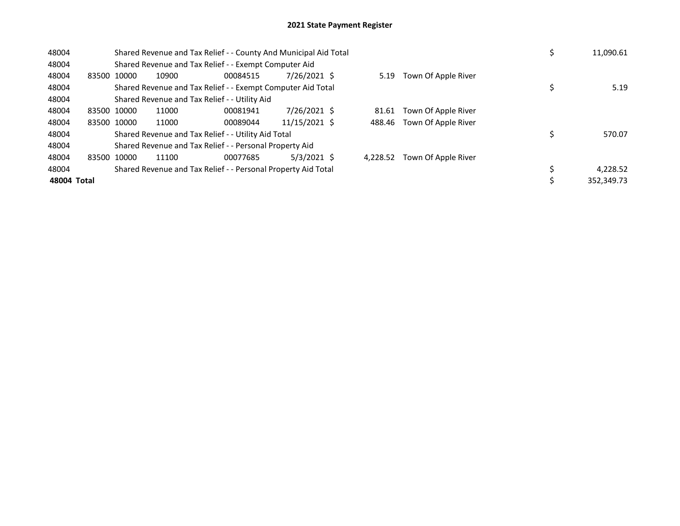| 48004       |             |       | Shared Revenue and Tax Relief - - County And Municipal Aid Total |               |          |                            | 11,090.61  |
|-------------|-------------|-------|------------------------------------------------------------------|---------------|----------|----------------------------|------------|
| 48004       |             |       | Shared Revenue and Tax Relief - - Exempt Computer Aid            |               |          |                            |            |
| 48004       | 83500 10000 | 10900 | 00084515                                                         | 7/26/2021 \$  | 5.19     | Town Of Apple River        |            |
| 48004       |             |       | Shared Revenue and Tax Relief - - Exempt Computer Aid Total      |               |          |                            | 5.19       |
| 48004       |             |       | Shared Revenue and Tax Relief - - Utility Aid                    |               |          |                            |            |
| 48004       | 83500 10000 | 11000 | 00081941                                                         | 7/26/2021 \$  |          | 81.61 Town Of Apple River  |            |
| 48004       | 83500 10000 | 11000 | 00089044                                                         | 11/15/2021 \$ |          | 488.46 Town Of Apple River |            |
| 48004       |             |       | Shared Revenue and Tax Relief - - Utility Aid Total              |               |          |                            | 570.07     |
| 48004       |             |       | Shared Revenue and Tax Relief - - Personal Property Aid          |               |          |                            |            |
| 48004       | 83500 10000 | 11100 | 00077685                                                         | $5/3/2021$ \$ | 4.228.52 | Town Of Apple River        |            |
| 48004       |             |       | Shared Revenue and Tax Relief - - Personal Property Aid Total    |               |          |                            | 4.228.52   |
| 48004 Total |             |       |                                                                  |               |          |                            | 352.349.73 |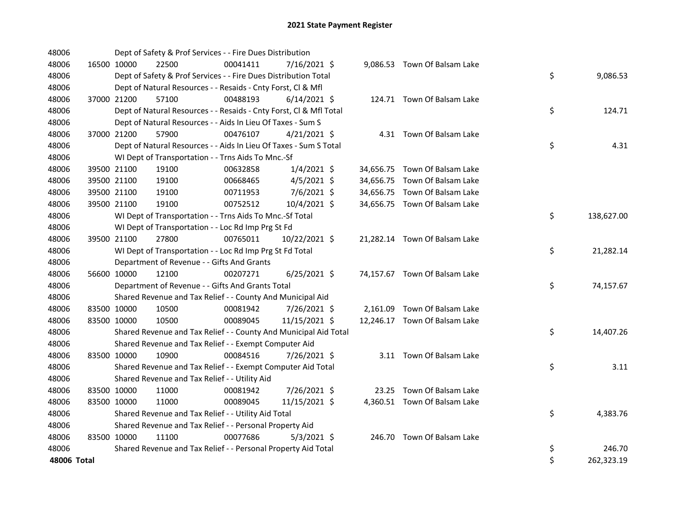| 48006       |             | Dept of Safety & Prof Services - - Fire Dues Distribution          |          |                |  |                               |         |            |
|-------------|-------------|--------------------------------------------------------------------|----------|----------------|--|-------------------------------|---------|------------|
| 48006       | 16500 10000 | 22500                                                              | 00041411 | 7/16/2021 \$   |  | 9,086.53 Town Of Balsam Lake  |         |            |
| 48006       |             | Dept of Safety & Prof Services - - Fire Dues Distribution Total    |          |                |  |                               | \$      | 9,086.53   |
| 48006       |             | Dept of Natural Resources - - Resaids - Cnty Forst, CI & Mfl       |          |                |  |                               |         |            |
| 48006       | 37000 21200 | 57100                                                              | 00488193 | $6/14/2021$ \$ |  | 124.71 Town Of Balsam Lake    |         |            |
| 48006       |             | Dept of Natural Resources - - Resaids - Cnty Forst, Cl & Mfl Total |          |                |  |                               | \$      | 124.71     |
| 48006       |             | Dept of Natural Resources - - Aids In Lieu Of Taxes - Sum S        |          |                |  |                               |         |            |
| 48006       | 37000 21200 | 57900                                                              | 00476107 | $4/21/2021$ \$ |  | 4.31 Town Of Balsam Lake      |         |            |
| 48006       |             | Dept of Natural Resources - - Aids In Lieu Of Taxes - Sum S Total  |          |                |  |                               | \$      | 4.31       |
| 48006       |             | WI Dept of Transportation - - Trns Aids To Mnc.-Sf                 |          |                |  |                               |         |            |
| 48006       | 39500 21100 | 19100                                                              | 00632858 | $1/4/2021$ \$  |  | 34,656.75 Town Of Balsam Lake |         |            |
| 48006       | 39500 21100 | 19100                                                              | 00668465 | $4/5/2021$ \$  |  | 34,656.75 Town Of Balsam Lake |         |            |
| 48006       | 39500 21100 | 19100                                                              | 00711953 | 7/6/2021 \$    |  | 34,656.75 Town Of Balsam Lake |         |            |
| 48006       | 39500 21100 | 19100                                                              | 00752512 | 10/4/2021 \$   |  | 34,656.75 Town Of Balsam Lake |         |            |
| 48006       |             | WI Dept of Transportation - - Trns Aids To Mnc.-Sf Total           |          |                |  |                               | \$      | 138,627.00 |
| 48006       |             | WI Dept of Transportation - - Loc Rd Imp Prg St Fd                 |          |                |  |                               |         |            |
| 48006       | 39500 21100 | 27800                                                              | 00765011 | 10/22/2021 \$  |  | 21,282.14 Town Of Balsam Lake |         |            |
| 48006       |             | WI Dept of Transportation - - Loc Rd Imp Prg St Fd Total           |          |                |  |                               | \$      | 21,282.14  |
| 48006       |             | Department of Revenue - - Gifts And Grants                         |          |                |  |                               |         |            |
| 48006       | 56600 10000 | 12100                                                              | 00207271 | $6/25/2021$ \$ |  | 74,157.67 Town Of Balsam Lake |         |            |
| 48006       |             | Department of Revenue - - Gifts And Grants Total                   |          |                |  |                               | \$      | 74,157.67  |
| 48006       |             | Shared Revenue and Tax Relief - - County And Municipal Aid         |          |                |  |                               |         |            |
| 48006       | 83500 10000 | 10500                                                              | 00081942 | 7/26/2021 \$   |  | 2,161.09 Town Of Balsam Lake  |         |            |
| 48006       | 83500 10000 | 10500                                                              | 00089045 | 11/15/2021 \$  |  | 12,246.17 Town Of Balsam Lake |         |            |
| 48006       |             | Shared Revenue and Tax Relief - - County And Municipal Aid Total   |          |                |  |                               | \$      | 14,407.26  |
| 48006       |             | Shared Revenue and Tax Relief - - Exempt Computer Aid              |          |                |  |                               |         |            |
| 48006       | 83500 10000 | 10900                                                              | 00084516 | 7/26/2021 \$   |  | 3.11 Town Of Balsam Lake      |         |            |
| 48006       |             | Shared Revenue and Tax Relief - - Exempt Computer Aid Total        |          |                |  |                               | \$      | 3.11       |
| 48006       |             | Shared Revenue and Tax Relief - - Utility Aid                      |          |                |  |                               |         |            |
| 48006       | 83500 10000 | 11000                                                              | 00081942 | 7/26/2021 \$   |  | 23.25 Town Of Balsam Lake     |         |            |
| 48006       | 83500 10000 | 11000                                                              | 00089045 | 11/15/2021 \$  |  | 4,360.51 Town Of Balsam Lake  |         |            |
| 48006       |             | Shared Revenue and Tax Relief - - Utility Aid Total                |          |                |  |                               | \$      | 4,383.76   |
| 48006       |             | Shared Revenue and Tax Relief - - Personal Property Aid            |          |                |  |                               |         |            |
| 48006       | 83500 10000 | 11100                                                              | 00077686 | $5/3/2021$ \$  |  | 246.70 Town Of Balsam Lake    |         |            |
| 48006       |             | Shared Revenue and Tax Relief - - Personal Property Aid Total      |          |                |  |                               | \$      | 246.70     |
| 48006 Total |             |                                                                    |          |                |  |                               | $\zeta$ | 262,323.19 |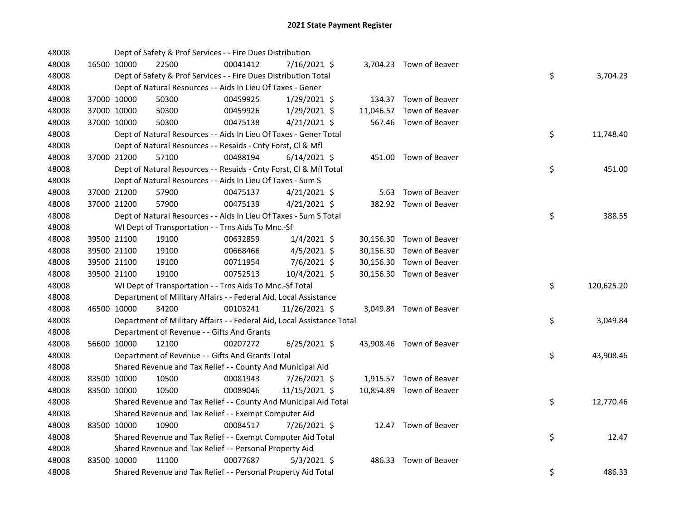| 48008 |             | Dept of Safety & Prof Services - - Fire Dues Distribution              |          |                |  |                          |                  |
|-------|-------------|------------------------------------------------------------------------|----------|----------------|--|--------------------------|------------------|
| 48008 | 16500 10000 | 22500                                                                  | 00041412 | 7/16/2021 \$   |  | 3,704.23 Town of Beaver  |                  |
| 48008 |             | Dept of Safety & Prof Services - - Fire Dues Distribution Total        |          |                |  |                          | \$<br>3,704.23   |
| 48008 |             | Dept of Natural Resources - - Aids In Lieu Of Taxes - Gener            |          |                |  |                          |                  |
| 48008 | 37000 10000 | 50300                                                                  | 00459925 | $1/29/2021$ \$ |  | 134.37 Town of Beaver    |                  |
| 48008 | 37000 10000 | 50300                                                                  | 00459926 | $1/29/2021$ \$ |  | 11,046.57 Town of Beaver |                  |
| 48008 | 37000 10000 | 50300                                                                  | 00475138 | $4/21/2021$ \$ |  | 567.46 Town of Beaver    |                  |
| 48008 |             | Dept of Natural Resources - - Aids In Lieu Of Taxes - Gener Total      |          |                |  |                          | \$<br>11,748.40  |
| 48008 |             | Dept of Natural Resources - - Resaids - Cnty Forst, Cl & Mfl           |          |                |  |                          |                  |
| 48008 | 37000 21200 | 57100                                                                  | 00488194 | $6/14/2021$ \$ |  | 451.00 Town of Beaver    |                  |
| 48008 |             | Dept of Natural Resources - - Resaids - Cnty Forst, Cl & Mfl Total     |          |                |  |                          | \$<br>451.00     |
| 48008 |             | Dept of Natural Resources - - Aids In Lieu Of Taxes - Sum S            |          |                |  |                          |                  |
| 48008 | 37000 21200 | 57900                                                                  | 00475137 | $4/21/2021$ \$ |  | 5.63 Town of Beaver      |                  |
| 48008 | 37000 21200 | 57900                                                                  | 00475139 | $4/21/2021$ \$ |  | 382.92 Town of Beaver    |                  |
| 48008 |             | Dept of Natural Resources - - Aids In Lieu Of Taxes - Sum S Total      |          |                |  |                          | \$<br>388.55     |
| 48008 |             | WI Dept of Transportation - - Trns Aids To Mnc.-Sf                     |          |                |  |                          |                  |
| 48008 | 39500 21100 | 19100                                                                  | 00632859 | $1/4/2021$ \$  |  | 30,156.30 Town of Beaver |                  |
| 48008 | 39500 21100 | 19100                                                                  | 00668466 | $4/5/2021$ \$  |  | 30,156.30 Town of Beaver |                  |
| 48008 | 39500 21100 | 19100                                                                  | 00711954 | 7/6/2021 \$    |  | 30,156.30 Town of Beaver |                  |
| 48008 | 39500 21100 | 19100                                                                  | 00752513 | 10/4/2021 \$   |  | 30,156.30 Town of Beaver |                  |
| 48008 |             | WI Dept of Transportation - - Trns Aids To Mnc.-Sf Total               |          |                |  |                          | \$<br>120,625.20 |
| 48008 |             | Department of Military Affairs - - Federal Aid, Local Assistance       |          |                |  |                          |                  |
| 48008 | 46500 10000 | 34200                                                                  | 00103241 | 11/26/2021 \$  |  | 3,049.84 Town of Beaver  |                  |
| 48008 |             | Department of Military Affairs - - Federal Aid, Local Assistance Total |          |                |  |                          | \$<br>3,049.84   |
| 48008 |             | Department of Revenue - - Gifts And Grants                             |          |                |  |                          |                  |
| 48008 | 56600 10000 | 12100                                                                  | 00207272 | $6/25/2021$ \$ |  | 43,908.46 Town of Beaver |                  |
| 48008 |             | Department of Revenue - - Gifts And Grants Total                       |          |                |  |                          | \$<br>43,908.46  |
| 48008 |             | Shared Revenue and Tax Relief - - County And Municipal Aid             |          |                |  |                          |                  |
| 48008 | 83500 10000 | 10500                                                                  | 00081943 | 7/26/2021 \$   |  | 1,915.57 Town of Beaver  |                  |
| 48008 | 83500 10000 | 10500                                                                  | 00089046 | 11/15/2021 \$  |  | 10,854.89 Town of Beaver |                  |
| 48008 |             | Shared Revenue and Tax Relief - - County And Municipal Aid Total       |          |                |  |                          | \$<br>12,770.46  |
| 48008 |             | Shared Revenue and Tax Relief - - Exempt Computer Aid                  |          |                |  |                          |                  |
| 48008 | 83500 10000 | 10900                                                                  | 00084517 | 7/26/2021 \$   |  | 12.47 Town of Beaver     |                  |
| 48008 |             | Shared Revenue and Tax Relief - - Exempt Computer Aid Total            |          |                |  |                          | \$<br>12.47      |
| 48008 |             | Shared Revenue and Tax Relief - - Personal Property Aid                |          |                |  |                          |                  |
| 48008 | 83500 10000 | 11100                                                                  | 00077687 | $5/3/2021$ \$  |  | 486.33 Town of Beaver    |                  |
| 48008 |             | Shared Revenue and Tax Relief - - Personal Property Aid Total          |          |                |  |                          | \$<br>486.33     |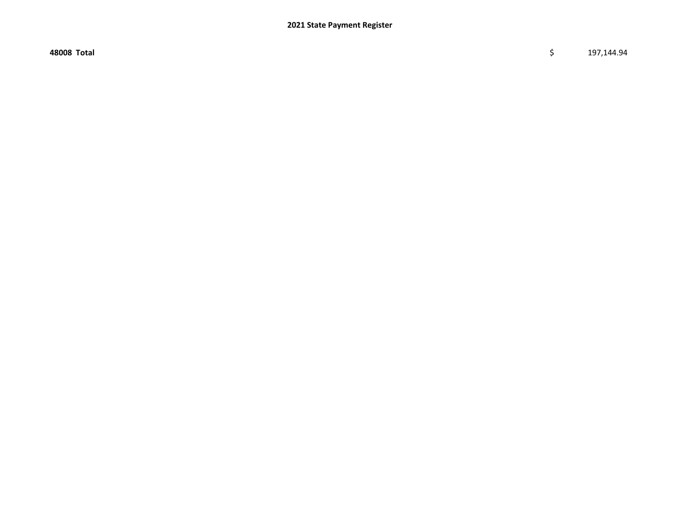48008 Total \$ 197,144.94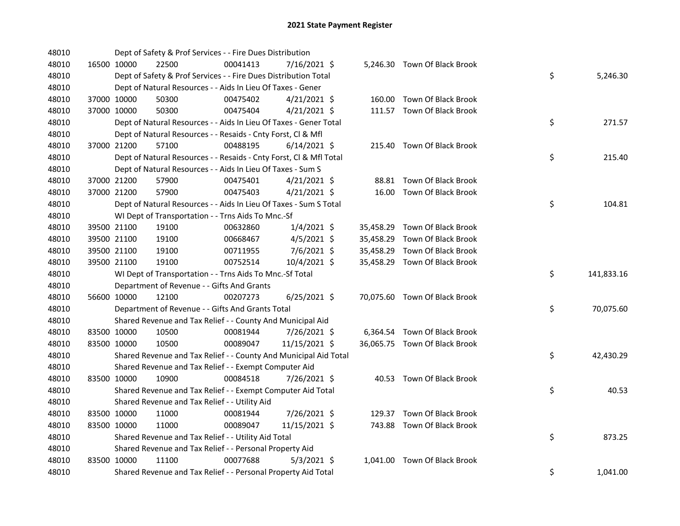| 48010 |             |             | Dept of Safety & Prof Services - - Fire Dues Distribution          |          |                |  |                               |    |            |
|-------|-------------|-------------|--------------------------------------------------------------------|----------|----------------|--|-------------------------------|----|------------|
| 48010 |             | 16500 10000 | 22500                                                              | 00041413 | 7/16/2021 \$   |  | 5,246.30 Town Of Black Brook  |    |            |
| 48010 |             |             | Dept of Safety & Prof Services - - Fire Dues Distribution Total    |          |                |  |                               | \$ | 5,246.30   |
| 48010 |             |             | Dept of Natural Resources - - Aids In Lieu Of Taxes - Gener        |          |                |  |                               |    |            |
| 48010 |             | 37000 10000 | 50300                                                              | 00475402 | $4/21/2021$ \$ |  | 160.00 Town Of Black Brook    |    |            |
| 48010 |             | 37000 10000 | 50300                                                              | 00475404 | $4/21/2021$ \$ |  | 111.57 Town Of Black Brook    |    |            |
| 48010 |             |             | Dept of Natural Resources - - Aids In Lieu Of Taxes - Gener Total  |          |                |  |                               | \$ | 271.57     |
| 48010 |             |             | Dept of Natural Resources - - Resaids - Cnty Forst, Cl & Mfl       |          |                |  |                               |    |            |
| 48010 |             | 37000 21200 | 57100                                                              | 00488195 | $6/14/2021$ \$ |  | 215.40 Town Of Black Brook    |    |            |
| 48010 |             |             | Dept of Natural Resources - - Resaids - Cnty Forst, Cl & Mfl Total |          |                |  |                               | \$ | 215.40     |
| 48010 |             |             | Dept of Natural Resources - - Aids In Lieu Of Taxes - Sum S        |          |                |  |                               |    |            |
| 48010 |             | 37000 21200 | 57900                                                              | 00475401 | $4/21/2021$ \$ |  | 88.81 Town Of Black Brook     |    |            |
| 48010 |             | 37000 21200 | 57900                                                              | 00475403 | $4/21/2021$ \$ |  | 16.00 Town Of Black Brook     |    |            |
| 48010 |             |             | Dept of Natural Resources - - Aids In Lieu Of Taxes - Sum S Total  |          |                |  |                               | \$ | 104.81     |
| 48010 |             |             | WI Dept of Transportation - - Trns Aids To Mnc.-Sf                 |          |                |  |                               |    |            |
| 48010 |             | 39500 21100 | 19100                                                              | 00632860 | $1/4/2021$ \$  |  | 35,458.29 Town Of Black Brook |    |            |
| 48010 |             | 39500 21100 | 19100                                                              | 00668467 | $4/5/2021$ \$  |  | 35,458.29 Town Of Black Brook |    |            |
| 48010 |             | 39500 21100 | 19100                                                              | 00711955 | $7/6/2021$ \$  |  | 35,458.29 Town Of Black Brook |    |            |
| 48010 |             | 39500 21100 | 19100                                                              | 00752514 | 10/4/2021 \$   |  | 35,458.29 Town Of Black Brook |    |            |
| 48010 |             |             | WI Dept of Transportation - - Trns Aids To Mnc.-Sf Total           |          |                |  |                               | \$ | 141,833.16 |
| 48010 |             |             | Department of Revenue - - Gifts And Grants                         |          |                |  |                               |    |            |
| 48010 |             | 56600 10000 | 12100                                                              | 00207273 | $6/25/2021$ \$ |  | 70,075.60 Town Of Black Brook |    |            |
| 48010 |             |             | Department of Revenue - - Gifts And Grants Total                   |          |                |  |                               | \$ | 70,075.60  |
| 48010 |             |             | Shared Revenue and Tax Relief - - County And Municipal Aid         |          |                |  |                               |    |            |
| 48010 |             | 83500 10000 | 10500                                                              | 00081944 | 7/26/2021 \$   |  | 6,364.54 Town Of Black Brook  |    |            |
| 48010 |             | 83500 10000 | 10500                                                              | 00089047 | 11/15/2021 \$  |  | 36,065.75 Town Of Black Brook |    |            |
| 48010 |             |             | Shared Revenue and Tax Relief - - County And Municipal Aid Total   |          |                |  |                               | \$ | 42,430.29  |
| 48010 |             |             | Shared Revenue and Tax Relief - - Exempt Computer Aid              |          |                |  |                               |    |            |
| 48010 |             | 83500 10000 | 10900                                                              | 00084518 | 7/26/2021 \$   |  | 40.53 Town Of Black Brook     |    |            |
| 48010 |             |             | Shared Revenue and Tax Relief - - Exempt Computer Aid Total        |          |                |  |                               | \$ | 40.53      |
| 48010 |             |             | Shared Revenue and Tax Relief - - Utility Aid                      |          |                |  |                               |    |            |
| 48010 |             | 83500 10000 | 11000                                                              | 00081944 | 7/26/2021 \$   |  | 129.37 Town Of Black Brook    |    |            |
| 48010 | 83500 10000 |             | 11000                                                              | 00089047 | 11/15/2021 \$  |  | 743.88 Town Of Black Brook    |    |            |
| 48010 |             |             | Shared Revenue and Tax Relief - - Utility Aid Total                |          |                |  |                               | \$ | 873.25     |
| 48010 |             |             | Shared Revenue and Tax Relief - - Personal Property Aid            |          |                |  |                               |    |            |
| 48010 |             | 83500 10000 | 11100                                                              | 00077688 | $5/3/2021$ \$  |  | 1,041.00 Town Of Black Brook  |    |            |
| 48010 |             |             | Shared Revenue and Tax Relief - - Personal Property Aid Total      |          |                |  |                               | \$ | 1,041.00   |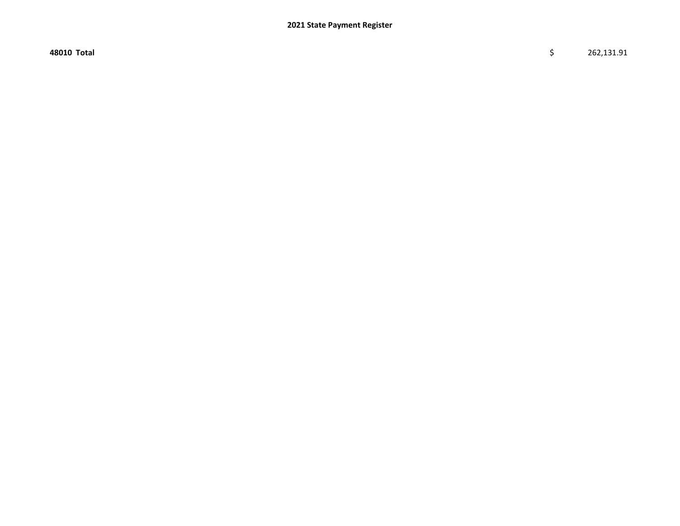48010 Total \$ 262,131.91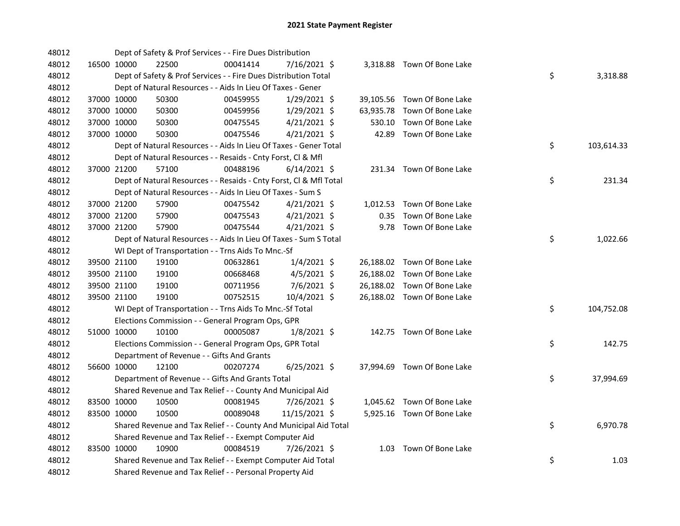| 48012 |             | Dept of Safety & Prof Services - - Fire Dues Distribution          |          |                |        |                             |    |            |
|-------|-------------|--------------------------------------------------------------------|----------|----------------|--------|-----------------------------|----|------------|
| 48012 | 16500 10000 | 22500                                                              | 00041414 | 7/16/2021 \$   |        | 3,318.88 Town Of Bone Lake  |    |            |
| 48012 |             | Dept of Safety & Prof Services - - Fire Dues Distribution Total    |          |                |        |                             | \$ | 3,318.88   |
| 48012 |             | Dept of Natural Resources - - Aids In Lieu Of Taxes - Gener        |          |                |        |                             |    |            |
| 48012 | 37000 10000 | 50300                                                              | 00459955 | 1/29/2021 \$   |        | 39,105.56 Town Of Bone Lake |    |            |
| 48012 | 37000 10000 | 50300                                                              | 00459956 | $1/29/2021$ \$ |        | 63,935.78 Town Of Bone Lake |    |            |
| 48012 | 37000 10000 | 50300                                                              | 00475545 | $4/21/2021$ \$ | 530.10 | Town Of Bone Lake           |    |            |
| 48012 | 37000 10000 | 50300                                                              | 00475546 | $4/21/2021$ \$ |        | 42.89 Town Of Bone Lake     |    |            |
| 48012 |             | Dept of Natural Resources - - Aids In Lieu Of Taxes - Gener Total  |          |                |        |                             | \$ | 103,614.33 |
| 48012 |             | Dept of Natural Resources - - Resaids - Cnty Forst, Cl & Mfl       |          |                |        |                             |    |            |
| 48012 | 37000 21200 | 57100                                                              | 00488196 | $6/14/2021$ \$ |        | 231.34 Town Of Bone Lake    |    |            |
| 48012 |             | Dept of Natural Resources - - Resaids - Cnty Forst, CI & Mfl Total |          |                |        |                             | \$ | 231.34     |
| 48012 |             | Dept of Natural Resources - - Aids In Lieu Of Taxes - Sum S        |          |                |        |                             |    |            |
| 48012 | 37000 21200 | 57900                                                              | 00475542 | $4/21/2021$ \$ |        | 1,012.53 Town Of Bone Lake  |    |            |
| 48012 | 37000 21200 | 57900                                                              | 00475543 | $4/21/2021$ \$ |        | 0.35 Town Of Bone Lake      |    |            |
| 48012 | 37000 21200 | 57900                                                              | 00475544 | $4/21/2021$ \$ |        | 9.78 Town Of Bone Lake      |    |            |
| 48012 |             | Dept of Natural Resources - - Aids In Lieu Of Taxes - Sum S Total  |          |                |        |                             | \$ | 1,022.66   |
| 48012 |             | WI Dept of Transportation - - Trns Aids To Mnc.-Sf                 |          |                |        |                             |    |            |
| 48012 | 39500 21100 | 19100                                                              | 00632861 | $1/4/2021$ \$  |        | 26,188.02 Town Of Bone Lake |    |            |
| 48012 | 39500 21100 | 19100                                                              | 00668468 | 4/5/2021 \$    |        | 26,188.02 Town Of Bone Lake |    |            |
| 48012 | 39500 21100 | 19100                                                              | 00711956 | 7/6/2021 \$    |        | 26,188.02 Town Of Bone Lake |    |            |
| 48012 | 39500 21100 | 19100                                                              | 00752515 | 10/4/2021 \$   |        | 26,188.02 Town Of Bone Lake |    |            |
| 48012 |             | WI Dept of Transportation - - Trns Aids To Mnc.-Sf Total           |          |                |        |                             | \$ | 104,752.08 |
| 48012 |             | Elections Commission - - General Program Ops, GPR                  |          |                |        |                             |    |            |
| 48012 | 51000 10000 | 10100                                                              | 00005087 | $1/8/2021$ \$  |        | 142.75 Town Of Bone Lake    |    |            |
| 48012 |             | Elections Commission - - General Program Ops, GPR Total            |          |                |        |                             | \$ | 142.75     |
| 48012 |             | Department of Revenue - - Gifts And Grants                         |          |                |        |                             |    |            |
| 48012 | 56600 10000 | 12100                                                              | 00207274 | $6/25/2021$ \$ |        | 37,994.69 Town Of Bone Lake |    |            |
| 48012 |             | Department of Revenue - - Gifts And Grants Total                   |          |                |        |                             | \$ | 37,994.69  |
| 48012 |             | Shared Revenue and Tax Relief - - County And Municipal Aid         |          |                |        |                             |    |            |
| 48012 | 83500 10000 | 10500                                                              | 00081945 | 7/26/2021 \$   |        | 1,045.62 Town Of Bone Lake  |    |            |
| 48012 | 83500 10000 | 10500                                                              | 00089048 | 11/15/2021 \$  |        | 5,925.16 Town Of Bone Lake  |    |            |
| 48012 |             | Shared Revenue and Tax Relief - - County And Municipal Aid Total   |          |                |        |                             | \$ | 6,970.78   |
| 48012 |             | Shared Revenue and Tax Relief - - Exempt Computer Aid              |          |                |        |                             |    |            |
| 48012 | 83500 10000 | 10900                                                              | 00084519 | 7/26/2021 \$   |        | 1.03 Town Of Bone Lake      |    |            |
| 48012 |             | Shared Revenue and Tax Relief - - Exempt Computer Aid Total        |          |                |        |                             | \$ | 1.03       |
| 48012 |             | Shared Revenue and Tax Relief - - Personal Property Aid            |          |                |        |                             |    |            |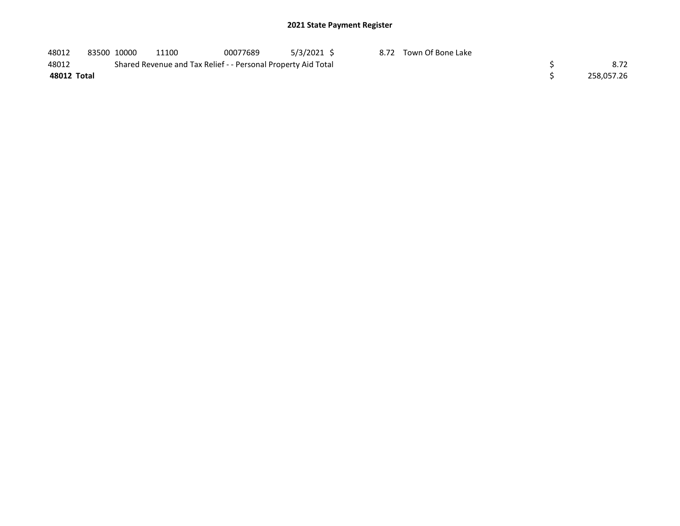| 48012       | 83500 10000 | 11100 | 00077689                                                      | $5/3/2021$ \$ | 8.72 Town Of Bone Lake |            |
|-------------|-------------|-------|---------------------------------------------------------------|---------------|------------------------|------------|
| 48012       |             |       | Shared Revenue and Tax Relief - - Personal Property Aid Total |               |                        | 8.72       |
| 48012 Total |             |       |                                                               |               |                        | 258.057.26 |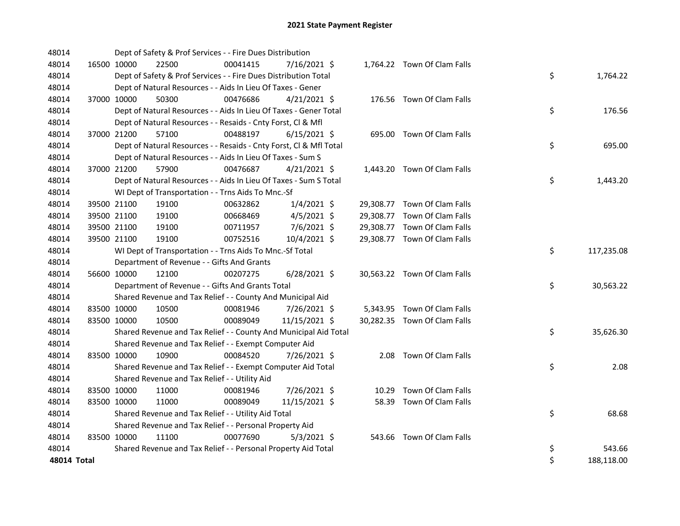| 48014       |             | Dept of Safety & Prof Services - - Fire Dues Distribution          |          |                |  |                              |    |            |
|-------------|-------------|--------------------------------------------------------------------|----------|----------------|--|------------------------------|----|------------|
| 48014       | 16500 10000 | 22500                                                              | 00041415 | 7/16/2021 \$   |  | 1,764.22 Town Of Clam Falls  |    |            |
| 48014       |             | Dept of Safety & Prof Services - - Fire Dues Distribution Total    |          |                |  |                              | \$ | 1,764.22   |
| 48014       |             | Dept of Natural Resources - - Aids In Lieu Of Taxes - Gener        |          |                |  |                              |    |            |
| 48014       | 37000 10000 | 50300                                                              | 00476686 | $4/21/2021$ \$ |  | 176.56 Town Of Clam Falls    |    |            |
| 48014       |             | Dept of Natural Resources - - Aids In Lieu Of Taxes - Gener Total  |          |                |  |                              | \$ | 176.56     |
| 48014       |             | Dept of Natural Resources - - Resaids - Cnty Forst, Cl & Mfl       |          |                |  |                              |    |            |
| 48014       | 37000 21200 | 57100                                                              | 00488197 | $6/15/2021$ \$ |  | 695.00 Town Of Clam Falls    |    |            |
| 48014       |             | Dept of Natural Resources - - Resaids - Cnty Forst, CI & Mfl Total |          |                |  |                              | \$ | 695.00     |
| 48014       |             | Dept of Natural Resources - - Aids In Lieu Of Taxes - Sum S        |          |                |  |                              |    |            |
| 48014       | 37000 21200 | 57900                                                              | 00476687 | $4/21/2021$ \$ |  | 1,443.20 Town Of Clam Falls  |    |            |
| 48014       |             | Dept of Natural Resources - - Aids In Lieu Of Taxes - Sum S Total  |          |                |  |                              | \$ | 1,443.20   |
| 48014       |             | WI Dept of Transportation - - Trns Aids To Mnc.-Sf                 |          |                |  |                              |    |            |
| 48014       | 39500 21100 | 19100                                                              | 00632862 | $1/4/2021$ \$  |  | 29,308.77 Town Of Clam Falls |    |            |
| 48014       | 39500 21100 | 19100                                                              | 00668469 | $4/5/2021$ \$  |  | 29,308.77 Town Of Clam Falls |    |            |
| 48014       | 39500 21100 | 19100                                                              | 00711957 | 7/6/2021 \$    |  | 29,308.77 Town Of Clam Falls |    |            |
| 48014       | 39500 21100 | 19100                                                              | 00752516 | 10/4/2021 \$   |  | 29,308.77 Town Of Clam Falls |    |            |
| 48014       |             | WI Dept of Transportation - - Trns Aids To Mnc.-Sf Total           |          |                |  |                              | \$ | 117,235.08 |
| 48014       |             | Department of Revenue - - Gifts And Grants                         |          |                |  |                              |    |            |
| 48014       | 56600 10000 | 12100                                                              | 00207275 | $6/28/2021$ \$ |  | 30,563.22 Town Of Clam Falls |    |            |
| 48014       |             | Department of Revenue - - Gifts And Grants Total                   |          |                |  |                              | \$ | 30,563.22  |
| 48014       |             | Shared Revenue and Tax Relief - - County And Municipal Aid         |          |                |  |                              |    |            |
| 48014       | 83500 10000 | 10500                                                              | 00081946 | 7/26/2021 \$   |  | 5,343.95 Town Of Clam Falls  |    |            |
| 48014       | 83500 10000 | 10500                                                              | 00089049 | 11/15/2021 \$  |  | 30,282.35 Town Of Clam Falls |    |            |
| 48014       |             | Shared Revenue and Tax Relief - - County And Municipal Aid Total   |          |                |  |                              | \$ | 35,626.30  |
| 48014       |             | Shared Revenue and Tax Relief - - Exempt Computer Aid              |          |                |  |                              |    |            |
| 48014       | 83500 10000 | 10900                                                              | 00084520 | 7/26/2021 \$   |  | 2.08 Town Of Clam Falls      |    |            |
| 48014       |             | Shared Revenue and Tax Relief - - Exempt Computer Aid Total        |          |                |  |                              | \$ | 2.08       |
| 48014       |             | Shared Revenue and Tax Relief - - Utility Aid                      |          |                |  |                              |    |            |
| 48014       | 83500 10000 | 11000                                                              | 00081946 | 7/26/2021 \$   |  | 10.29 Town Of Clam Falls     |    |            |
| 48014       | 83500 10000 | 11000                                                              | 00089049 | 11/15/2021 \$  |  | 58.39 Town Of Clam Falls     |    |            |
| 48014       |             | Shared Revenue and Tax Relief - - Utility Aid Total                |          |                |  |                              | \$ | 68.68      |
| 48014       |             | Shared Revenue and Tax Relief - - Personal Property Aid            |          |                |  |                              |    |            |
| 48014       | 83500 10000 | 11100                                                              | 00077690 | $5/3/2021$ \$  |  | 543.66 Town Of Clam Falls    |    |            |
| 48014       |             | Shared Revenue and Tax Relief - - Personal Property Aid Total      |          |                |  |                              | \$ | 543.66     |
| 48014 Total |             |                                                                    |          |                |  |                              | \$ | 188,118.00 |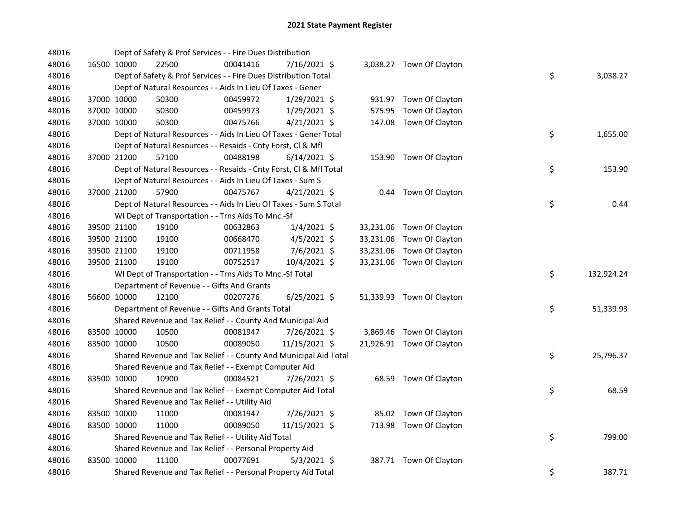| 48016 |             | Dept of Safety & Prof Services - - Fire Dues Distribution          |          |                |        |                           |    |            |
|-------|-------------|--------------------------------------------------------------------|----------|----------------|--------|---------------------------|----|------------|
| 48016 | 16500 10000 | 22500                                                              | 00041416 | 7/16/2021 \$   |        | 3,038.27 Town Of Clayton  |    |            |
| 48016 |             | Dept of Safety & Prof Services - - Fire Dues Distribution Total    |          |                |        |                           | \$ | 3,038.27   |
| 48016 |             | Dept of Natural Resources - - Aids In Lieu Of Taxes - Gener        |          |                |        |                           |    |            |
| 48016 | 37000 10000 | 50300                                                              | 00459972 | $1/29/2021$ \$ |        | 931.97 Town Of Clayton    |    |            |
| 48016 | 37000 10000 | 50300                                                              | 00459973 | $1/29/2021$ \$ | 575.95 | Town Of Clayton           |    |            |
| 48016 | 37000 10000 | 50300                                                              | 00475766 | $4/21/2021$ \$ |        | 147.08 Town Of Clayton    |    |            |
| 48016 |             | Dept of Natural Resources - - Aids In Lieu Of Taxes - Gener Total  |          |                |        |                           | \$ | 1,655.00   |
| 48016 |             | Dept of Natural Resources - - Resaids - Cnty Forst, Cl & Mfl       |          |                |        |                           |    |            |
| 48016 | 37000 21200 | 57100                                                              | 00488198 | $6/14/2021$ \$ |        | 153.90 Town Of Clayton    |    |            |
| 48016 |             | Dept of Natural Resources - - Resaids - Cnty Forst, Cl & Mfl Total |          |                |        |                           | \$ | 153.90     |
| 48016 |             | Dept of Natural Resources - - Aids In Lieu Of Taxes - Sum S        |          |                |        |                           |    |            |
| 48016 | 37000 21200 | 57900                                                              | 00475767 | $4/21/2021$ \$ |        | 0.44 Town Of Clayton      |    |            |
| 48016 |             | Dept of Natural Resources - - Aids In Lieu Of Taxes - Sum S Total  |          |                |        |                           | \$ | 0.44       |
| 48016 |             | WI Dept of Transportation - - Trns Aids To Mnc.-Sf                 |          |                |        |                           |    |            |
| 48016 | 39500 21100 | 19100                                                              | 00632863 | $1/4/2021$ \$  |        | 33,231.06 Town Of Clayton |    |            |
| 48016 | 39500 21100 | 19100                                                              | 00668470 | $4/5/2021$ \$  |        | 33,231.06 Town Of Clayton |    |            |
| 48016 | 39500 21100 | 19100                                                              | 00711958 | 7/6/2021 \$    |        | 33,231.06 Town Of Clayton |    |            |
| 48016 | 39500 21100 | 19100                                                              | 00752517 | 10/4/2021 \$   |        | 33,231.06 Town Of Clayton |    |            |
| 48016 |             | WI Dept of Transportation - - Trns Aids To Mnc.-Sf Total           |          |                |        |                           | \$ | 132,924.24 |
| 48016 |             | Department of Revenue - - Gifts And Grants                         |          |                |        |                           |    |            |
| 48016 | 56600 10000 | 12100                                                              | 00207276 | $6/25/2021$ \$ |        | 51,339.93 Town Of Clayton |    |            |
| 48016 |             | Department of Revenue - - Gifts And Grants Total                   |          |                |        |                           | \$ | 51,339.93  |
| 48016 |             | Shared Revenue and Tax Relief - - County And Municipal Aid         |          |                |        |                           |    |            |
| 48016 | 83500 10000 | 10500                                                              | 00081947 | 7/26/2021 \$   |        | 3,869.46 Town Of Clayton  |    |            |
| 48016 | 83500 10000 | 10500                                                              | 00089050 | 11/15/2021 \$  |        | 21,926.91 Town Of Clayton |    |            |
| 48016 |             | Shared Revenue and Tax Relief - - County And Municipal Aid Total   |          |                |        |                           | \$ | 25,796.37  |
| 48016 |             | Shared Revenue and Tax Relief - - Exempt Computer Aid              |          |                |        |                           |    |            |
| 48016 | 83500 10000 | 10900                                                              | 00084521 | 7/26/2021 \$   |        | 68.59 Town Of Clayton     |    |            |
| 48016 |             | Shared Revenue and Tax Relief - - Exempt Computer Aid Total        |          |                |        |                           | \$ | 68.59      |
| 48016 |             | Shared Revenue and Tax Relief - - Utility Aid                      |          |                |        |                           |    |            |
| 48016 | 83500 10000 | 11000                                                              | 00081947 | 7/26/2021 \$   |        | 85.02 Town Of Clayton     |    |            |
| 48016 | 83500 10000 | 11000                                                              | 00089050 | 11/15/2021 \$  |        | 713.98 Town Of Clayton    |    |            |
| 48016 |             | Shared Revenue and Tax Relief - - Utility Aid Total                |          |                |        |                           | \$ | 799.00     |
| 48016 |             | Shared Revenue and Tax Relief - - Personal Property Aid            |          |                |        |                           |    |            |
| 48016 | 83500 10000 | 11100                                                              | 00077691 | $5/3/2021$ \$  |        | 387.71 Town Of Clayton    |    |            |
| 48016 |             | Shared Revenue and Tax Relief - - Personal Property Aid Total      |          |                |        |                           | \$ | 387.71     |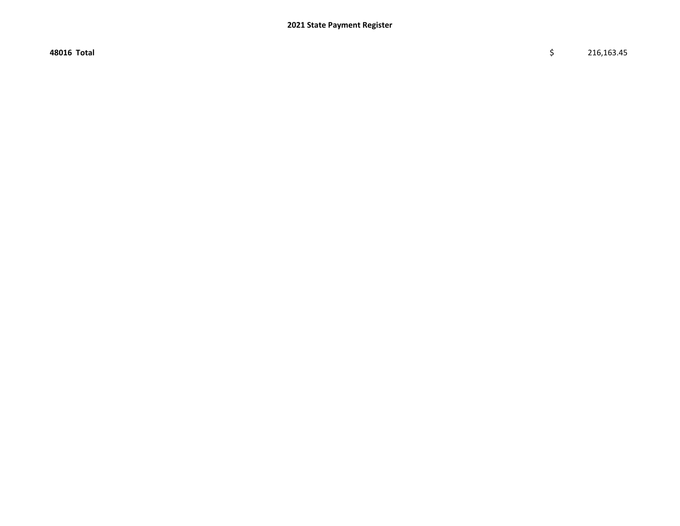48016 Total \$ 216,163.45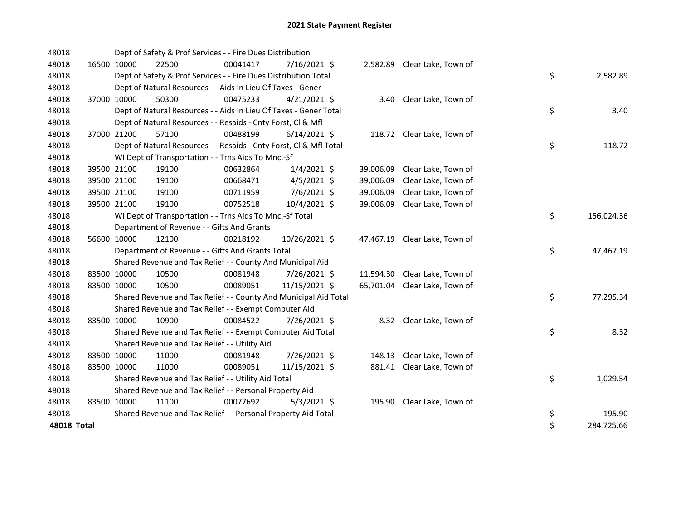| 48018       |             |             | Dept of Safety & Prof Services - - Fire Dues Distribution          |          |                |           |                               |    |            |
|-------------|-------------|-------------|--------------------------------------------------------------------|----------|----------------|-----------|-------------------------------|----|------------|
| 48018       |             | 16500 10000 | 22500                                                              | 00041417 | 7/16/2021 \$   |           | 2,582.89 Clear Lake, Town of  |    |            |
| 48018       |             |             | Dept of Safety & Prof Services - - Fire Dues Distribution Total    |          |                |           |                               | \$ | 2,582.89   |
| 48018       |             |             | Dept of Natural Resources - - Aids In Lieu Of Taxes - Gener        |          |                |           |                               |    |            |
| 48018       |             | 37000 10000 | 50300                                                              | 00475233 | $4/21/2021$ \$ |           | 3.40 Clear Lake, Town of      |    |            |
| 48018       |             |             | Dept of Natural Resources - - Aids In Lieu Of Taxes - Gener Total  |          |                |           |                               | \$ | 3.40       |
| 48018       |             |             | Dept of Natural Resources - - Resaids - Cnty Forst, Cl & Mfl       |          |                |           |                               |    |            |
| 48018       |             | 37000 21200 | 57100                                                              | 00488199 | $6/14/2021$ \$ |           | 118.72 Clear Lake, Town of    |    |            |
| 48018       |             |             | Dept of Natural Resources - - Resaids - Cnty Forst, Cl & Mfl Total |          |                |           |                               | \$ | 118.72     |
| 48018       |             |             | WI Dept of Transportation - - Trns Aids To Mnc.-Sf                 |          |                |           |                               |    |            |
| 48018       |             | 39500 21100 | 19100                                                              | 00632864 | $1/4/2021$ \$  |           | 39,006.09 Clear Lake, Town of |    |            |
| 48018       |             | 39500 21100 | 19100                                                              | 00668471 | $4/5/2021$ \$  | 39,006.09 | Clear Lake, Town of           |    |            |
| 48018       |             | 39500 21100 | 19100                                                              | 00711959 | 7/6/2021 \$    | 39,006.09 | Clear Lake, Town of           |    |            |
| 48018       |             | 39500 21100 | 19100                                                              | 00752518 | 10/4/2021 \$   |           | 39,006.09 Clear Lake, Town of |    |            |
| 48018       |             |             | WI Dept of Transportation - - Trns Aids To Mnc.-Sf Total           |          |                |           |                               | \$ | 156,024.36 |
| 48018       |             |             | Department of Revenue - - Gifts And Grants                         |          |                |           |                               |    |            |
| 48018       |             | 56600 10000 | 12100                                                              | 00218192 | 10/26/2021 \$  |           | 47,467.19 Clear Lake, Town of |    |            |
| 48018       |             |             | Department of Revenue - - Gifts And Grants Total                   |          |                |           |                               | \$ | 47,467.19  |
| 48018       |             |             | Shared Revenue and Tax Relief - - County And Municipal Aid         |          |                |           |                               |    |            |
| 48018       |             | 83500 10000 | 10500                                                              | 00081948 | 7/26/2021 \$   |           | 11,594.30 Clear Lake, Town of |    |            |
| 48018       |             | 83500 10000 | 10500                                                              | 00089051 | 11/15/2021 \$  |           | 65,701.04 Clear Lake, Town of |    |            |
| 48018       |             |             | Shared Revenue and Tax Relief - - County And Municipal Aid Total   |          |                |           |                               | \$ | 77,295.34  |
| 48018       |             |             | Shared Revenue and Tax Relief - - Exempt Computer Aid              |          |                |           |                               |    |            |
| 48018       | 83500 10000 |             | 10900                                                              | 00084522 | 7/26/2021 \$   |           | 8.32 Clear Lake, Town of      |    |            |
| 48018       |             |             | Shared Revenue and Tax Relief - - Exempt Computer Aid Total        |          |                |           |                               | \$ | 8.32       |
| 48018       |             |             | Shared Revenue and Tax Relief - - Utility Aid                      |          |                |           |                               |    |            |
| 48018       |             | 83500 10000 | 11000                                                              | 00081948 | 7/26/2021 \$   |           | 148.13 Clear Lake, Town of    |    |            |
| 48018       |             | 83500 10000 | 11000                                                              | 00089051 | 11/15/2021 \$  |           | 881.41 Clear Lake, Town of    |    |            |
| 48018       |             |             | Shared Revenue and Tax Relief - - Utility Aid Total                |          |                |           |                               | \$ | 1,029.54   |
| 48018       |             |             | Shared Revenue and Tax Relief - - Personal Property Aid            |          |                |           |                               |    |            |
| 48018       |             | 83500 10000 | 11100                                                              | 00077692 | $5/3/2021$ \$  |           | 195.90 Clear Lake, Town of    |    |            |
| 48018       |             |             | Shared Revenue and Tax Relief - - Personal Property Aid Total      |          |                |           |                               | \$ | 195.90     |
| 48018 Total |             |             |                                                                    |          |                |           |                               | \$ | 284,725.66 |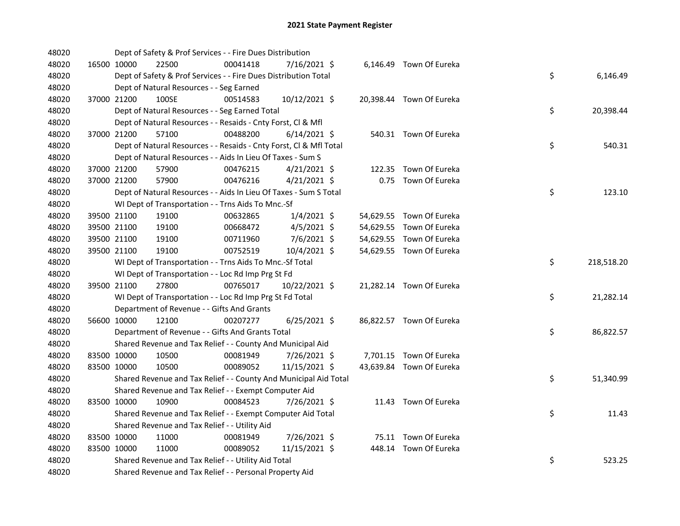| 48020 |             | Dept of Safety & Prof Services - - Fire Dues Distribution          |          |                |  |                          |    |            |
|-------|-------------|--------------------------------------------------------------------|----------|----------------|--|--------------------------|----|------------|
| 48020 | 16500 10000 | 22500                                                              | 00041418 | 7/16/2021 \$   |  | 6,146.49 Town Of Eureka  |    |            |
| 48020 |             | Dept of Safety & Prof Services - - Fire Dues Distribution Total    |          |                |  |                          | \$ | 6,146.49   |
| 48020 |             | Dept of Natural Resources - - Seg Earned                           |          |                |  |                          |    |            |
| 48020 | 37000 21200 | 100SE                                                              | 00514583 | 10/12/2021 \$  |  | 20,398.44 Town Of Eureka |    |            |
| 48020 |             | Dept of Natural Resources - - Seg Earned Total                     |          |                |  |                          | \$ | 20,398.44  |
| 48020 |             | Dept of Natural Resources - - Resaids - Cnty Forst, Cl & Mfl       |          |                |  |                          |    |            |
| 48020 | 37000 21200 | 57100                                                              | 00488200 | $6/14/2021$ \$ |  | 540.31 Town Of Eureka    |    |            |
| 48020 |             | Dept of Natural Resources - - Resaids - Cnty Forst, Cl & Mfl Total |          |                |  |                          | \$ | 540.31     |
| 48020 |             | Dept of Natural Resources - - Aids In Lieu Of Taxes - Sum S        |          |                |  |                          |    |            |
| 48020 | 37000 21200 | 57900                                                              | 00476215 | $4/21/2021$ \$ |  | 122.35 Town Of Eureka    |    |            |
| 48020 | 37000 21200 | 57900                                                              | 00476216 | $4/21/2021$ \$ |  | 0.75 Town Of Eureka      |    |            |
| 48020 |             | Dept of Natural Resources - - Aids In Lieu Of Taxes - Sum S Total  |          |                |  |                          | \$ | 123.10     |
| 48020 |             | WI Dept of Transportation - - Trns Aids To Mnc.-Sf                 |          |                |  |                          |    |            |
| 48020 | 39500 21100 | 19100                                                              | 00632865 | $1/4/2021$ \$  |  | 54,629.55 Town Of Eureka |    |            |
| 48020 | 39500 21100 | 19100                                                              | 00668472 | 4/5/2021 \$    |  | 54,629.55 Town Of Eureka |    |            |
| 48020 | 39500 21100 | 19100                                                              | 00711960 | 7/6/2021 \$    |  | 54,629.55 Town Of Eureka |    |            |
| 48020 | 39500 21100 | 19100                                                              | 00752519 | 10/4/2021 \$   |  | 54,629.55 Town Of Eureka |    |            |
| 48020 |             | WI Dept of Transportation - - Trns Aids To Mnc.-Sf Total           |          |                |  |                          | \$ | 218,518.20 |
| 48020 |             | WI Dept of Transportation - - Loc Rd Imp Prg St Fd                 |          |                |  |                          |    |            |
| 48020 | 39500 21100 | 27800                                                              | 00765017 | 10/22/2021 \$  |  | 21,282.14 Town Of Eureka |    |            |
| 48020 |             | WI Dept of Transportation - - Loc Rd Imp Prg St Fd Total           |          |                |  |                          | \$ | 21,282.14  |
| 48020 |             | Department of Revenue - - Gifts And Grants                         |          |                |  |                          |    |            |
| 48020 | 56600 10000 | 12100                                                              | 00207277 | $6/25/2021$ \$ |  | 86,822.57 Town Of Eureka |    |            |
| 48020 |             | Department of Revenue - - Gifts And Grants Total                   |          |                |  |                          | \$ | 86,822.57  |
| 48020 |             | Shared Revenue and Tax Relief - - County And Municipal Aid         |          |                |  |                          |    |            |
| 48020 | 83500 10000 | 10500                                                              | 00081949 | 7/26/2021 \$   |  | 7,701.15 Town Of Eureka  |    |            |
| 48020 | 83500 10000 | 10500                                                              | 00089052 | 11/15/2021 \$  |  | 43,639.84 Town Of Eureka |    |            |
| 48020 |             | Shared Revenue and Tax Relief - - County And Municipal Aid Total   |          |                |  |                          | \$ | 51,340.99  |
| 48020 |             | Shared Revenue and Tax Relief - - Exempt Computer Aid              |          |                |  |                          |    |            |
| 48020 | 83500 10000 | 10900                                                              | 00084523 | 7/26/2021 \$   |  | 11.43 Town Of Eureka     |    |            |
| 48020 |             | Shared Revenue and Tax Relief - - Exempt Computer Aid Total        |          |                |  |                          | \$ | 11.43      |
| 48020 |             | Shared Revenue and Tax Relief - - Utility Aid                      |          |                |  |                          |    |            |
| 48020 | 83500 10000 | 11000                                                              | 00081949 | 7/26/2021 \$   |  | 75.11 Town Of Eureka     |    |            |
| 48020 | 83500 10000 | 11000                                                              | 00089052 | 11/15/2021 \$  |  | 448.14 Town Of Eureka    |    |            |
| 48020 |             | Shared Revenue and Tax Relief - - Utility Aid Total                |          |                |  |                          | \$ | 523.25     |
| 48020 |             | Shared Revenue and Tax Relief - - Personal Property Aid            |          |                |  |                          |    |            |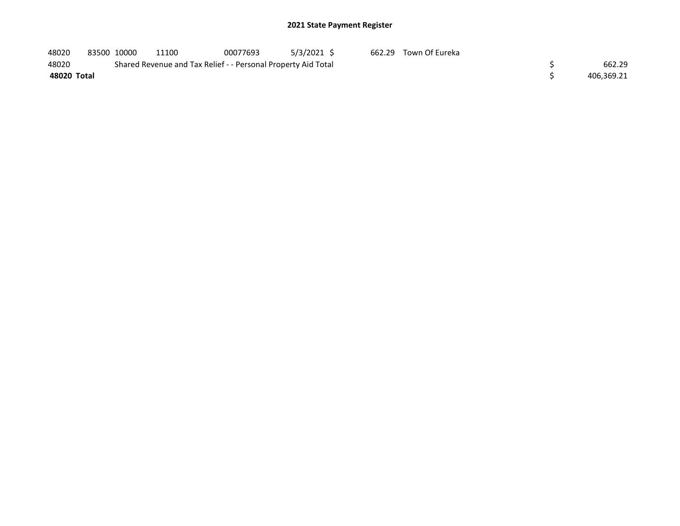| 48020       | 83500 10000 | 11100                                                         | 00077693 | 5/3/2021 \$ | 662.29 Town Of Eureka |            |
|-------------|-------------|---------------------------------------------------------------|----------|-------------|-----------------------|------------|
| 48020       |             | Shared Revenue and Tax Relief - - Personal Property Aid Total |          |             |                       | 662.29     |
| 48020 Total |             |                                                               |          |             |                       | 406,369.21 |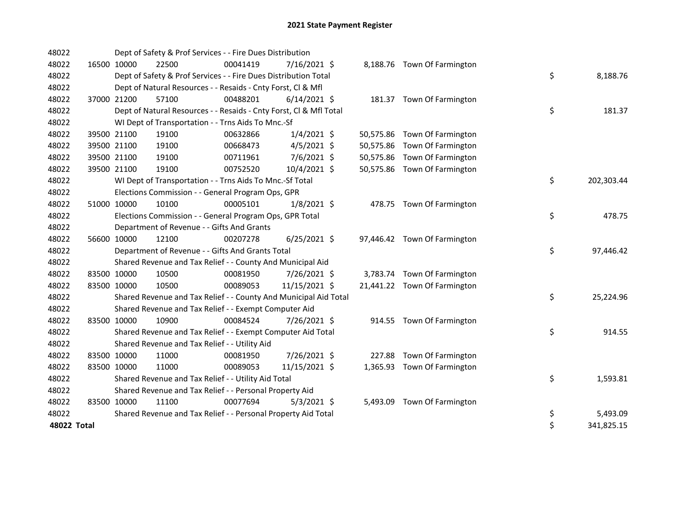| 48022       |             |             | Dept of Safety & Prof Services - - Fire Dues Distribution          |          |                |  |                              |    |            |
|-------------|-------------|-------------|--------------------------------------------------------------------|----------|----------------|--|------------------------------|----|------------|
| 48022       | 16500 10000 |             | 22500                                                              | 00041419 | 7/16/2021 \$   |  | 8,188.76 Town Of Farmington  |    |            |
| 48022       |             |             | Dept of Safety & Prof Services - - Fire Dues Distribution Total    |          |                |  |                              | \$ | 8,188.76   |
| 48022       |             |             | Dept of Natural Resources - - Resaids - Cnty Forst, CI & Mfl       |          |                |  |                              |    |            |
| 48022       |             | 37000 21200 | 57100                                                              | 00488201 | $6/14/2021$ \$ |  | 181.37 Town Of Farmington    |    |            |
| 48022       |             |             | Dept of Natural Resources - - Resaids - Cnty Forst, Cl & Mfl Total |          |                |  |                              | \$ | 181.37     |
| 48022       |             |             | WI Dept of Transportation - - Trns Aids To Mnc.-Sf                 |          |                |  |                              |    |            |
| 48022       |             | 39500 21100 | 19100                                                              | 00632866 | $1/4/2021$ \$  |  | 50,575.86 Town Of Farmington |    |            |
| 48022       |             | 39500 21100 | 19100                                                              | 00668473 | $4/5/2021$ \$  |  | 50,575.86 Town Of Farmington |    |            |
| 48022       |             | 39500 21100 | 19100                                                              | 00711961 | 7/6/2021 \$    |  | 50,575.86 Town Of Farmington |    |            |
| 48022       |             | 39500 21100 | 19100                                                              | 00752520 | 10/4/2021 \$   |  | 50,575.86 Town Of Farmington |    |            |
| 48022       |             |             | WI Dept of Transportation - - Trns Aids To Mnc.-Sf Total           |          |                |  |                              | \$ | 202,303.44 |
| 48022       |             |             | Elections Commission - - General Program Ops, GPR                  |          |                |  |                              |    |            |
| 48022       |             | 51000 10000 | 10100                                                              | 00005101 | $1/8/2021$ \$  |  | 478.75 Town Of Farmington    |    |            |
| 48022       |             |             | Elections Commission - - General Program Ops, GPR Total            |          |                |  |                              | \$ | 478.75     |
| 48022       |             |             | Department of Revenue - - Gifts And Grants                         |          |                |  |                              |    |            |
| 48022       | 56600 10000 |             | 12100                                                              | 00207278 | $6/25/2021$ \$ |  | 97,446.42 Town Of Farmington |    |            |
| 48022       |             |             | Department of Revenue - - Gifts And Grants Total                   |          |                |  |                              | \$ | 97,446.42  |
| 48022       |             |             | Shared Revenue and Tax Relief - - County And Municipal Aid         |          |                |  |                              |    |            |
| 48022       |             | 83500 10000 | 10500                                                              | 00081950 | 7/26/2021 \$   |  | 3,783.74 Town Of Farmington  |    |            |
| 48022       |             | 83500 10000 | 10500                                                              | 00089053 | 11/15/2021 \$  |  | 21,441.22 Town Of Farmington |    |            |
| 48022       |             |             | Shared Revenue and Tax Relief - - County And Municipal Aid Total   |          |                |  |                              | \$ | 25,224.96  |
| 48022       |             |             | Shared Revenue and Tax Relief - - Exempt Computer Aid              |          |                |  |                              |    |            |
| 48022       | 83500 10000 |             | 10900                                                              | 00084524 | 7/26/2021 \$   |  | 914.55 Town Of Farmington    |    |            |
| 48022       |             |             | Shared Revenue and Tax Relief - - Exempt Computer Aid Total        |          |                |  |                              | \$ | 914.55     |
| 48022       |             |             | Shared Revenue and Tax Relief - - Utility Aid                      |          |                |  |                              |    |            |
| 48022       |             | 83500 10000 | 11000                                                              | 00081950 | 7/26/2021 \$   |  | 227.88 Town Of Farmington    |    |            |
| 48022       |             | 83500 10000 | 11000                                                              | 00089053 | 11/15/2021 \$  |  | 1,365.93 Town Of Farmington  |    |            |
| 48022       |             |             | Shared Revenue and Tax Relief - - Utility Aid Total                |          |                |  |                              | \$ | 1,593.81   |
| 48022       |             |             | Shared Revenue and Tax Relief - - Personal Property Aid            |          |                |  |                              |    |            |
| 48022       | 83500 10000 |             | 11100                                                              | 00077694 | $5/3/2021$ \$  |  | 5,493.09 Town Of Farmington  |    |            |
| 48022       |             |             | Shared Revenue and Tax Relief - - Personal Property Aid Total      |          |                |  |                              | \$ | 5,493.09   |
| 48022 Total |             |             |                                                                    |          |                |  |                              | \$ | 341,825.15 |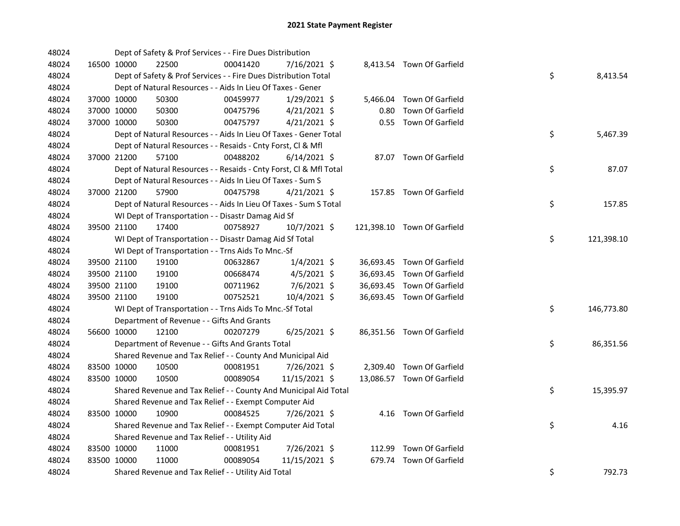| 48024 |             | Dept of Safety & Prof Services - - Fire Dues Distribution          |          |                |      |                             |    |            |
|-------|-------------|--------------------------------------------------------------------|----------|----------------|------|-----------------------------|----|------------|
| 48024 | 16500 10000 | 22500                                                              | 00041420 | 7/16/2021 \$   |      | 8,413.54 Town Of Garfield   |    |            |
| 48024 |             | Dept of Safety & Prof Services - - Fire Dues Distribution Total    |          |                |      |                             | \$ | 8,413.54   |
| 48024 |             | Dept of Natural Resources - - Aids In Lieu Of Taxes - Gener        |          |                |      |                             |    |            |
| 48024 | 37000 10000 | 50300                                                              | 00459977 | $1/29/2021$ \$ |      | 5,466.04 Town Of Garfield   |    |            |
| 48024 | 37000 10000 | 50300                                                              | 00475796 | $4/21/2021$ \$ | 0.80 | Town Of Garfield            |    |            |
| 48024 | 37000 10000 | 50300                                                              | 00475797 | $4/21/2021$ \$ |      | 0.55 Town Of Garfield       |    |            |
| 48024 |             | Dept of Natural Resources - - Aids In Lieu Of Taxes - Gener Total  |          |                |      |                             | \$ | 5,467.39   |
| 48024 |             | Dept of Natural Resources - - Resaids - Cnty Forst, Cl & Mfl       |          |                |      |                             |    |            |
| 48024 | 37000 21200 | 57100                                                              | 00488202 | $6/14/2021$ \$ |      | 87.07 Town Of Garfield      |    |            |
| 48024 |             | Dept of Natural Resources - - Resaids - Cnty Forst, Cl & Mfl Total |          |                |      |                             | \$ | 87.07      |
| 48024 |             | Dept of Natural Resources - - Aids In Lieu Of Taxes - Sum S        |          |                |      |                             |    |            |
| 48024 | 37000 21200 | 57900                                                              | 00475798 | 4/21/2021 \$   |      | 157.85 Town Of Garfield     |    |            |
| 48024 |             | Dept of Natural Resources - - Aids In Lieu Of Taxes - Sum S Total  |          |                |      |                             | \$ | 157.85     |
| 48024 |             | WI Dept of Transportation - - Disastr Damag Aid Sf                 |          |                |      |                             |    |            |
| 48024 | 39500 21100 | 17400                                                              | 00758927 | 10/7/2021 \$   |      | 121,398.10 Town Of Garfield |    |            |
| 48024 |             | WI Dept of Transportation - - Disastr Damag Aid Sf Total           |          |                |      |                             | \$ | 121,398.10 |
| 48024 |             | WI Dept of Transportation - - Trns Aids To Mnc.-Sf                 |          |                |      |                             |    |            |
| 48024 | 39500 21100 | 19100                                                              | 00632867 | $1/4/2021$ \$  |      | 36,693.45 Town Of Garfield  |    |            |
| 48024 | 39500 21100 | 19100                                                              | 00668474 | $4/5/2021$ \$  |      | 36,693.45 Town Of Garfield  |    |            |
| 48024 | 39500 21100 | 19100                                                              | 00711962 | 7/6/2021 \$    |      | 36,693.45 Town Of Garfield  |    |            |
| 48024 | 39500 21100 | 19100                                                              | 00752521 | 10/4/2021 \$   |      | 36,693.45 Town Of Garfield  |    |            |
| 48024 |             | WI Dept of Transportation - - Trns Aids To Mnc.-Sf Total           |          |                |      |                             | \$ | 146,773.80 |
| 48024 |             | Department of Revenue - - Gifts And Grants                         |          |                |      |                             |    |            |
| 48024 | 56600 10000 | 12100                                                              | 00207279 | $6/25/2021$ \$ |      | 86,351.56 Town Of Garfield  |    |            |
| 48024 |             | Department of Revenue - - Gifts And Grants Total                   |          |                |      |                             | \$ | 86,351.56  |
| 48024 |             | Shared Revenue and Tax Relief - - County And Municipal Aid         |          |                |      |                             |    |            |
| 48024 | 83500 10000 | 10500                                                              | 00081951 | 7/26/2021 \$   |      | 2,309.40 Town Of Garfield   |    |            |
| 48024 | 83500 10000 | 10500                                                              | 00089054 | 11/15/2021 \$  |      | 13,086.57 Town Of Garfield  |    |            |
| 48024 |             | Shared Revenue and Tax Relief - - County And Municipal Aid Total   |          |                |      |                             | \$ | 15,395.97  |
| 48024 |             | Shared Revenue and Tax Relief - - Exempt Computer Aid              |          |                |      |                             |    |            |
| 48024 | 83500 10000 | 10900                                                              | 00084525 | 7/26/2021 \$   |      | 4.16 Town Of Garfield       |    |            |
| 48024 |             | Shared Revenue and Tax Relief - - Exempt Computer Aid Total        |          |                |      |                             | \$ | 4.16       |
| 48024 |             | Shared Revenue and Tax Relief - - Utility Aid                      |          |                |      |                             |    |            |
| 48024 | 83500 10000 | 11000                                                              | 00081951 | 7/26/2021 \$   |      | 112.99 Town Of Garfield     |    |            |
| 48024 | 83500 10000 | 11000                                                              | 00089054 | 11/15/2021 \$  |      | 679.74 Town Of Garfield     |    |            |
| 48024 |             | Shared Revenue and Tax Relief - - Utility Aid Total                |          |                |      |                             | \$ | 792.73     |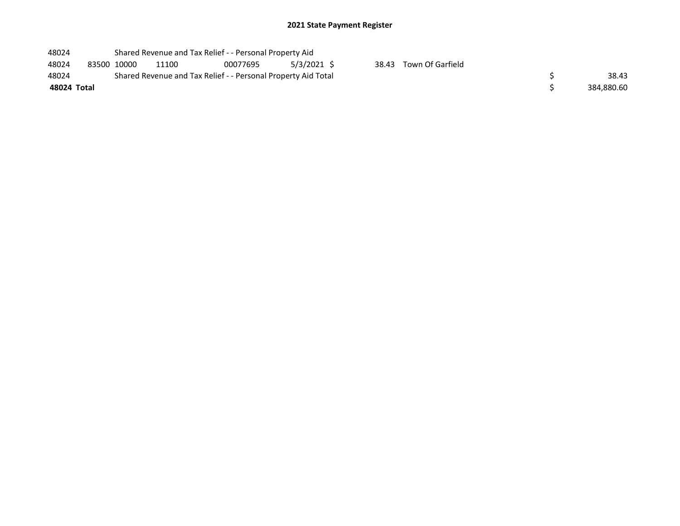| 48024       |             | Shared Revenue and Tax Relief - - Personal Property Aid       |          |             |       |                  |  |            |  |  |  |
|-------------|-------------|---------------------------------------------------------------|----------|-------------|-------|------------------|--|------------|--|--|--|
| 48024       | 83500 10000 | 11100                                                         | 00077695 | 5/3/2021 \$ | 38.43 | Town Of Garfield |  |            |  |  |  |
| 48024       |             | Shared Revenue and Tax Relief - - Personal Property Aid Total |          | 38.43       |       |                  |  |            |  |  |  |
| 48024 Total |             |                                                               |          |             |       |                  |  | 384,880.60 |  |  |  |
|             |             |                                                               |          |             |       |                  |  |            |  |  |  |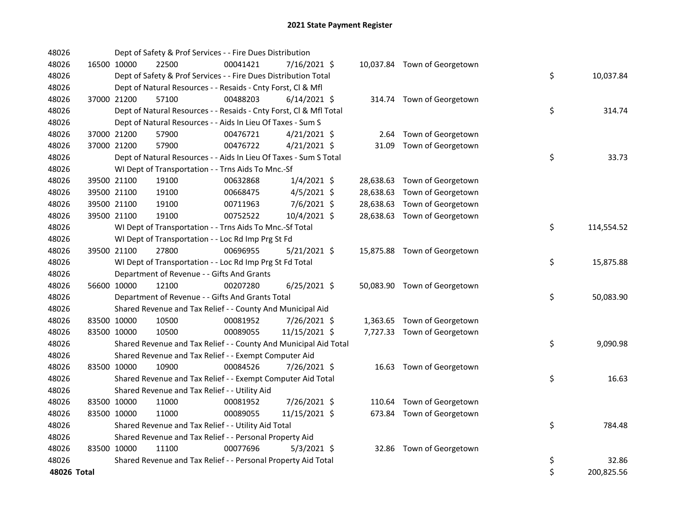| 48026       |             | Dept of Safety & Prof Services - - Fire Dues Distribution          |          |                |       |                              |    |            |
|-------------|-------------|--------------------------------------------------------------------|----------|----------------|-------|------------------------------|----|------------|
| 48026       | 16500 10000 | 22500                                                              | 00041421 | 7/16/2021 \$   |       | 10,037.84 Town of Georgetown |    |            |
| 48026       |             | Dept of Safety & Prof Services - - Fire Dues Distribution Total    |          |                |       |                              | \$ | 10,037.84  |
| 48026       |             | Dept of Natural Resources - - Resaids - Cnty Forst, Cl & Mfl       |          |                |       |                              |    |            |
| 48026       | 37000 21200 | 57100                                                              | 00488203 | $6/14/2021$ \$ |       | 314.74 Town of Georgetown    |    |            |
| 48026       |             | Dept of Natural Resources - - Resaids - Cnty Forst, Cl & Mfl Total |          |                |       |                              | \$ | 314.74     |
| 48026       |             | Dept of Natural Resources - - Aids In Lieu Of Taxes - Sum S        |          |                |       |                              |    |            |
| 48026       | 37000 21200 | 57900                                                              | 00476721 | $4/21/2021$ \$ |       | 2.64 Town of Georgetown      |    |            |
| 48026       | 37000 21200 | 57900                                                              | 00476722 | $4/21/2021$ \$ | 31.09 | Town of Georgetown           |    |            |
| 48026       |             | Dept of Natural Resources - - Aids In Lieu Of Taxes - Sum S Total  |          |                |       |                              | \$ | 33.73      |
| 48026       |             | WI Dept of Transportation - - Trns Aids To Mnc.-Sf                 |          |                |       |                              |    |            |
| 48026       | 39500 21100 | 19100                                                              | 00632868 | $1/4/2021$ \$  |       | 28,638.63 Town of Georgetown |    |            |
| 48026       | 39500 21100 | 19100                                                              | 00668475 | $4/5/2021$ \$  |       | 28,638.63 Town of Georgetown |    |            |
| 48026       | 39500 21100 | 19100                                                              | 00711963 | 7/6/2021 \$    |       | 28,638.63 Town of Georgetown |    |            |
| 48026       | 39500 21100 | 19100                                                              | 00752522 | 10/4/2021 \$   |       | 28,638.63 Town of Georgetown |    |            |
| 48026       |             | WI Dept of Transportation - - Trns Aids To Mnc.-Sf Total           |          |                |       |                              | \$ | 114,554.52 |
| 48026       |             | WI Dept of Transportation - - Loc Rd Imp Prg St Fd                 |          |                |       |                              |    |            |
| 48026       | 39500 21100 | 27800                                                              | 00696955 | $5/21/2021$ \$ |       | 15,875.88 Town of Georgetown |    |            |
| 48026       |             | WI Dept of Transportation - - Loc Rd Imp Prg St Fd Total           |          |                |       |                              | \$ | 15,875.88  |
| 48026       |             | Department of Revenue - - Gifts And Grants                         |          |                |       |                              |    |            |
| 48026       | 56600 10000 | 12100                                                              | 00207280 | $6/25/2021$ \$ |       | 50,083.90 Town of Georgetown |    |            |
| 48026       |             | Department of Revenue - - Gifts And Grants Total                   |          |                |       |                              | \$ | 50,083.90  |
| 48026       |             | Shared Revenue and Tax Relief - - County And Municipal Aid         |          |                |       |                              |    |            |
| 48026       | 83500 10000 | 10500                                                              | 00081952 | 7/26/2021 \$   |       | 1,363.65 Town of Georgetown  |    |            |
| 48026       | 83500 10000 | 10500                                                              | 00089055 | 11/15/2021 \$  |       | 7,727.33 Town of Georgetown  |    |            |
| 48026       |             | Shared Revenue and Tax Relief - - County And Municipal Aid Total   |          |                |       |                              | \$ | 9,090.98   |
| 48026       |             | Shared Revenue and Tax Relief - - Exempt Computer Aid              |          |                |       |                              |    |            |
| 48026       | 83500 10000 | 10900                                                              | 00084526 | 7/26/2021 \$   |       | 16.63 Town of Georgetown     |    |            |
| 48026       |             | Shared Revenue and Tax Relief - - Exempt Computer Aid Total        |          |                |       |                              | \$ | 16.63      |
| 48026       |             | Shared Revenue and Tax Relief - - Utility Aid                      |          |                |       |                              |    |            |
| 48026       | 83500 10000 | 11000                                                              | 00081952 | 7/26/2021 \$   |       | 110.64 Town of Georgetown    |    |            |
| 48026       | 83500 10000 | 11000                                                              | 00089055 | 11/15/2021 \$  |       | 673.84 Town of Georgetown    |    |            |
| 48026       |             | Shared Revenue and Tax Relief - - Utility Aid Total                |          |                |       |                              | \$ | 784.48     |
| 48026       |             | Shared Revenue and Tax Relief - - Personal Property Aid            |          |                |       |                              |    |            |
| 48026       | 83500 10000 | 11100                                                              | 00077696 | $5/3/2021$ \$  |       | 32.86 Town of Georgetown     |    |            |
| 48026       |             | Shared Revenue and Tax Relief - - Personal Property Aid Total      |          |                |       |                              | \$ | 32.86      |
| 48026 Total |             |                                                                    |          |                |       |                              | \$ | 200,825.56 |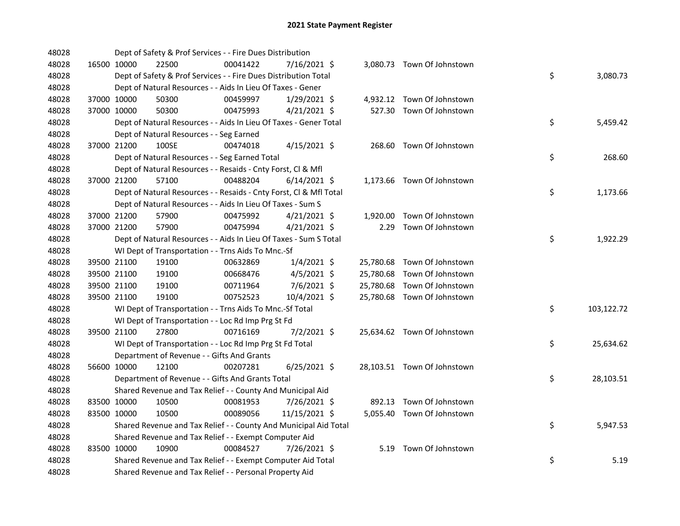| 48028 |             |             | Dept of Safety & Prof Services - - Fire Dues Distribution          |          |                |  |                             |    |            |
|-------|-------------|-------------|--------------------------------------------------------------------|----------|----------------|--|-----------------------------|----|------------|
| 48028 |             | 16500 10000 | 22500                                                              | 00041422 | 7/16/2021 \$   |  | 3,080.73 Town Of Johnstown  |    |            |
| 48028 |             |             | Dept of Safety & Prof Services - - Fire Dues Distribution Total    |          |                |  |                             | \$ | 3,080.73   |
| 48028 |             |             | Dept of Natural Resources - - Aids In Lieu Of Taxes - Gener        |          |                |  |                             |    |            |
| 48028 |             | 37000 10000 | 50300                                                              | 00459997 | 1/29/2021 \$   |  | 4,932.12 Town Of Johnstown  |    |            |
| 48028 |             | 37000 10000 | 50300                                                              | 00475993 | $4/21/2021$ \$ |  | 527.30 Town Of Johnstown    |    |            |
| 48028 |             |             | Dept of Natural Resources - - Aids In Lieu Of Taxes - Gener Total  |          |                |  |                             | \$ | 5,459.42   |
| 48028 |             |             | Dept of Natural Resources - - Seg Earned                           |          |                |  |                             |    |            |
| 48028 |             | 37000 21200 | 100SE                                                              | 00474018 | $4/15/2021$ \$ |  | 268.60 Town Of Johnstown    |    |            |
| 48028 |             |             | Dept of Natural Resources - - Seg Earned Total                     |          |                |  |                             | \$ | 268.60     |
| 48028 |             |             | Dept of Natural Resources - - Resaids - Cnty Forst, Cl & Mfl       |          |                |  |                             |    |            |
| 48028 |             | 37000 21200 | 57100                                                              | 00488204 | $6/14/2021$ \$ |  | 1,173.66 Town Of Johnstown  |    |            |
| 48028 |             |             | Dept of Natural Resources - - Resaids - Cnty Forst, Cl & Mfl Total |          |                |  |                             | \$ | 1,173.66   |
| 48028 |             |             | Dept of Natural Resources - - Aids In Lieu Of Taxes - Sum S        |          |                |  |                             |    |            |
| 48028 |             | 37000 21200 | 57900                                                              | 00475992 | $4/21/2021$ \$ |  | 1,920.00 Town Of Johnstown  |    |            |
| 48028 |             | 37000 21200 | 57900                                                              | 00475994 | $4/21/2021$ \$ |  | 2.29 Town Of Johnstown      |    |            |
| 48028 |             |             | Dept of Natural Resources - - Aids In Lieu Of Taxes - Sum S Total  |          |                |  |                             | \$ | 1,922.29   |
| 48028 |             |             | WI Dept of Transportation - - Trns Aids To Mnc.-Sf                 |          |                |  |                             |    |            |
| 48028 |             | 39500 21100 | 19100                                                              | 00632869 | $1/4/2021$ \$  |  | 25,780.68 Town Of Johnstown |    |            |
| 48028 |             | 39500 21100 | 19100                                                              | 00668476 | $4/5/2021$ \$  |  | 25,780.68 Town Of Johnstown |    |            |
| 48028 |             | 39500 21100 | 19100                                                              | 00711964 | 7/6/2021 \$    |  | 25,780.68 Town Of Johnstown |    |            |
| 48028 |             | 39500 21100 | 19100                                                              | 00752523 | 10/4/2021 \$   |  | 25,780.68 Town Of Johnstown |    |            |
| 48028 |             |             | WI Dept of Transportation - - Trns Aids To Mnc.-Sf Total           |          |                |  |                             | \$ | 103,122.72 |
| 48028 |             |             | WI Dept of Transportation - - Loc Rd Imp Prg St Fd                 |          |                |  |                             |    |            |
| 48028 |             | 39500 21100 | 27800                                                              | 00716169 | $7/2/2021$ \$  |  | 25,634.62 Town Of Johnstown |    |            |
| 48028 |             |             | WI Dept of Transportation - - Loc Rd Imp Prg St Fd Total           |          |                |  |                             | \$ | 25,634.62  |
| 48028 |             |             | Department of Revenue - - Gifts And Grants                         |          |                |  |                             |    |            |
| 48028 |             | 56600 10000 | 12100                                                              | 00207281 | $6/25/2021$ \$ |  | 28,103.51 Town Of Johnstown |    |            |
| 48028 |             |             | Department of Revenue - - Gifts And Grants Total                   |          |                |  |                             | \$ | 28,103.51  |
| 48028 |             |             | Shared Revenue and Tax Relief - - County And Municipal Aid         |          |                |  |                             |    |            |
| 48028 |             | 83500 10000 | 10500                                                              | 00081953 | 7/26/2021 \$   |  | 892.13 Town Of Johnstown    |    |            |
| 48028 | 83500 10000 |             | 10500                                                              | 00089056 | 11/15/2021 \$  |  | 5,055.40 Town Of Johnstown  |    |            |
| 48028 |             |             | Shared Revenue and Tax Relief - - County And Municipal Aid Total   |          |                |  |                             | \$ | 5,947.53   |
| 48028 |             |             | Shared Revenue and Tax Relief - - Exempt Computer Aid              |          |                |  |                             |    |            |
| 48028 |             | 83500 10000 | 10900                                                              | 00084527 | 7/26/2021 \$   |  | 5.19 Town Of Johnstown      |    |            |
| 48028 |             |             | Shared Revenue and Tax Relief - - Exempt Computer Aid Total        |          |                |  |                             | \$ | 5.19       |
| 48028 |             |             | Shared Revenue and Tax Relief - - Personal Property Aid            |          |                |  |                             |    |            |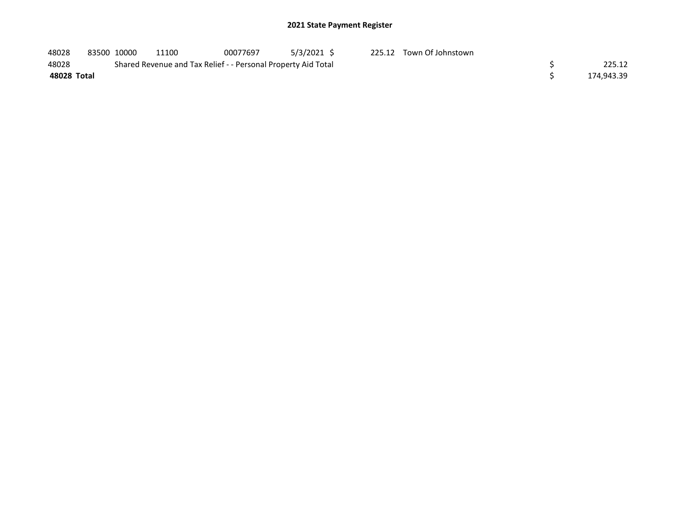| 48028       | 83500 10000 | 11100                                                         | 00077697 | 5/3/2021 \$ | 225.12 Town Of Johnstown |            |
|-------------|-------------|---------------------------------------------------------------|----------|-------------|--------------------------|------------|
| 48028       |             | Shared Revenue and Tax Relief - - Personal Property Aid Total |          |             |                          | 225.12     |
| 48028 Total |             |                                                               |          |             |                          | 174,943.39 |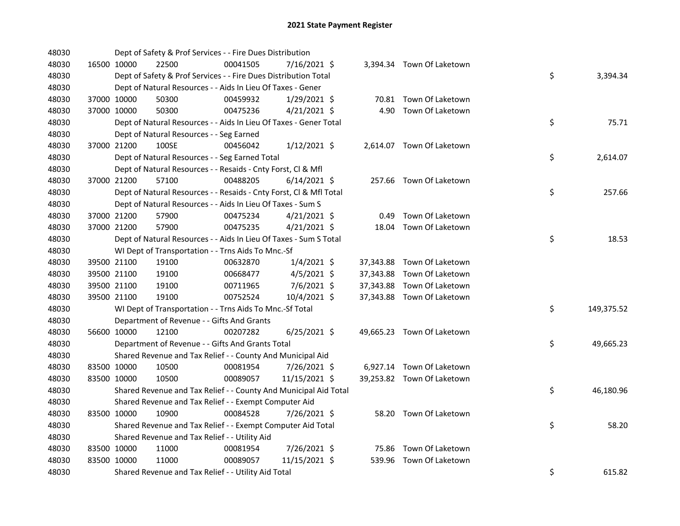| 48030 |             | Dept of Safety & Prof Services - - Fire Dues Distribution          |          |                |  |                            |    |            |
|-------|-------------|--------------------------------------------------------------------|----------|----------------|--|----------------------------|----|------------|
| 48030 | 16500 10000 | 22500                                                              | 00041505 | 7/16/2021 \$   |  | 3,394.34 Town Of Laketown  |    |            |
| 48030 |             | Dept of Safety & Prof Services - - Fire Dues Distribution Total    |          |                |  |                            | \$ | 3,394.34   |
| 48030 |             | Dept of Natural Resources - - Aids In Lieu Of Taxes - Gener        |          |                |  |                            |    |            |
| 48030 | 37000 10000 | 50300                                                              | 00459932 | $1/29/2021$ \$ |  | 70.81 Town Of Laketown     |    |            |
| 48030 | 37000 10000 | 50300                                                              | 00475236 | $4/21/2021$ \$ |  | 4.90 Town Of Laketown      |    |            |
| 48030 |             | Dept of Natural Resources - - Aids In Lieu Of Taxes - Gener Total  |          |                |  |                            | \$ | 75.71      |
| 48030 |             | Dept of Natural Resources - - Seg Earned                           |          |                |  |                            |    |            |
| 48030 | 37000 21200 | 100SE                                                              | 00456042 | $1/12/2021$ \$ |  | 2,614.07 Town Of Laketown  |    |            |
| 48030 |             | Dept of Natural Resources - - Seg Earned Total                     |          |                |  |                            | \$ | 2,614.07   |
| 48030 |             | Dept of Natural Resources - - Resaids - Cnty Forst, Cl & Mfl       |          |                |  |                            |    |            |
| 48030 | 37000 21200 | 57100                                                              | 00488205 | $6/14/2021$ \$ |  | 257.66 Town Of Laketown    |    |            |
| 48030 |             | Dept of Natural Resources - - Resaids - Cnty Forst, Cl & Mfl Total |          |                |  |                            | \$ | 257.66     |
| 48030 |             | Dept of Natural Resources - - Aids In Lieu Of Taxes - Sum S        |          |                |  |                            |    |            |
| 48030 | 37000 21200 | 57900                                                              | 00475234 | $4/21/2021$ \$ |  | 0.49 Town Of Laketown      |    |            |
| 48030 | 37000 21200 | 57900                                                              | 00475235 | $4/21/2021$ \$ |  | 18.04 Town Of Laketown     |    |            |
| 48030 |             | Dept of Natural Resources - - Aids In Lieu Of Taxes - Sum S Total  |          |                |  |                            | \$ | 18.53      |
| 48030 |             | WI Dept of Transportation - - Trns Aids To Mnc.-Sf                 |          |                |  |                            |    |            |
| 48030 | 39500 21100 | 19100                                                              | 00632870 | $1/4/2021$ \$  |  | 37,343.88 Town Of Laketown |    |            |
| 48030 | 39500 21100 | 19100                                                              | 00668477 | $4/5/2021$ \$  |  | 37,343.88 Town Of Laketown |    |            |
| 48030 | 39500 21100 | 19100                                                              | 00711965 | $7/6/2021$ \$  |  | 37,343.88 Town Of Laketown |    |            |
| 48030 | 39500 21100 | 19100                                                              | 00752524 | 10/4/2021 \$   |  | 37,343.88 Town Of Laketown |    |            |
| 48030 |             | WI Dept of Transportation - - Trns Aids To Mnc.-Sf Total           |          |                |  |                            | \$ | 149,375.52 |
| 48030 |             | Department of Revenue - - Gifts And Grants                         |          |                |  |                            |    |            |
| 48030 | 56600 10000 | 12100                                                              | 00207282 | $6/25/2021$ \$ |  | 49,665.23 Town Of Laketown |    |            |
| 48030 |             | Department of Revenue - - Gifts And Grants Total                   |          |                |  |                            | \$ | 49,665.23  |
| 48030 |             | Shared Revenue and Tax Relief - - County And Municipal Aid         |          |                |  |                            |    |            |
| 48030 | 83500 10000 | 10500                                                              | 00081954 | 7/26/2021 \$   |  | 6,927.14 Town Of Laketown  |    |            |
| 48030 | 83500 10000 | 10500                                                              | 00089057 | 11/15/2021 \$  |  | 39,253.82 Town Of Laketown |    |            |
| 48030 |             | Shared Revenue and Tax Relief - - County And Municipal Aid Total   |          |                |  |                            | \$ | 46,180.96  |
| 48030 |             | Shared Revenue and Tax Relief - - Exempt Computer Aid              |          |                |  |                            |    |            |
| 48030 | 83500 10000 | 10900                                                              | 00084528 | 7/26/2021 \$   |  | 58.20 Town Of Laketown     |    |            |
| 48030 |             | Shared Revenue and Tax Relief - - Exempt Computer Aid Total        |          |                |  |                            | \$ | 58.20      |
| 48030 |             | Shared Revenue and Tax Relief - - Utility Aid                      |          |                |  |                            |    |            |
| 48030 | 83500 10000 | 11000                                                              | 00081954 | 7/26/2021 \$   |  | 75.86 Town Of Laketown     |    |            |
| 48030 | 83500 10000 | 11000                                                              | 00089057 | 11/15/2021 \$  |  | 539.96 Town Of Laketown    |    |            |
| 48030 |             | Shared Revenue and Tax Relief - - Utility Aid Total                |          |                |  |                            | \$ | 615.82     |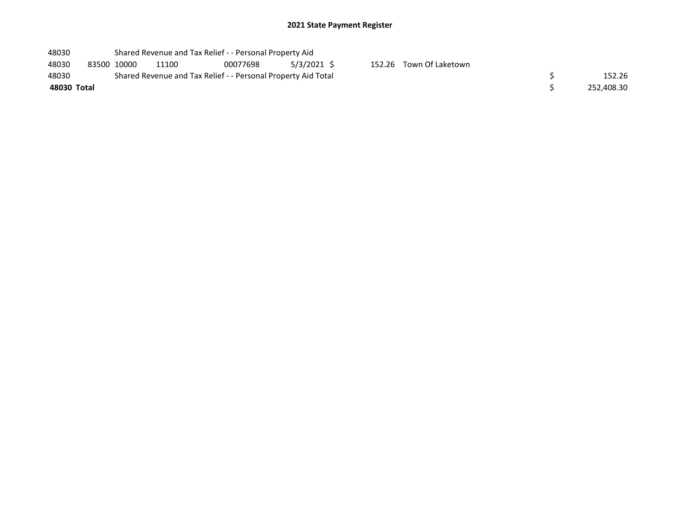| 48030       |             |       | Shared Revenue and Tax Relief - - Personal Property Aid       |             |            |                         |  |
|-------------|-------------|-------|---------------------------------------------------------------|-------------|------------|-------------------------|--|
| 48030       | 83500 10000 | 11100 | 00077698                                                      | 5/3/2021 \$ |            | 152.26 Town Of Laketown |  |
| 48030       |             |       | Shared Revenue and Tax Relief - - Personal Property Aid Total |             | 152.26     |                         |  |
| 48030 Total |             |       |                                                               |             | 252.408.30 |                         |  |
|             |             |       |                                                               |             |            |                         |  |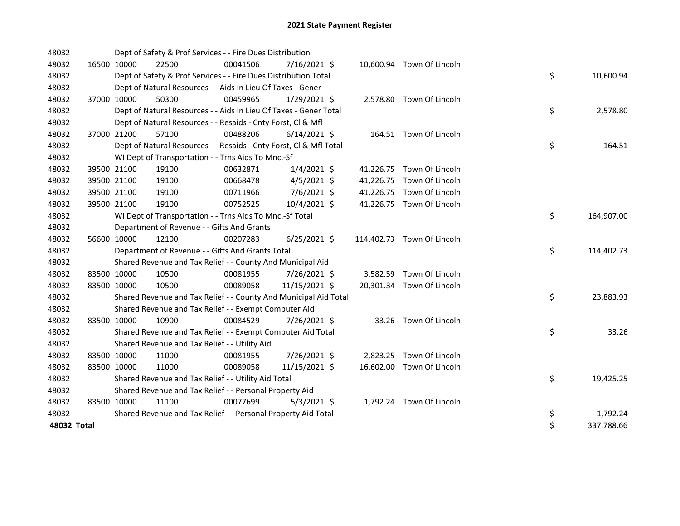| 48032       |             | Dept of Safety & Prof Services - - Fire Dues Distribution          |          |                |  |                            |    |            |
|-------------|-------------|--------------------------------------------------------------------|----------|----------------|--|----------------------------|----|------------|
| 48032       | 16500 10000 | 22500                                                              | 00041506 | 7/16/2021 \$   |  | 10,600.94 Town Of Lincoln  |    |            |
| 48032       |             | Dept of Safety & Prof Services - - Fire Dues Distribution Total    |          |                |  |                            | \$ | 10,600.94  |
| 48032       |             | Dept of Natural Resources - - Aids In Lieu Of Taxes - Gener        |          |                |  |                            |    |            |
| 48032       | 37000 10000 | 50300                                                              | 00459965 | $1/29/2021$ \$ |  | 2,578.80 Town Of Lincoln   |    |            |
| 48032       |             | Dept of Natural Resources - - Aids In Lieu Of Taxes - Gener Total  |          |                |  |                            | \$ | 2,578.80   |
| 48032       |             | Dept of Natural Resources - - Resaids - Cnty Forst, Cl & Mfl       |          |                |  |                            |    |            |
| 48032       | 37000 21200 | 57100                                                              | 00488206 | $6/14/2021$ \$ |  | 164.51 Town Of Lincoln     |    |            |
| 48032       |             | Dept of Natural Resources - - Resaids - Cnty Forst, Cl & Mfl Total |          |                |  |                            | \$ | 164.51     |
| 48032       |             | WI Dept of Transportation - - Trns Aids To Mnc.-Sf                 |          |                |  |                            |    |            |
| 48032       | 39500 21100 | 19100                                                              | 00632871 | $1/4/2021$ \$  |  | 41,226.75 Town Of Lincoln  |    |            |
| 48032       | 39500 21100 | 19100                                                              | 00668478 | $4/5/2021$ \$  |  | 41,226.75 Town Of Lincoln  |    |            |
| 48032       | 39500 21100 | 19100                                                              | 00711966 | $7/6/2021$ \$  |  | 41,226.75 Town Of Lincoln  |    |            |
| 48032       | 39500 21100 | 19100                                                              | 00752525 | 10/4/2021 \$   |  | 41,226.75 Town Of Lincoln  |    |            |
| 48032       |             | WI Dept of Transportation - - Trns Aids To Mnc.-Sf Total           |          |                |  |                            | \$ | 164,907.00 |
| 48032       |             | Department of Revenue - - Gifts And Grants                         |          |                |  |                            |    |            |
| 48032       | 56600 10000 | 12100                                                              | 00207283 | $6/25/2021$ \$ |  | 114,402.73 Town Of Lincoln |    |            |
| 48032       |             | Department of Revenue - - Gifts And Grants Total                   |          |                |  |                            | \$ | 114,402.73 |
| 48032       |             | Shared Revenue and Tax Relief - - County And Municipal Aid         |          |                |  |                            |    |            |
| 48032       | 83500 10000 | 10500                                                              | 00081955 | 7/26/2021 \$   |  | 3,582.59 Town Of Lincoln   |    |            |
| 48032       | 83500 10000 | 10500                                                              | 00089058 | 11/15/2021 \$  |  | 20,301.34 Town Of Lincoln  |    |            |
| 48032       |             | Shared Revenue and Tax Relief - - County And Municipal Aid Total   |          |                |  |                            | \$ | 23,883.93  |
| 48032       |             | Shared Revenue and Tax Relief - - Exempt Computer Aid              |          |                |  |                            |    |            |
| 48032       | 83500 10000 | 10900                                                              | 00084529 | 7/26/2021 \$   |  | 33.26 Town Of Lincoln      |    |            |
| 48032       |             | Shared Revenue and Tax Relief - - Exempt Computer Aid Total        |          |                |  |                            | \$ | 33.26      |
| 48032       |             | Shared Revenue and Tax Relief - - Utility Aid                      |          |                |  |                            |    |            |
| 48032       | 83500 10000 | 11000                                                              | 00081955 | 7/26/2021 \$   |  | 2,823.25 Town Of Lincoln   |    |            |
| 48032       | 83500 10000 | 11000                                                              | 00089058 | 11/15/2021 \$  |  | 16,602.00 Town Of Lincoln  |    |            |
| 48032       |             | Shared Revenue and Tax Relief - - Utility Aid Total                |          |                |  |                            | \$ | 19,425.25  |
| 48032       |             | Shared Revenue and Tax Relief - - Personal Property Aid            |          |                |  |                            |    |            |
| 48032       | 83500 10000 | 11100                                                              | 00077699 | $5/3/2021$ \$  |  | 1,792.24 Town Of Lincoln   |    |            |
| 48032       |             | Shared Revenue and Tax Relief - - Personal Property Aid Total      |          |                |  |                            | \$ | 1,792.24   |
| 48032 Total |             |                                                                    |          |                |  |                            | \$ | 337,788.66 |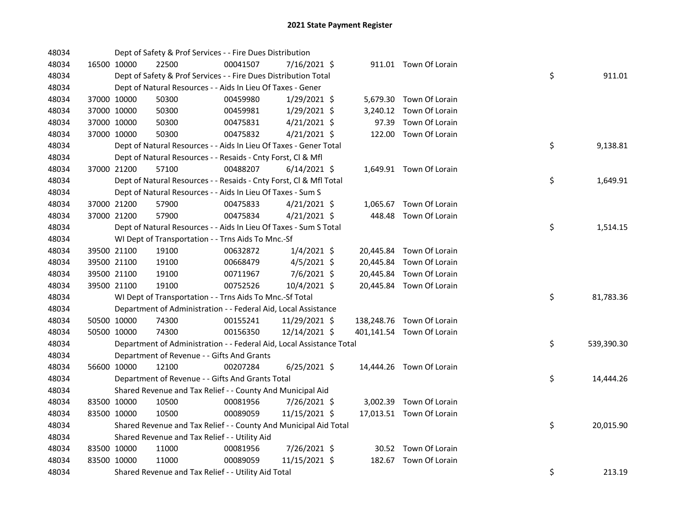| 48034 |             | Dept of Safety & Prof Services - - Fire Dues Distribution            |          |                |       |                           |    |            |
|-------|-------------|----------------------------------------------------------------------|----------|----------------|-------|---------------------------|----|------------|
| 48034 | 16500 10000 | 22500                                                                | 00041507 | 7/16/2021 \$   |       | 911.01 Town Of Lorain     |    |            |
| 48034 |             | Dept of Safety & Prof Services - - Fire Dues Distribution Total      |          |                |       |                           | \$ | 911.01     |
| 48034 |             | Dept of Natural Resources - - Aids In Lieu Of Taxes - Gener          |          |                |       |                           |    |            |
| 48034 | 37000 10000 | 50300                                                                | 00459980 | 1/29/2021 \$   |       | 5,679.30 Town Of Lorain   |    |            |
| 48034 | 37000 10000 | 50300                                                                | 00459981 | $1/29/2021$ \$ |       | 3,240.12 Town Of Lorain   |    |            |
| 48034 | 37000 10000 | 50300                                                                | 00475831 | $4/21/2021$ \$ | 97.39 | Town Of Lorain            |    |            |
| 48034 | 37000 10000 | 50300                                                                | 00475832 | $4/21/2021$ \$ |       | 122.00 Town Of Lorain     |    |            |
| 48034 |             | Dept of Natural Resources - - Aids In Lieu Of Taxes - Gener Total    |          |                |       |                           | \$ | 9,138.81   |
| 48034 |             | Dept of Natural Resources - - Resaids - Cnty Forst, Cl & Mfl         |          |                |       |                           |    |            |
| 48034 | 37000 21200 | 57100                                                                | 00488207 | $6/14/2021$ \$ |       | 1,649.91 Town Of Lorain   |    |            |
| 48034 |             | Dept of Natural Resources - - Resaids - Cnty Forst, Cl & Mfl Total   |          |                |       |                           | \$ | 1,649.91   |
| 48034 |             | Dept of Natural Resources - - Aids In Lieu Of Taxes - Sum S          |          |                |       |                           |    |            |
| 48034 | 37000 21200 | 57900                                                                | 00475833 | $4/21/2021$ \$ |       | 1,065.67 Town Of Lorain   |    |            |
| 48034 | 37000 21200 | 57900                                                                | 00475834 | $4/21/2021$ \$ |       | 448.48 Town Of Lorain     |    |            |
| 48034 |             | Dept of Natural Resources - - Aids In Lieu Of Taxes - Sum S Total    |          |                |       |                           | \$ | 1,514.15   |
| 48034 |             | WI Dept of Transportation - - Trns Aids To Mnc.-Sf                   |          |                |       |                           |    |            |
| 48034 | 39500 21100 | 19100                                                                | 00632872 | $1/4/2021$ \$  |       | 20,445.84 Town Of Lorain  |    |            |
| 48034 | 39500 21100 | 19100                                                                | 00668479 | $4/5/2021$ \$  |       | 20,445.84 Town Of Lorain  |    |            |
| 48034 | 39500 21100 | 19100                                                                | 00711967 | $7/6/2021$ \$  |       | 20,445.84 Town Of Lorain  |    |            |
| 48034 | 39500 21100 | 19100                                                                | 00752526 | 10/4/2021 \$   |       | 20,445.84 Town Of Lorain  |    |            |
| 48034 |             | WI Dept of Transportation - - Trns Aids To Mnc.-Sf Total             |          |                |       |                           | \$ | 81,783.36  |
| 48034 |             | Department of Administration - - Federal Aid, Local Assistance       |          |                |       |                           |    |            |
| 48034 | 50500 10000 | 74300                                                                | 00155241 | 11/29/2021 \$  |       | 138,248.76 Town Of Lorain |    |            |
| 48034 | 50500 10000 | 74300                                                                | 00156350 | 12/14/2021 \$  |       | 401,141.54 Town Of Lorain |    |            |
| 48034 |             | Department of Administration - - Federal Aid, Local Assistance Total |          |                |       |                           | \$ | 539,390.30 |
| 48034 |             | Department of Revenue - - Gifts And Grants                           |          |                |       |                           |    |            |
| 48034 | 56600 10000 | 12100                                                                | 00207284 | $6/25/2021$ \$ |       | 14,444.26 Town Of Lorain  |    |            |
| 48034 |             | Department of Revenue - - Gifts And Grants Total                     |          |                |       |                           | \$ | 14,444.26  |
| 48034 |             | Shared Revenue and Tax Relief - - County And Municipal Aid           |          |                |       |                           |    |            |
| 48034 | 83500 10000 | 10500                                                                | 00081956 | 7/26/2021 \$   |       | 3,002.39 Town Of Lorain   |    |            |
| 48034 | 83500 10000 | 10500                                                                | 00089059 | 11/15/2021 \$  |       | 17,013.51 Town Of Lorain  |    |            |
| 48034 |             | Shared Revenue and Tax Relief - - County And Municipal Aid Total     |          |                |       |                           | \$ | 20,015.90  |
| 48034 |             | Shared Revenue and Tax Relief - - Utility Aid                        |          |                |       |                           |    |            |
| 48034 | 83500 10000 | 11000                                                                | 00081956 | 7/26/2021 \$   |       | 30.52 Town Of Lorain      |    |            |
| 48034 | 83500 10000 | 11000                                                                | 00089059 | 11/15/2021 \$  |       | 182.67 Town Of Lorain     |    |            |
| 48034 |             | Shared Revenue and Tax Relief - - Utility Aid Total                  |          |                |       |                           | \$ | 213.19     |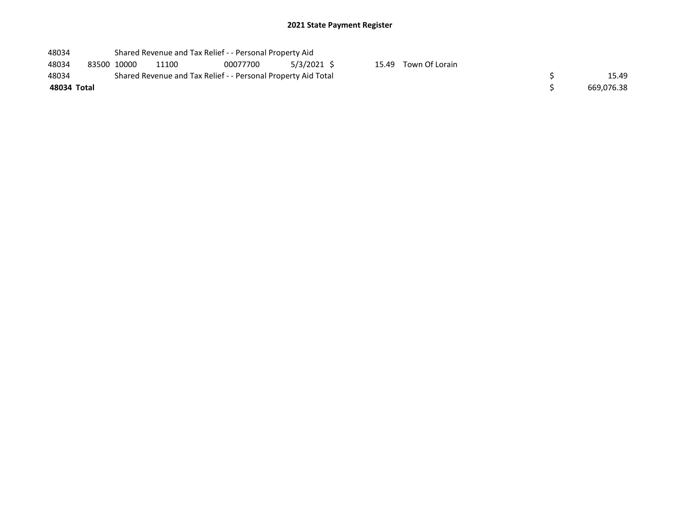| 48034       |             | Shared Revenue and Tax Relief - - Personal Property Aid       |          |             |  |                      |  |
|-------------|-------------|---------------------------------------------------------------|----------|-------------|--|----------------------|--|
| 48034       | 83500 10000 | 11100                                                         | 00077700 | 5/3/2021 \$ |  | 15.49 Town Of Lorain |  |
| 48034       |             | Shared Revenue and Tax Relief - - Personal Property Aid Total |          | 15.49       |  |                      |  |
| 48034 Total |             |                                                               |          | 669.076.38  |  |                      |  |
|             |             |                                                               |          |             |  |                      |  |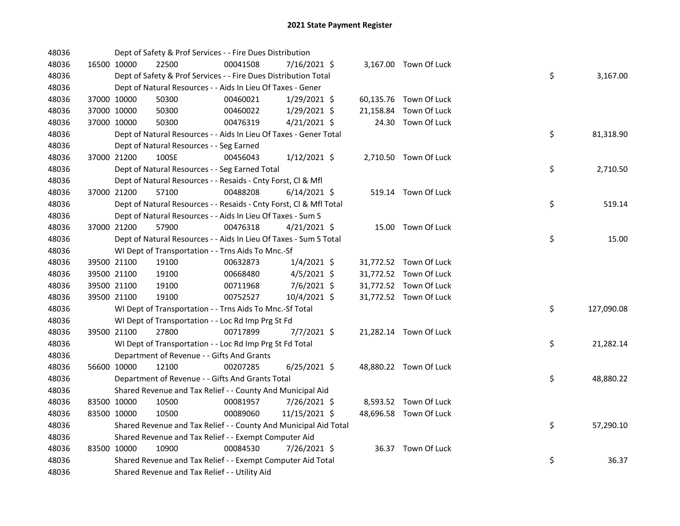| 48036 |             | Dept of Safety & Prof Services - - Fire Dues Distribution          |          |                |  |                        |    |            |
|-------|-------------|--------------------------------------------------------------------|----------|----------------|--|------------------------|----|------------|
| 48036 | 16500 10000 | 22500                                                              | 00041508 | 7/16/2021 \$   |  | 3,167.00 Town Of Luck  |    |            |
| 48036 |             | Dept of Safety & Prof Services - - Fire Dues Distribution Total    |          |                |  |                        | \$ | 3,167.00   |
| 48036 |             | Dept of Natural Resources - - Aids In Lieu Of Taxes - Gener        |          |                |  |                        |    |            |
| 48036 | 37000 10000 | 50300                                                              | 00460021 | 1/29/2021 \$   |  | 60,135.76 Town Of Luck |    |            |
| 48036 | 37000 10000 | 50300                                                              | 00460022 | 1/29/2021 \$   |  | 21,158.84 Town Of Luck |    |            |
| 48036 | 37000 10000 | 50300                                                              | 00476319 | $4/21/2021$ \$ |  | 24.30 Town Of Luck     |    |            |
| 48036 |             | Dept of Natural Resources - - Aids In Lieu Of Taxes - Gener Total  |          |                |  |                        | \$ | 81,318.90  |
| 48036 |             | Dept of Natural Resources - - Seg Earned                           |          |                |  |                        |    |            |
| 48036 | 37000 21200 | 100SE                                                              | 00456043 | $1/12/2021$ \$ |  | 2,710.50 Town Of Luck  |    |            |
| 48036 |             | Dept of Natural Resources - - Seg Earned Total                     |          |                |  |                        | \$ | 2,710.50   |
| 48036 |             | Dept of Natural Resources - - Resaids - Cnty Forst, Cl & Mfl       |          |                |  |                        |    |            |
| 48036 | 37000 21200 | 57100                                                              | 00488208 | 6/14/2021 \$   |  | 519.14 Town Of Luck    |    |            |
| 48036 |             | Dept of Natural Resources - - Resaids - Cnty Forst, Cl & Mfl Total |          |                |  |                        | \$ | 519.14     |
| 48036 |             | Dept of Natural Resources - - Aids In Lieu Of Taxes - Sum S        |          |                |  |                        |    |            |
| 48036 | 37000 21200 | 57900                                                              | 00476318 | $4/21/2021$ \$ |  | 15.00 Town Of Luck     |    |            |
| 48036 |             | Dept of Natural Resources - - Aids In Lieu Of Taxes - Sum S Total  |          |                |  |                        | \$ | 15.00      |
| 48036 |             | WI Dept of Transportation - - Trns Aids To Mnc.-Sf                 |          |                |  |                        |    |            |
| 48036 | 39500 21100 | 19100                                                              | 00632873 | $1/4/2021$ \$  |  | 31,772.52 Town Of Luck |    |            |
| 48036 | 39500 21100 | 19100                                                              | 00668480 | 4/5/2021 \$    |  | 31,772.52 Town Of Luck |    |            |
| 48036 | 39500 21100 | 19100                                                              | 00711968 | 7/6/2021 \$    |  | 31,772.52 Town Of Luck |    |            |
| 48036 | 39500 21100 | 19100                                                              | 00752527 | 10/4/2021 \$   |  | 31,772.52 Town Of Luck |    |            |
| 48036 |             | WI Dept of Transportation - - Trns Aids To Mnc.-Sf Total           |          |                |  |                        | \$ | 127,090.08 |
| 48036 |             | WI Dept of Transportation - - Loc Rd Imp Prg St Fd                 |          |                |  |                        |    |            |
| 48036 | 39500 21100 | 27800                                                              | 00717899 | $7/7/2021$ \$  |  | 21,282.14 Town Of Luck |    |            |
| 48036 |             | WI Dept of Transportation - - Loc Rd Imp Prg St Fd Total           |          |                |  |                        | \$ | 21,282.14  |
| 48036 |             | Department of Revenue - - Gifts And Grants                         |          |                |  |                        |    |            |
| 48036 | 56600 10000 | 12100                                                              | 00207285 | $6/25/2021$ \$ |  | 48,880.22 Town Of Luck |    |            |
| 48036 |             | Department of Revenue - - Gifts And Grants Total                   |          |                |  |                        | \$ | 48,880.22  |
| 48036 |             | Shared Revenue and Tax Relief - - County And Municipal Aid         |          |                |  |                        |    |            |
| 48036 | 83500 10000 | 10500                                                              | 00081957 | 7/26/2021 \$   |  | 8,593.52 Town Of Luck  |    |            |
| 48036 | 83500 10000 | 10500                                                              | 00089060 | 11/15/2021 \$  |  | 48,696.58 Town Of Luck |    |            |
| 48036 |             | Shared Revenue and Tax Relief - - County And Municipal Aid Total   |          |                |  |                        | \$ | 57,290.10  |
| 48036 |             | Shared Revenue and Tax Relief - - Exempt Computer Aid              |          |                |  |                        |    |            |
| 48036 | 83500 10000 | 10900                                                              | 00084530 | 7/26/2021 \$   |  | 36.37 Town Of Luck     |    |            |
| 48036 |             | Shared Revenue and Tax Relief - - Exempt Computer Aid Total        |          |                |  |                        | \$ | 36.37      |
| 48036 |             | Shared Revenue and Tax Relief - - Utility Aid                      |          |                |  |                        |    |            |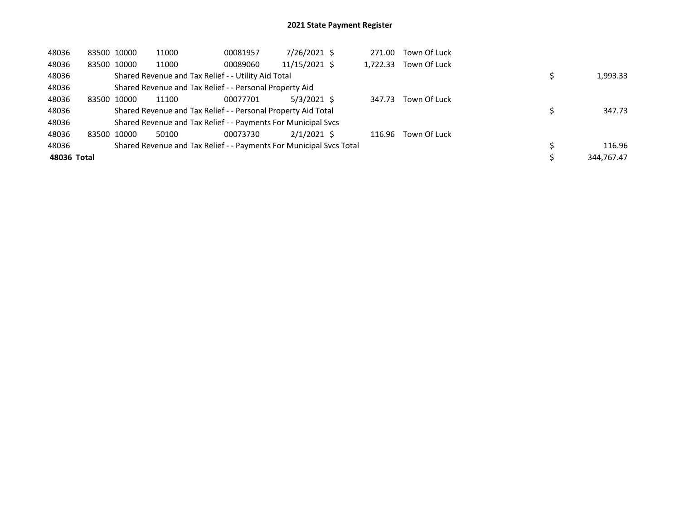| 48036       | 83500 10000 | 11000                                                               | 00081957 | 7/26/2021 \$  | 271.00   | Town Of Luck |  |            |
|-------------|-------------|---------------------------------------------------------------------|----------|---------------|----------|--------------|--|------------|
| 48036       | 83500 10000 | 11000                                                               | 00089060 | 11/15/2021 \$ | 1,722.33 | Town Of Luck |  |            |
| 48036       |             | Shared Revenue and Tax Relief - - Utility Aid Total                 |          |               |          |              |  | 1,993.33   |
| 48036       |             | Shared Revenue and Tax Relief - - Personal Property Aid             |          |               |          |              |  |            |
| 48036       | 83500 10000 | 11100                                                               | 00077701 | $5/3/2021$ \$ | 347.73   | Town Of Luck |  |            |
| 48036       |             | Shared Revenue and Tax Relief - - Personal Property Aid Total       |          |               |          |              |  | 347.73     |
| 48036       |             | Shared Revenue and Tax Relief - - Payments For Municipal Svcs       |          |               |          |              |  |            |
| 48036       | 83500 10000 | 50100                                                               | 00073730 | $2/1/2021$ \$ | 116.96   | Town Of Luck |  |            |
| 48036       |             | Shared Revenue and Tax Relief - - Payments For Municipal Svcs Total |          |               |          |              |  | 116.96     |
| 48036 Total |             |                                                                     |          |               |          |              |  | 344,767.47 |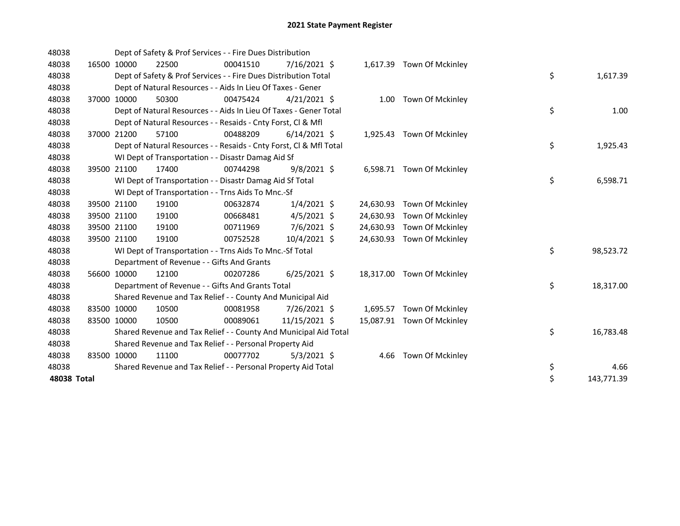| 48038       |             | Dept of Safety & Prof Services - - Fire Dues Distribution          |          |                |           |                            |                  |
|-------------|-------------|--------------------------------------------------------------------|----------|----------------|-----------|----------------------------|------------------|
| 48038       | 16500 10000 | 22500                                                              | 00041510 | 7/16/2021 \$   |           | 1,617.39 Town Of Mckinley  |                  |
| 48038       |             | Dept of Safety & Prof Services - - Fire Dues Distribution Total    |          |                |           |                            | \$<br>1,617.39   |
| 48038       |             | Dept of Natural Resources - - Aids In Lieu Of Taxes - Gener        |          |                |           |                            |                  |
| 48038       | 37000 10000 | 50300                                                              | 00475424 | $4/21/2021$ \$ |           | 1.00 Town Of Mckinley      |                  |
| 48038       |             | Dept of Natural Resources - - Aids In Lieu Of Taxes - Gener Total  |          |                |           |                            | \$<br>1.00       |
| 48038       |             | Dept of Natural Resources - - Resaids - Cnty Forst, Cl & Mfl       |          |                |           |                            |                  |
| 48038       | 37000 21200 | 57100                                                              | 00488209 | $6/14/2021$ \$ |           | 1,925.43 Town Of Mckinley  |                  |
| 48038       |             | Dept of Natural Resources - - Resaids - Cnty Forst, Cl & Mfl Total |          |                |           |                            | \$<br>1,925.43   |
| 48038       |             | WI Dept of Transportation - - Disastr Damag Aid Sf                 |          |                |           |                            |                  |
| 48038       | 39500 21100 | 17400                                                              | 00744298 | $9/8/2021$ \$  |           | 6,598.71 Town Of Mckinley  |                  |
| 48038       |             | WI Dept of Transportation - - Disastr Damag Aid Sf Total           |          |                |           |                            | \$<br>6,598.71   |
| 48038       |             | WI Dept of Transportation - - Trns Aids To Mnc.-Sf                 |          |                |           |                            |                  |
| 48038       | 39500 21100 | 19100                                                              | 00632874 | $1/4/2021$ \$  | 24,630.93 | Town Of Mckinley           |                  |
| 48038       | 39500 21100 | 19100                                                              | 00668481 | $4/5/2021$ \$  | 24,630.93 | Town Of Mckinley           |                  |
| 48038       | 39500 21100 | 19100                                                              | 00711969 | 7/6/2021 \$    | 24,630.93 | Town Of Mckinley           |                  |
| 48038       | 39500 21100 | 19100                                                              | 00752528 | 10/4/2021 \$   | 24,630.93 | Town Of Mckinley           |                  |
| 48038       |             | WI Dept of Transportation - - Trns Aids To Mnc.-Sf Total           |          |                |           |                            | \$<br>98,523.72  |
| 48038       |             | Department of Revenue - - Gifts And Grants                         |          |                |           |                            |                  |
| 48038       | 56600 10000 | 12100                                                              | 00207286 | $6/25/2021$ \$ | 18,317.00 | Town Of Mckinley           |                  |
| 48038       |             | Department of Revenue - - Gifts And Grants Total                   |          |                |           |                            | \$<br>18,317.00  |
| 48038       |             | Shared Revenue and Tax Relief - - County And Municipal Aid         |          |                |           |                            |                  |
| 48038       | 83500 10000 | 10500                                                              | 00081958 | 7/26/2021 \$   |           | 1,695.57 Town Of Mckinley  |                  |
| 48038       | 83500 10000 | 10500                                                              | 00089061 | 11/15/2021 \$  |           | 15,087.91 Town Of Mckinley |                  |
| 48038       |             | Shared Revenue and Tax Relief - - County And Municipal Aid Total   |          |                |           |                            | \$<br>16,783.48  |
| 48038       |             | Shared Revenue and Tax Relief - - Personal Property Aid            |          |                |           |                            |                  |
| 48038       | 83500 10000 | 11100                                                              | 00077702 | $5/3/2021$ \$  | 4.66      | Town Of Mckinley           |                  |
| 48038       |             | Shared Revenue and Tax Relief - - Personal Property Aid Total      |          |                |           |                            | \$<br>4.66       |
| 48038 Total |             |                                                                    |          |                |           |                            | \$<br>143,771.39 |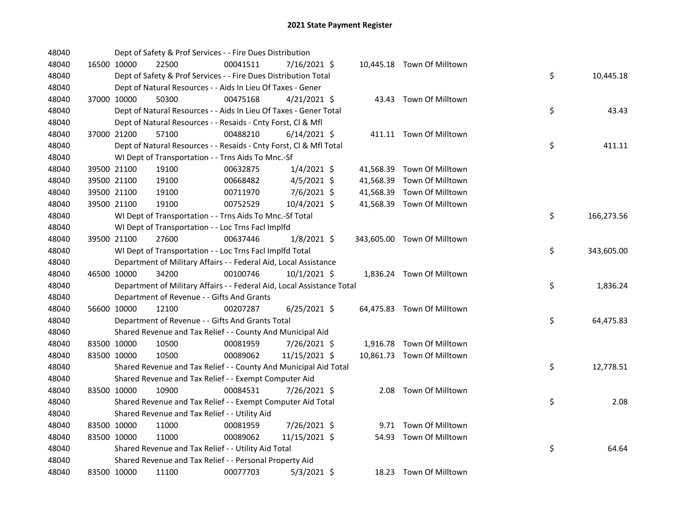| 48040 |             | Dept of Safety & Prof Services - - Fire Dues Distribution              |          |                |  |                             |    |            |
|-------|-------------|------------------------------------------------------------------------|----------|----------------|--|-----------------------------|----|------------|
| 48040 | 16500 10000 | 22500                                                                  | 00041511 | 7/16/2021 \$   |  | 10,445.18 Town Of Milltown  |    |            |
| 48040 |             | Dept of Safety & Prof Services - - Fire Dues Distribution Total        |          |                |  |                             | \$ | 10,445.18  |
| 48040 |             | Dept of Natural Resources - - Aids In Lieu Of Taxes - Gener            |          |                |  |                             |    |            |
| 48040 | 37000 10000 | 50300                                                                  | 00475168 | $4/21/2021$ \$ |  | 43.43 Town Of Milltown      |    |            |
| 48040 |             | Dept of Natural Resources - - Aids In Lieu Of Taxes - Gener Total      |          |                |  |                             | \$ | 43.43      |
| 48040 |             | Dept of Natural Resources - - Resaids - Cnty Forst, Cl & Mfl           |          |                |  |                             |    |            |
| 48040 | 37000 21200 | 57100                                                                  | 00488210 | $6/14/2021$ \$ |  | 411.11 Town Of Milltown     |    |            |
| 48040 |             | Dept of Natural Resources - - Resaids - Cnty Forst, Cl & Mfl Total     |          |                |  |                             | \$ | 411.11     |
| 48040 |             | WI Dept of Transportation - - Trns Aids To Mnc.-Sf                     |          |                |  |                             |    |            |
| 48040 | 39500 21100 | 19100                                                                  | 00632875 | $1/4/2021$ \$  |  | 41,568.39 Town Of Milltown  |    |            |
| 48040 | 39500 21100 | 19100                                                                  | 00668482 | $4/5/2021$ \$  |  | 41,568.39 Town Of Milltown  |    |            |
| 48040 | 39500 21100 | 19100                                                                  | 00711970 | $7/6/2021$ \$  |  | 41,568.39 Town Of Milltown  |    |            |
| 48040 | 39500 21100 | 19100                                                                  | 00752529 | 10/4/2021 \$   |  | 41,568.39 Town Of Milltown  |    |            |
| 48040 |             | WI Dept of Transportation - - Trns Aids To Mnc.-Sf Total               |          |                |  |                             | \$ | 166,273.56 |
| 48040 |             | WI Dept of Transportation - - Loc Trns Facl Implfd                     |          |                |  |                             |    |            |
| 48040 | 39500 21100 | 27600                                                                  | 00637446 | $1/8/2021$ \$  |  | 343,605.00 Town Of Milltown |    |            |
| 48040 |             | WI Dept of Transportation - - Loc Trns Facl Implfd Total               |          |                |  |                             | \$ | 343,605.00 |
| 48040 |             | Department of Military Affairs - - Federal Aid, Local Assistance       |          |                |  |                             |    |            |
| 48040 | 46500 10000 | 34200                                                                  | 00100746 | 10/1/2021 \$   |  | 1,836.24 Town Of Milltown   |    |            |
| 48040 |             | Department of Military Affairs - - Federal Aid, Local Assistance Total |          |                |  |                             | \$ | 1,836.24   |
| 48040 |             | Department of Revenue - - Gifts And Grants                             |          |                |  |                             |    |            |
| 48040 | 56600 10000 | 12100                                                                  | 00207287 | $6/25/2021$ \$ |  | 64,475.83 Town Of Milltown  |    |            |
| 48040 |             | Department of Revenue - - Gifts And Grants Total                       |          |                |  |                             | \$ | 64,475.83  |
| 48040 |             | Shared Revenue and Tax Relief - - County And Municipal Aid             |          |                |  |                             |    |            |
| 48040 | 83500 10000 | 10500                                                                  | 00081959 | 7/26/2021 \$   |  | 1,916.78 Town Of Milltown   |    |            |
| 48040 | 83500 10000 | 10500                                                                  | 00089062 | 11/15/2021 \$  |  | 10,861.73 Town Of Milltown  |    |            |
| 48040 |             | Shared Revenue and Tax Relief - - County And Municipal Aid Total       |          |                |  |                             | \$ | 12,778.51  |
| 48040 |             | Shared Revenue and Tax Relief - - Exempt Computer Aid                  |          |                |  |                             |    |            |
| 48040 | 83500 10000 | 10900                                                                  | 00084531 | 7/26/2021 \$   |  | 2.08 Town Of Milltown       |    |            |
| 48040 |             | Shared Revenue and Tax Relief - - Exempt Computer Aid Total            |          |                |  |                             | \$ | 2.08       |
| 48040 |             | Shared Revenue and Tax Relief - - Utility Aid                          |          |                |  |                             |    |            |
| 48040 | 83500 10000 | 11000                                                                  | 00081959 | 7/26/2021 \$   |  | 9.71 Town Of Milltown       |    |            |
| 48040 | 83500 10000 | 11000                                                                  | 00089062 | 11/15/2021 \$  |  | 54.93 Town Of Milltown      |    |            |
| 48040 |             | Shared Revenue and Tax Relief - - Utility Aid Total                    |          |                |  |                             | \$ | 64.64      |
| 48040 |             | Shared Revenue and Tax Relief - - Personal Property Aid                |          |                |  |                             |    |            |
| 48040 | 83500 10000 | 11100                                                                  | 00077703 | $5/3/2021$ \$  |  | 18.23 Town Of Milltown      |    |            |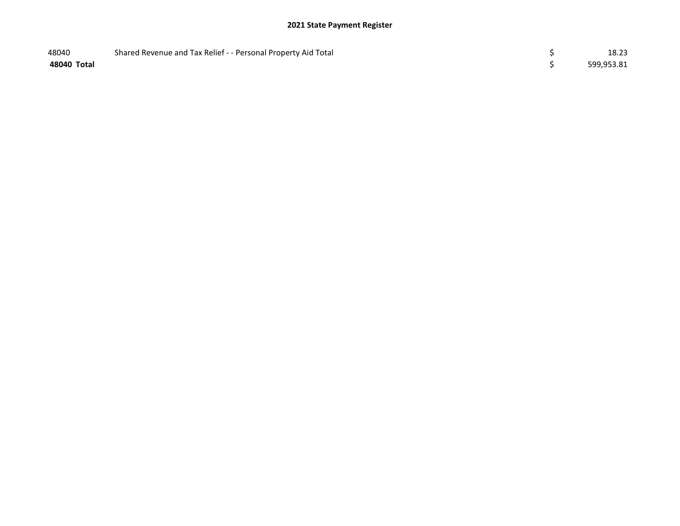| 48040       | Shared Revenue and Tax Relief - - Personal Property Aid Total | 18.23      |
|-------------|---------------------------------------------------------------|------------|
| 48040 Total |                                                               | 599,953.81 |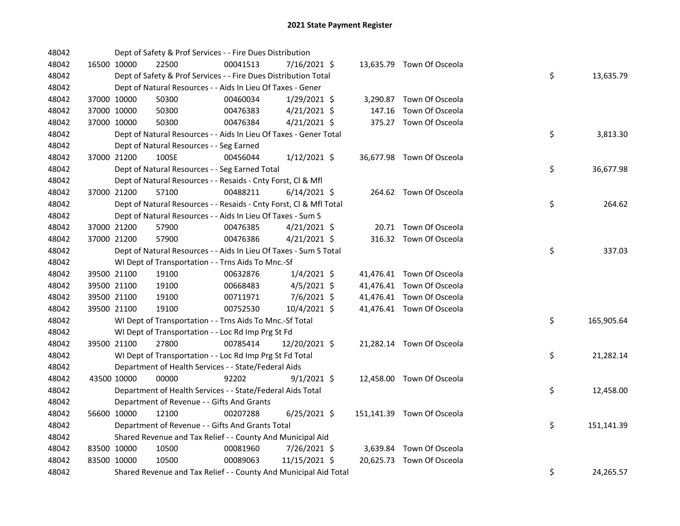| 48042 |             |             | Dept of Safety & Prof Services - - Fire Dues Distribution          |          |                |        |                            |    |            |
|-------|-------------|-------------|--------------------------------------------------------------------|----------|----------------|--------|----------------------------|----|------------|
| 48042 |             | 16500 10000 | 22500                                                              | 00041513 | 7/16/2021 \$   |        | 13,635.79 Town Of Osceola  |    |            |
| 48042 |             |             | Dept of Safety & Prof Services - - Fire Dues Distribution Total    |          |                |        |                            | \$ | 13,635.79  |
| 48042 |             |             | Dept of Natural Resources - - Aids In Lieu Of Taxes - Gener        |          |                |        |                            |    |            |
| 48042 |             | 37000 10000 | 50300                                                              | 00460034 | $1/29/2021$ \$ |        | 3,290.87 Town Of Osceola   |    |            |
| 48042 |             | 37000 10000 | 50300                                                              | 00476383 | $4/21/2021$ \$ | 147.16 | Town Of Osceola            |    |            |
| 48042 |             | 37000 10000 | 50300                                                              | 00476384 | $4/21/2021$ \$ |        | 375.27 Town Of Osceola     |    |            |
| 48042 |             |             | Dept of Natural Resources - - Aids In Lieu Of Taxes - Gener Total  |          |                |        |                            | \$ | 3,813.30   |
| 48042 |             |             | Dept of Natural Resources - - Seg Earned                           |          |                |        |                            |    |            |
| 48042 |             | 37000 21200 | 100SE                                                              | 00456044 | $1/12/2021$ \$ |        | 36,677.98 Town Of Osceola  |    |            |
| 48042 |             |             | Dept of Natural Resources - - Seg Earned Total                     |          |                |        |                            | \$ | 36,677.98  |
| 48042 |             |             | Dept of Natural Resources - - Resaids - Cnty Forst, Cl & Mfl       |          |                |        |                            |    |            |
| 48042 |             | 37000 21200 | 57100                                                              | 00488211 | $6/14/2021$ \$ |        | 264.62 Town Of Osceola     |    |            |
| 48042 |             |             | Dept of Natural Resources - - Resaids - Cnty Forst, Cl & Mfl Total |          |                |        |                            | \$ | 264.62     |
| 48042 |             |             | Dept of Natural Resources - - Aids In Lieu Of Taxes - Sum S        |          |                |        |                            |    |            |
| 48042 |             | 37000 21200 | 57900                                                              | 00476385 | $4/21/2021$ \$ |        | 20.71 Town Of Osceola      |    |            |
| 48042 |             | 37000 21200 | 57900                                                              | 00476386 | $4/21/2021$ \$ |        | 316.32 Town Of Osceola     |    |            |
| 48042 |             |             | Dept of Natural Resources - - Aids In Lieu Of Taxes - Sum S Total  |          |                |        |                            | \$ | 337.03     |
| 48042 |             |             | WI Dept of Transportation - - Trns Aids To Mnc.-Sf                 |          |                |        |                            |    |            |
| 48042 |             | 39500 21100 | 19100                                                              | 00632876 | $1/4/2021$ \$  |        | 41,476.41 Town Of Osceola  |    |            |
| 48042 |             | 39500 21100 | 19100                                                              | 00668483 | $4/5/2021$ \$  |        | 41,476.41 Town Of Osceola  |    |            |
| 48042 | 39500 21100 |             | 19100                                                              | 00711971 | $7/6/2021$ \$  |        | 41,476.41 Town Of Osceola  |    |            |
| 48042 | 39500 21100 |             | 19100                                                              | 00752530 | 10/4/2021 \$   |        | 41,476.41 Town Of Osceola  |    |            |
| 48042 |             |             | WI Dept of Transportation - - Trns Aids To Mnc.-Sf Total           |          |                |        |                            | \$ | 165,905.64 |
| 48042 |             |             | WI Dept of Transportation - - Loc Rd Imp Prg St Fd                 |          |                |        |                            |    |            |
| 48042 |             | 39500 21100 | 27800                                                              | 00785414 | 12/20/2021 \$  |        | 21,282.14 Town Of Osceola  |    |            |
| 48042 |             |             | WI Dept of Transportation - - Loc Rd Imp Prg St Fd Total           |          |                |        |                            | \$ | 21,282.14  |
| 48042 |             |             | Department of Health Services - - State/Federal Aids               |          |                |        |                            |    |            |
| 48042 |             | 43500 10000 | 00000                                                              | 92202    | $9/1/2021$ \$  |        | 12,458.00 Town Of Osceola  |    |            |
| 48042 |             |             | Department of Health Services - - State/Federal Aids Total         |          |                |        |                            | \$ | 12,458.00  |
| 48042 |             |             | Department of Revenue - - Gifts And Grants                         |          |                |        |                            |    |            |
| 48042 |             | 56600 10000 | 12100                                                              | 00207288 | $6/25/2021$ \$ |        | 151,141.39 Town Of Osceola |    |            |
| 48042 |             |             | Department of Revenue - - Gifts And Grants Total                   |          |                |        |                            | \$ | 151,141.39 |
| 48042 |             |             | Shared Revenue and Tax Relief - - County And Municipal Aid         |          |                |        |                            |    |            |
| 48042 | 83500 10000 |             | 10500                                                              | 00081960 | 7/26/2021 \$   |        | 3,639.84 Town Of Osceola   |    |            |
| 48042 |             | 83500 10000 | 10500                                                              | 00089063 | 11/15/2021 \$  |        | 20,625.73 Town Of Osceola  |    |            |
| 48042 |             |             | Shared Revenue and Tax Relief - - County And Municipal Aid Total   |          |                |        |                            | \$ | 24,265.57  |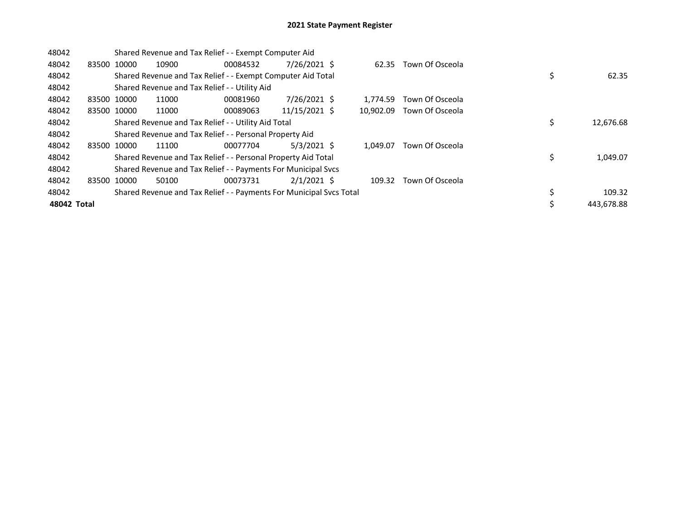| 48042       |       |             | Shared Revenue and Tax Relief - - Exempt Computer Aid               |          |               |           |                 |    |            |
|-------------|-------|-------------|---------------------------------------------------------------------|----------|---------------|-----------|-----------------|----|------------|
| 48042       |       | 83500 10000 | 10900                                                               | 00084532 | 7/26/2021 \$  | 62.35     | Town Of Osceola |    |            |
| 48042       |       |             | Shared Revenue and Tax Relief - - Exempt Computer Aid Total         |          |               |           |                 | \$ | 62.35      |
| 48042       |       |             | Shared Revenue and Tax Relief - - Utility Aid                       |          |               |           |                 |    |            |
| 48042       |       | 83500 10000 | 11000                                                               | 00081960 | 7/26/2021 \$  | 1.774.59  | Town Of Osceola |    |            |
| 48042       |       | 83500 10000 | 11000                                                               | 00089063 | 11/15/2021 \$ | 10.902.09 | Town Of Osceola |    |            |
| 48042       |       |             | Shared Revenue and Tax Relief - - Utility Aid Total                 |          |               | \$        | 12,676.68       |    |            |
| 48042       |       |             | Shared Revenue and Tax Relief - - Personal Property Aid             |          |               |           |                 |    |            |
| 48042       | 83500 | 10000       | 11100                                                               | 00077704 | $5/3/2021$ \$ | 1.049.07  | Town Of Osceola |    |            |
| 48042       |       |             | Shared Revenue and Tax Relief - - Personal Property Aid Total       |          |               |           |                 | \$ | 1,049.07   |
| 48042       |       |             | Shared Revenue and Tax Relief - - Payments For Municipal Svcs       |          |               |           |                 |    |            |
| 48042       | 83500 | 10000       | 50100                                                               | 00073731 | $2/1/2021$ \$ | 109.32    | Town Of Osceola |    |            |
| 48042       |       |             | Shared Revenue and Tax Relief - - Payments For Municipal Svcs Total |          |               |           |                 | \$ | 109.32     |
| 48042 Total |       |             |                                                                     |          |               |           |                 | Ś  | 443.678.88 |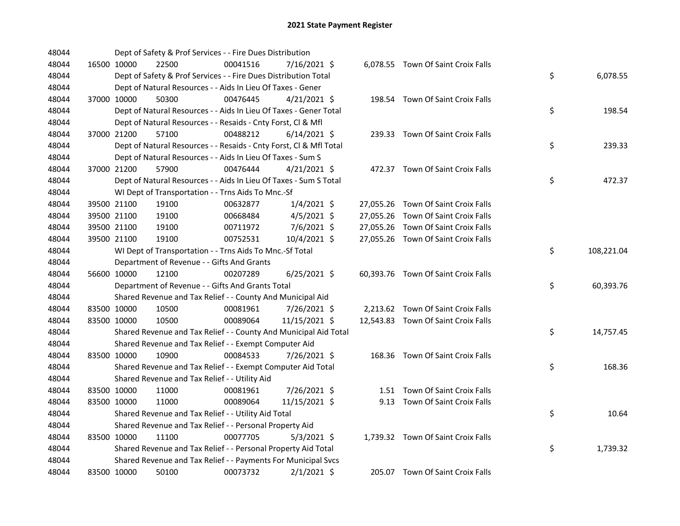| 48044 |             | Dept of Safety & Prof Services - - Fire Dues Distribution          |          |                |  |                                     |    |            |
|-------|-------------|--------------------------------------------------------------------|----------|----------------|--|-------------------------------------|----|------------|
| 48044 | 16500 10000 | 22500                                                              | 00041516 | 7/16/2021 \$   |  | 6,078.55 Town Of Saint Croix Falls  |    |            |
| 48044 |             | Dept of Safety & Prof Services - - Fire Dues Distribution Total    |          |                |  |                                     | \$ | 6,078.55   |
| 48044 |             | Dept of Natural Resources - - Aids In Lieu Of Taxes - Gener        |          |                |  |                                     |    |            |
| 48044 | 37000 10000 | 50300                                                              | 00476445 | $4/21/2021$ \$ |  | 198.54 Town Of Saint Croix Falls    |    |            |
| 48044 |             | Dept of Natural Resources - - Aids In Lieu Of Taxes - Gener Total  |          |                |  |                                     | \$ | 198.54     |
| 48044 |             | Dept of Natural Resources - - Resaids - Cnty Forst, Cl & Mfl       |          |                |  |                                     |    |            |
| 48044 | 37000 21200 | 57100                                                              | 00488212 | $6/14/2021$ \$ |  | 239.33 Town Of Saint Croix Falls    |    |            |
| 48044 |             | Dept of Natural Resources - - Resaids - Cnty Forst, Cl & Mfl Total |          |                |  |                                     | \$ | 239.33     |
| 48044 |             | Dept of Natural Resources - - Aids In Lieu Of Taxes - Sum S        |          |                |  |                                     |    |            |
| 48044 | 37000 21200 | 57900                                                              | 00476444 | $4/21/2021$ \$ |  | 472.37 Town Of Saint Croix Falls    |    |            |
| 48044 |             | Dept of Natural Resources - - Aids In Lieu Of Taxes - Sum S Total  |          |                |  |                                     | \$ | 472.37     |
| 48044 |             | WI Dept of Transportation - - Trns Aids To Mnc.-Sf                 |          |                |  |                                     |    |            |
| 48044 | 39500 21100 | 19100                                                              | 00632877 | $1/4/2021$ \$  |  | 27,055.26 Town Of Saint Croix Falls |    |            |
| 48044 | 39500 21100 | 19100                                                              | 00668484 | $4/5/2021$ \$  |  | 27,055.26 Town Of Saint Croix Falls |    |            |
| 48044 | 39500 21100 | 19100                                                              | 00711972 | 7/6/2021 \$    |  | 27,055.26 Town Of Saint Croix Falls |    |            |
| 48044 | 39500 21100 | 19100                                                              | 00752531 | 10/4/2021 \$   |  | 27,055.26 Town Of Saint Croix Falls |    |            |
| 48044 |             | WI Dept of Transportation - - Trns Aids To Mnc.-Sf Total           |          |                |  |                                     | \$ | 108,221.04 |
| 48044 |             | Department of Revenue - - Gifts And Grants                         |          |                |  |                                     |    |            |
| 48044 | 56600 10000 | 12100                                                              | 00207289 | $6/25/2021$ \$ |  | 60,393.76 Town Of Saint Croix Falls |    |            |
| 48044 |             | Department of Revenue - - Gifts And Grants Total                   |          |                |  |                                     | \$ | 60,393.76  |
| 48044 |             | Shared Revenue and Tax Relief - - County And Municipal Aid         |          |                |  |                                     |    |            |
| 48044 | 83500 10000 | 10500                                                              | 00081961 | 7/26/2021 \$   |  | 2,213.62 Town Of Saint Croix Falls  |    |            |
| 48044 | 83500 10000 | 10500                                                              | 00089064 | 11/15/2021 \$  |  | 12,543.83 Town Of Saint Croix Falls |    |            |
| 48044 |             | Shared Revenue and Tax Relief - - County And Municipal Aid Total   |          |                |  |                                     | \$ | 14,757.45  |
| 48044 |             | Shared Revenue and Tax Relief - - Exempt Computer Aid              |          |                |  |                                     |    |            |
| 48044 | 83500 10000 | 10900                                                              | 00084533 | 7/26/2021 \$   |  | 168.36 Town Of Saint Croix Falls    |    |            |
| 48044 |             | Shared Revenue and Tax Relief - - Exempt Computer Aid Total        |          |                |  |                                     | \$ | 168.36     |
| 48044 |             | Shared Revenue and Tax Relief - - Utility Aid                      |          |                |  |                                     |    |            |
| 48044 | 83500 10000 | 11000                                                              | 00081961 | 7/26/2021 \$   |  | 1.51 Town Of Saint Croix Falls      |    |            |
| 48044 | 83500 10000 | 11000                                                              | 00089064 | 11/15/2021 \$  |  | 9.13 Town Of Saint Croix Falls      |    |            |
| 48044 |             | Shared Revenue and Tax Relief - - Utility Aid Total                |          |                |  |                                     | \$ | 10.64      |
| 48044 |             | Shared Revenue and Tax Relief - - Personal Property Aid            |          |                |  |                                     |    |            |
| 48044 | 83500 10000 | 11100                                                              | 00077705 | $5/3/2021$ \$  |  | 1,739.32 Town Of Saint Croix Falls  |    |            |
| 48044 |             | Shared Revenue and Tax Relief - - Personal Property Aid Total      |          |                |  |                                     | \$ | 1,739.32   |
| 48044 |             | Shared Revenue and Tax Relief - - Payments For Municipal Svcs      |          |                |  |                                     |    |            |
| 48044 | 83500 10000 | 50100                                                              | 00073732 | $2/1/2021$ \$  |  | 205.07 Town Of Saint Croix Falls    |    |            |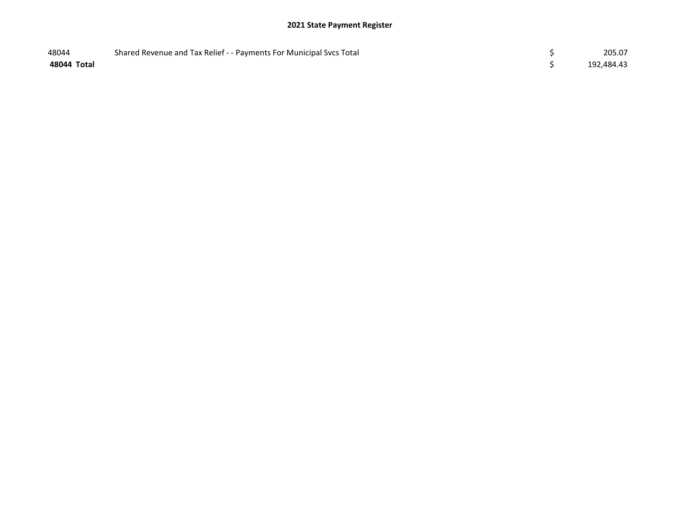| 48044       | Shared Revenue and Tax Relief - - Payments For Municipal Svcs Total | 205.07     |
|-------------|---------------------------------------------------------------------|------------|
| 48044 Total |                                                                     | 192,484.43 |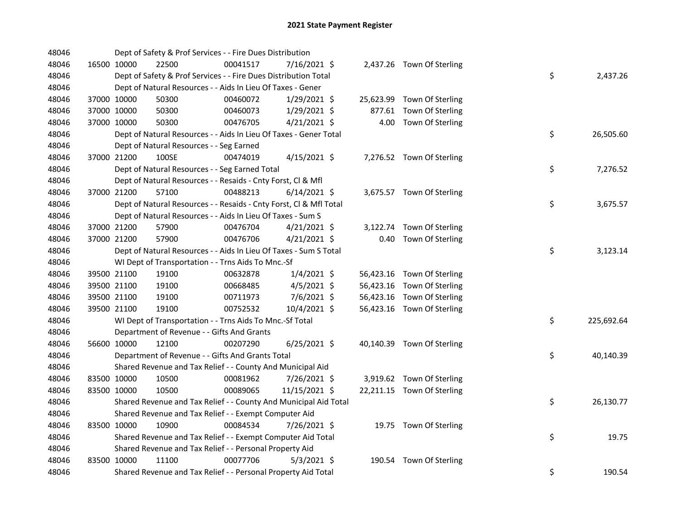| 48046 |             | Dept of Safety & Prof Services - - Fire Dues Distribution          |          |                |  |                            |    |            |
|-------|-------------|--------------------------------------------------------------------|----------|----------------|--|----------------------------|----|------------|
| 48046 | 16500 10000 | 22500                                                              | 00041517 | 7/16/2021 \$   |  | 2,437.26 Town Of Sterling  |    |            |
| 48046 |             | Dept of Safety & Prof Services - - Fire Dues Distribution Total    |          |                |  |                            | \$ | 2,437.26   |
| 48046 |             | Dept of Natural Resources - - Aids In Lieu Of Taxes - Gener        |          |                |  |                            |    |            |
| 48046 | 37000 10000 | 50300                                                              | 00460072 | 1/29/2021 \$   |  | 25,623.99 Town Of Sterling |    |            |
| 48046 | 37000 10000 | 50300                                                              | 00460073 | 1/29/2021 \$   |  | 877.61 Town Of Sterling    |    |            |
| 48046 | 37000 10000 | 50300                                                              | 00476705 | $4/21/2021$ \$ |  | 4.00 Town Of Sterling      |    |            |
| 48046 |             | Dept of Natural Resources - - Aids In Lieu Of Taxes - Gener Total  |          |                |  |                            | \$ | 26,505.60  |
| 48046 |             | Dept of Natural Resources - - Seg Earned                           |          |                |  |                            |    |            |
| 48046 | 37000 21200 | 100SE                                                              | 00474019 | $4/15/2021$ \$ |  | 7,276.52 Town Of Sterling  |    |            |
| 48046 |             | Dept of Natural Resources - - Seg Earned Total                     |          |                |  |                            | \$ | 7,276.52   |
| 48046 |             | Dept of Natural Resources - - Resaids - Cnty Forst, Cl & Mfl       |          |                |  |                            |    |            |
| 48046 | 37000 21200 | 57100                                                              | 00488213 | $6/14/2021$ \$ |  | 3,675.57 Town Of Sterling  |    |            |
| 48046 |             | Dept of Natural Resources - - Resaids - Cnty Forst, Cl & Mfl Total |          |                |  |                            | \$ | 3,675.57   |
| 48046 |             | Dept of Natural Resources - - Aids In Lieu Of Taxes - Sum S        |          |                |  |                            |    |            |
| 48046 | 37000 21200 | 57900                                                              | 00476704 | $4/21/2021$ \$ |  | 3,122.74 Town Of Sterling  |    |            |
| 48046 | 37000 21200 | 57900                                                              | 00476706 | $4/21/2021$ \$ |  | 0.40 Town Of Sterling      |    |            |
| 48046 |             | Dept of Natural Resources - - Aids In Lieu Of Taxes - Sum S Total  |          |                |  |                            | \$ | 3,123.14   |
| 48046 |             | WI Dept of Transportation - - Trns Aids To Mnc.-Sf                 |          |                |  |                            |    |            |
| 48046 | 39500 21100 | 19100                                                              | 00632878 | 1/4/2021 \$    |  | 56,423.16 Town Of Sterling |    |            |
| 48046 | 39500 21100 | 19100                                                              | 00668485 | $4/5/2021$ \$  |  | 56,423.16 Town Of Sterling |    |            |
| 48046 | 39500 21100 | 19100                                                              | 00711973 | $7/6/2021$ \$  |  | 56,423.16 Town Of Sterling |    |            |
| 48046 | 39500 21100 | 19100                                                              | 00752532 | 10/4/2021 \$   |  | 56,423.16 Town Of Sterling |    |            |
| 48046 |             | WI Dept of Transportation - - Trns Aids To Mnc.-Sf Total           |          |                |  |                            | \$ | 225,692.64 |
| 48046 |             | Department of Revenue - - Gifts And Grants                         |          |                |  |                            |    |            |
| 48046 | 56600 10000 | 12100                                                              | 00207290 | $6/25/2021$ \$ |  | 40,140.39 Town Of Sterling |    |            |
| 48046 |             | Department of Revenue - - Gifts And Grants Total                   |          |                |  |                            | \$ | 40,140.39  |
| 48046 |             | Shared Revenue and Tax Relief - - County And Municipal Aid         |          |                |  |                            |    |            |
| 48046 | 83500 10000 | 10500                                                              | 00081962 | 7/26/2021 \$   |  | 3,919.62 Town Of Sterling  |    |            |
| 48046 | 83500 10000 | 10500                                                              | 00089065 | 11/15/2021 \$  |  | 22,211.15 Town Of Sterling |    |            |
| 48046 |             | Shared Revenue and Tax Relief - - County And Municipal Aid Total   |          |                |  |                            | \$ | 26,130.77  |
| 48046 |             | Shared Revenue and Tax Relief - - Exempt Computer Aid              |          |                |  |                            |    |            |
| 48046 | 83500 10000 | 10900                                                              | 00084534 | 7/26/2021 \$   |  | 19.75 Town Of Sterling     |    |            |
| 48046 |             | Shared Revenue and Tax Relief - - Exempt Computer Aid Total        |          |                |  |                            | \$ | 19.75      |
| 48046 |             | Shared Revenue and Tax Relief - - Personal Property Aid            |          |                |  |                            |    |            |
| 48046 | 83500 10000 | 11100                                                              | 00077706 | $5/3/2021$ \$  |  | 190.54 Town Of Sterling    |    |            |
| 48046 |             | Shared Revenue and Tax Relief - - Personal Property Aid Total      |          |                |  |                            | \$ | 190.54     |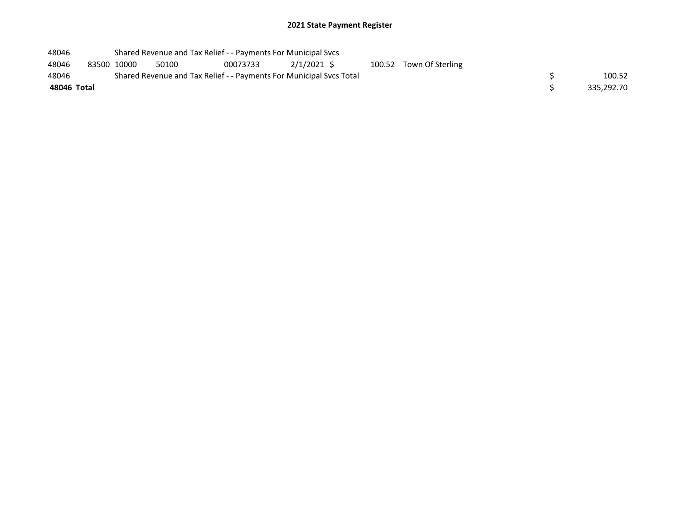| 48046       |                                                                     |  | Shared Revenue and Tax Relief - - Payments For Municipal Svcs |          |            |  |  |                         |  |            |  |  |
|-------------|---------------------------------------------------------------------|--|---------------------------------------------------------------|----------|------------|--|--|-------------------------|--|------------|--|--|
| 48046       | 83500 10000                                                         |  | 50100                                                         | 00073733 | 2/1/2021 S |  |  | 100.52 Town Of Sterling |  |            |  |  |
| 48046       | Shared Revenue and Tax Relief - - Payments For Municipal Sycs Total |  |                                                               |          |            |  |  |                         |  | 100.52     |  |  |
| 48046 Total |                                                                     |  |                                                               |          |            |  |  |                         |  | 335,292.70 |  |  |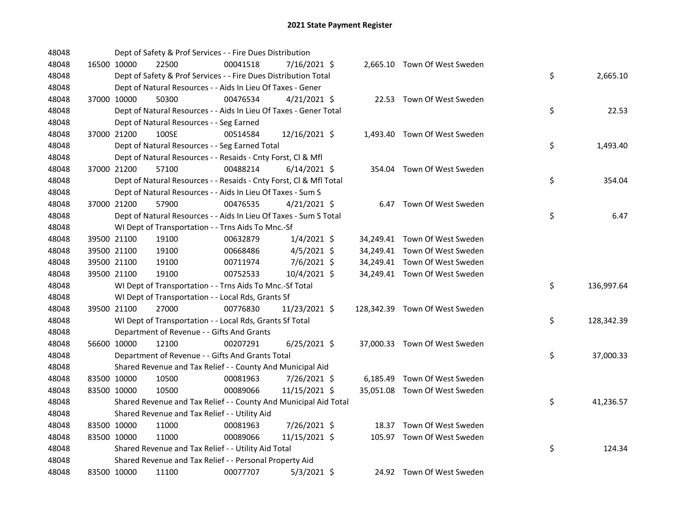| 48048 |             | Dept of Safety & Prof Services - - Fire Dues Distribution          |          |                |  |                                |    |            |
|-------|-------------|--------------------------------------------------------------------|----------|----------------|--|--------------------------------|----|------------|
| 48048 | 16500 10000 | 22500                                                              | 00041518 | 7/16/2021 \$   |  | 2,665.10 Town Of West Sweden   |    |            |
| 48048 |             | Dept of Safety & Prof Services - - Fire Dues Distribution Total    |          |                |  |                                | \$ | 2,665.10   |
| 48048 |             | Dept of Natural Resources - - Aids In Lieu Of Taxes - Gener        |          |                |  |                                |    |            |
| 48048 | 37000 10000 | 50300                                                              | 00476534 | $4/21/2021$ \$ |  | 22.53 Town Of West Sweden      |    |            |
| 48048 |             | Dept of Natural Resources - - Aids In Lieu Of Taxes - Gener Total  |          |                |  |                                | \$ | 22.53      |
| 48048 |             | Dept of Natural Resources - - Seg Earned                           |          |                |  |                                |    |            |
| 48048 | 37000 21200 | 100SE                                                              | 00514584 | 12/16/2021 \$  |  | 1,493.40 Town Of West Sweden   |    |            |
| 48048 |             | Dept of Natural Resources - - Seg Earned Total                     |          |                |  |                                | \$ | 1,493.40   |
| 48048 |             | Dept of Natural Resources - - Resaids - Cnty Forst, Cl & Mfl       |          |                |  |                                |    |            |
| 48048 | 37000 21200 | 57100                                                              | 00488214 | $6/14/2021$ \$ |  | 354.04 Town Of West Sweden     |    |            |
| 48048 |             | Dept of Natural Resources - - Resaids - Cnty Forst, Cl & Mfl Total |          |                |  |                                | \$ | 354.04     |
| 48048 |             | Dept of Natural Resources - - Aids In Lieu Of Taxes - Sum S        |          |                |  |                                |    |            |
| 48048 | 37000 21200 | 57900                                                              | 00476535 | $4/21/2021$ \$ |  | 6.47 Town Of West Sweden       |    |            |
| 48048 |             | Dept of Natural Resources - - Aids In Lieu Of Taxes - Sum S Total  |          |                |  |                                | \$ | 6.47       |
| 48048 |             | WI Dept of Transportation - - Trns Aids To Mnc.-Sf                 |          |                |  |                                |    |            |
| 48048 | 39500 21100 | 19100                                                              | 00632879 | $1/4/2021$ \$  |  | 34,249.41 Town Of West Sweden  |    |            |
| 48048 | 39500 21100 | 19100                                                              | 00668486 | $4/5/2021$ \$  |  | 34,249.41 Town Of West Sweden  |    |            |
| 48048 | 39500 21100 | 19100                                                              | 00711974 | 7/6/2021 \$    |  | 34,249.41 Town Of West Sweden  |    |            |
| 48048 | 39500 21100 | 19100                                                              | 00752533 | 10/4/2021 \$   |  | 34,249.41 Town Of West Sweden  |    |            |
| 48048 |             | WI Dept of Transportation - - Trns Aids To Mnc.-Sf Total           |          |                |  |                                | \$ | 136,997.64 |
| 48048 |             | WI Dept of Transportation - - Local Rds, Grants Sf                 |          |                |  |                                |    |            |
| 48048 | 39500 21100 | 27000                                                              | 00776830 | 11/23/2021 \$  |  | 128,342.39 Town Of West Sweden |    |            |
| 48048 |             | WI Dept of Transportation - - Local Rds, Grants Sf Total           |          |                |  |                                | \$ | 128,342.39 |
| 48048 |             | Department of Revenue - - Gifts And Grants                         |          |                |  |                                |    |            |
| 48048 | 56600 10000 | 12100                                                              | 00207291 | $6/25/2021$ \$ |  | 37,000.33 Town Of West Sweden  |    |            |
| 48048 |             | Department of Revenue - - Gifts And Grants Total                   |          |                |  |                                | \$ | 37,000.33  |
| 48048 |             | Shared Revenue and Tax Relief - - County And Municipal Aid         |          |                |  |                                |    |            |
| 48048 | 83500 10000 | 10500                                                              | 00081963 | 7/26/2021 \$   |  | 6,185.49 Town Of West Sweden   |    |            |
| 48048 | 83500 10000 | 10500                                                              | 00089066 | 11/15/2021 \$  |  | 35,051.08 Town Of West Sweden  |    |            |
| 48048 |             | Shared Revenue and Tax Relief - - County And Municipal Aid Total   |          |                |  |                                | \$ | 41,236.57  |
| 48048 |             | Shared Revenue and Tax Relief - - Utility Aid                      |          |                |  |                                |    |            |
| 48048 | 83500 10000 | 11000                                                              | 00081963 | 7/26/2021 \$   |  | 18.37 Town Of West Sweden      |    |            |
| 48048 | 83500 10000 | 11000                                                              | 00089066 | 11/15/2021 \$  |  | 105.97 Town Of West Sweden     |    |            |
| 48048 |             | Shared Revenue and Tax Relief - - Utility Aid Total                |          |                |  |                                | \$ | 124.34     |
| 48048 |             | Shared Revenue and Tax Relief - - Personal Property Aid            |          |                |  |                                |    |            |
| 48048 | 83500 10000 | 11100                                                              | 00077707 | $5/3/2021$ \$  |  | 24.92 Town Of West Sweden      |    |            |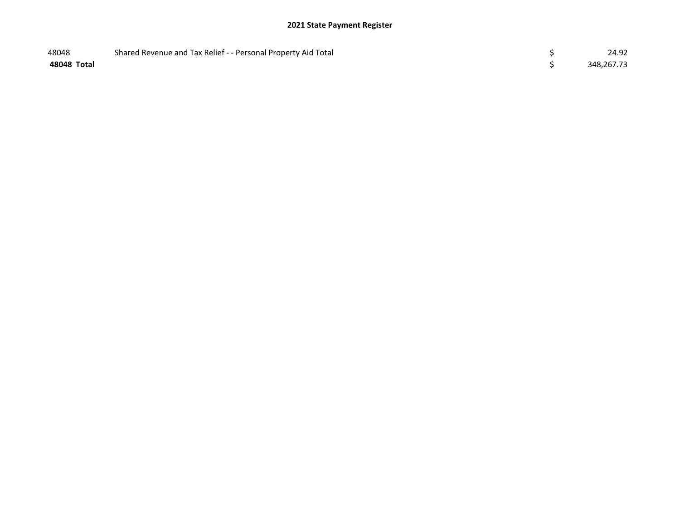| 48048       | Shared Revenue and Tax Relief - - Personal Property Aid Total | 24.92      |
|-------------|---------------------------------------------------------------|------------|
| 48048 Total |                                                               | 348,267.73 |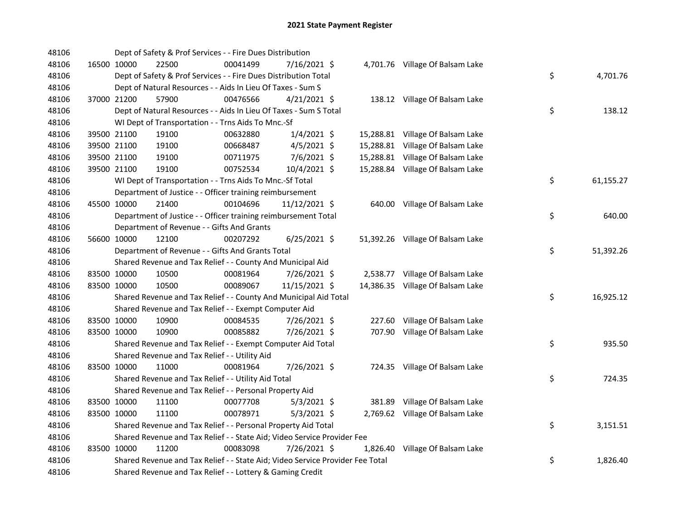| 48106 |                                                                  | Dept of Safety & Prof Services - - Fire Dues Distribution                     |                |  |                                  |    |           |
|-------|------------------------------------------------------------------|-------------------------------------------------------------------------------|----------------|--|----------------------------------|----|-----------|
| 48106 | 16500 10000<br>22500                                             | 00041499                                                                      | 7/16/2021 \$   |  | 4,701.76 Village Of Balsam Lake  |    |           |
| 48106 |                                                                  | Dept of Safety & Prof Services - - Fire Dues Distribution Total               |                |  |                                  | \$ | 4,701.76  |
| 48106 |                                                                  | Dept of Natural Resources - - Aids In Lieu Of Taxes - Sum S                   |                |  |                                  |    |           |
| 48106 | 37000 21200<br>57900                                             | 00476566                                                                      | $4/21/2021$ \$ |  | 138.12 Village Of Balsam Lake    |    |           |
| 48106 |                                                                  | Dept of Natural Resources - - Aids In Lieu Of Taxes - Sum S Total             |                |  |                                  | \$ | 138.12    |
| 48106 | WI Dept of Transportation - - Trns Aids To Mnc.-Sf               |                                                                               |                |  |                                  |    |           |
| 48106 | 39500 21100<br>19100                                             | 00632880                                                                      | $1/4/2021$ \$  |  | 15,288.81 Village Of Balsam Lake |    |           |
| 48106 | 39500 21100<br>19100                                             | 00668487                                                                      | $4/5/2021$ \$  |  | 15,288.81 Village Of Balsam Lake |    |           |
| 48106 | 39500 21100<br>19100                                             | 00711975                                                                      | 7/6/2021 \$    |  | 15,288.81 Village Of Balsam Lake |    |           |
| 48106 | 39500 21100<br>19100                                             | 00752534                                                                      | 10/4/2021 \$   |  | 15,288.84 Village Of Balsam Lake |    |           |
| 48106 | WI Dept of Transportation - - Trns Aids To Mnc.-Sf Total         |                                                                               |                |  |                                  | \$ | 61,155.27 |
| 48106 |                                                                  | Department of Justice - - Officer training reimbursement                      |                |  |                                  |    |           |
| 48106 | 45500 10000<br>21400                                             | 00104696                                                                      | 11/12/2021 \$  |  | 640.00 Village Of Balsam Lake    |    |           |
| 48106 |                                                                  | Department of Justice - - Officer training reimbursement Total                |                |  |                                  | \$ | 640.00    |
| 48106 | Department of Revenue - - Gifts And Grants                       |                                                                               |                |  |                                  |    |           |
| 48106 | 56600 10000<br>12100                                             | 00207292                                                                      | $6/25/2021$ \$ |  | 51,392.26 Village Of Balsam Lake |    |           |
| 48106 |                                                                  | Department of Revenue - - Gifts And Grants Total                              |                |  |                                  | \$ | 51,392.26 |
| 48106 |                                                                  | Shared Revenue and Tax Relief - - County And Municipal Aid                    |                |  |                                  |    |           |
| 48106 | 83500 10000<br>10500                                             | 00081964                                                                      | 7/26/2021 \$   |  | 2,538.77 Village Of Balsam Lake  |    |           |
| 48106 | 83500 10000<br>10500                                             | 00089067                                                                      | 11/15/2021 \$  |  | 14,386.35 Village Of Balsam Lake |    |           |
| 48106 | Shared Revenue and Tax Relief - - County And Municipal Aid Total |                                                                               |                |  |                                  | \$ | 16,925.12 |
| 48106 |                                                                  | Shared Revenue and Tax Relief - - Exempt Computer Aid                         |                |  |                                  |    |           |
| 48106 | 83500 10000<br>10900                                             | 00084535                                                                      | 7/26/2021 \$   |  | 227.60 Village Of Balsam Lake    |    |           |
| 48106 | 83500 10000<br>10900                                             | 00085882                                                                      | 7/26/2021 \$   |  | 707.90 Village Of Balsam Lake    |    |           |
| 48106 | Shared Revenue and Tax Relief - - Exempt Computer Aid Total      |                                                                               |                |  |                                  | \$ | 935.50    |
| 48106 | Shared Revenue and Tax Relief - - Utility Aid                    |                                                                               |                |  |                                  |    |           |
| 48106 | 83500 10000<br>11000                                             | 00081964                                                                      | 7/26/2021 \$   |  | 724.35 Village Of Balsam Lake    |    |           |
| 48106 | Shared Revenue and Tax Relief - - Utility Aid Total              |                                                                               |                |  |                                  | \$ | 724.35    |
| 48106 | Shared Revenue and Tax Relief - - Personal Property Aid          |                                                                               |                |  |                                  |    |           |
| 48106 | 83500 10000<br>11100                                             | 00077708                                                                      | $5/3/2021$ \$  |  | 381.89 Village Of Balsam Lake    |    |           |
| 48106 | 83500 10000<br>11100                                             | 00078971                                                                      | $5/3/2021$ \$  |  | 2,769.62 Village Of Balsam Lake  |    |           |
| 48106 | Shared Revenue and Tax Relief - - Personal Property Aid Total    |                                                                               |                |  |                                  | \$ | 3,151.51  |
| 48106 |                                                                  | Shared Revenue and Tax Relief - - State Aid; Video Service Provider Fee       |                |  |                                  |    |           |
| 48106 | 83500 10000<br>11200                                             | 00083098                                                                      | 7/26/2021 \$   |  | 1,826.40 Village Of Balsam Lake  |    |           |
| 48106 |                                                                  | Shared Revenue and Tax Relief - - State Aid; Video Service Provider Fee Total |                |  |                                  | \$ | 1,826.40  |
| 48106 |                                                                  | Shared Revenue and Tax Relief - - Lottery & Gaming Credit                     |                |  |                                  |    |           |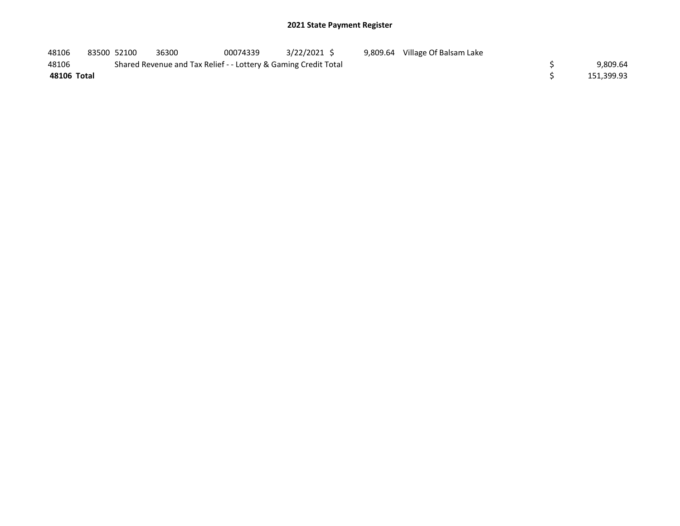| 48106       | 83500 52100 | 36300                                                           | 00074339 | 3/22/2021 S |  | 9,809.64 Village Of Balsam Lake |            |
|-------------|-------------|-----------------------------------------------------------------|----------|-------------|--|---------------------------------|------------|
| 48106       |             | Shared Revenue and Tax Relief - - Lottery & Gaming Credit Total |          |             |  |                                 | 9.809.64   |
| 48106 Total |             |                                                                 |          |             |  |                                 | 151,399.93 |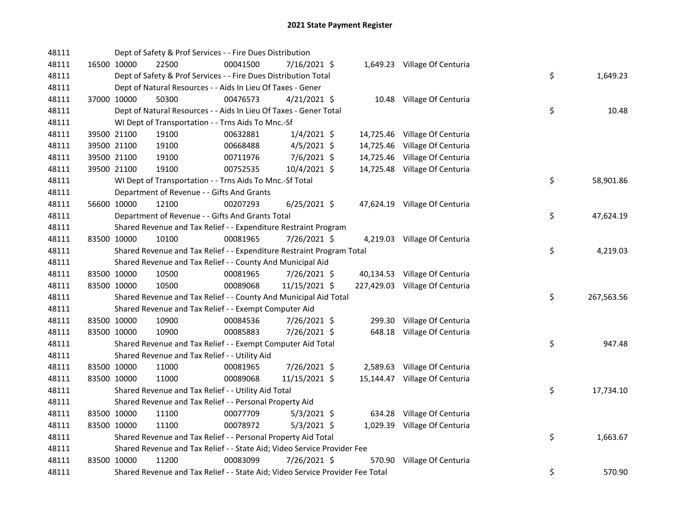| 48111 |             |                      | Dept of Safety & Prof Services - - Fire Dues Distribution                     |                |  |                                |    |            |
|-------|-------------|----------------------|-------------------------------------------------------------------------------|----------------|--|--------------------------------|----|------------|
| 48111 |             | 16500 10000<br>22500 | 00041500                                                                      | 7/16/2021 \$   |  | 1,649.23 Village Of Centuria   |    |            |
| 48111 |             |                      | Dept of Safety & Prof Services - - Fire Dues Distribution Total               |                |  |                                | \$ | 1,649.23   |
| 48111 |             |                      | Dept of Natural Resources - - Aids In Lieu Of Taxes - Gener                   |                |  |                                |    |            |
| 48111 |             | 37000 10000<br>50300 | 00476573                                                                      | $4/21/2021$ \$ |  | 10.48 Village Of Centuria      |    |            |
| 48111 |             |                      | Dept of Natural Resources - - Aids In Lieu Of Taxes - Gener Total             |                |  |                                | \$ | 10.48      |
| 48111 |             |                      | WI Dept of Transportation - - Trns Aids To Mnc.-Sf                            |                |  |                                |    |            |
| 48111 |             | 39500 21100<br>19100 | 00632881                                                                      | $1/4/2021$ \$  |  | 14,725.46 Village Of Centuria  |    |            |
| 48111 |             | 39500 21100<br>19100 | 00668488                                                                      | $4/5/2021$ \$  |  | 14,725.46 Village Of Centuria  |    |            |
| 48111 |             | 39500 21100<br>19100 | 00711976                                                                      | $7/6/2021$ \$  |  | 14,725.46 Village Of Centuria  |    |            |
| 48111 |             | 39500 21100<br>19100 | 00752535                                                                      | 10/4/2021 \$   |  | 14,725.48 Village Of Centuria  |    |            |
| 48111 |             |                      | WI Dept of Transportation - - Trns Aids To Mnc.-Sf Total                      |                |  |                                | \$ | 58,901.86  |
| 48111 |             |                      | Department of Revenue - - Gifts And Grants                                    |                |  |                                |    |            |
| 48111 |             | 56600 10000<br>12100 | 00207293                                                                      | $6/25/2021$ \$ |  | 47,624.19 Village Of Centuria  |    |            |
| 48111 |             |                      | Department of Revenue - - Gifts And Grants Total                              |                |  |                                | \$ | 47,624.19  |
| 48111 |             |                      | Shared Revenue and Tax Relief - - Expenditure Restraint Program               |                |  |                                |    |            |
| 48111 | 83500 10000 | 10100                | 00081965                                                                      | 7/26/2021 \$   |  | 4,219.03 Village Of Centuria   |    |            |
| 48111 |             |                      | Shared Revenue and Tax Relief - - Expenditure Restraint Program Total         |                |  |                                | \$ | 4,219.03   |
| 48111 |             |                      | Shared Revenue and Tax Relief - - County And Municipal Aid                    |                |  |                                |    |            |
| 48111 |             | 83500 10000<br>10500 | 00081965                                                                      | 7/26/2021 \$   |  | 40,134.53 Village Of Centuria  |    |            |
| 48111 |             | 83500 10000<br>10500 | 00089068                                                                      | 11/15/2021 \$  |  | 227,429.03 Village Of Centuria |    |            |
| 48111 |             |                      | Shared Revenue and Tax Relief - - County And Municipal Aid Total              |                |  |                                | \$ | 267,563.56 |
| 48111 |             |                      | Shared Revenue and Tax Relief - - Exempt Computer Aid                         |                |  |                                |    |            |
| 48111 |             | 83500 10000<br>10900 | 00084536                                                                      | 7/26/2021 \$   |  | 299.30 Village Of Centuria     |    |            |
| 48111 | 83500 10000 | 10900                | 00085883                                                                      | 7/26/2021 \$   |  | 648.18 Village Of Centuria     |    |            |
| 48111 |             |                      | Shared Revenue and Tax Relief - - Exempt Computer Aid Total                   |                |  |                                | \$ | 947.48     |
| 48111 |             |                      | Shared Revenue and Tax Relief - - Utility Aid                                 |                |  |                                |    |            |
| 48111 |             | 83500 10000<br>11000 | 00081965                                                                      | 7/26/2021 \$   |  | 2,589.63 Village Of Centuria   |    |            |
| 48111 |             | 83500 10000<br>11000 | 00089068                                                                      | 11/15/2021 \$  |  | 15,144.47 Village Of Centuria  |    |            |
| 48111 |             |                      | Shared Revenue and Tax Relief - - Utility Aid Total                           |                |  |                                | \$ | 17,734.10  |
| 48111 |             |                      | Shared Revenue and Tax Relief - - Personal Property Aid                       |                |  |                                |    |            |
| 48111 |             | 83500 10000<br>11100 | 00077709                                                                      | $5/3/2021$ \$  |  | 634.28 Village Of Centuria     |    |            |
| 48111 | 83500 10000 | 11100                | 00078972                                                                      | $5/3/2021$ \$  |  | 1,029.39 Village Of Centuria   |    |            |
| 48111 |             |                      | Shared Revenue and Tax Relief - - Personal Property Aid Total                 |                |  |                                | \$ | 1,663.67   |
| 48111 |             |                      | Shared Revenue and Tax Relief - - State Aid; Video Service Provider Fee       |                |  |                                |    |            |
| 48111 | 83500 10000 | 11200                | 00083099                                                                      | 7/26/2021 \$   |  | 570.90 Village Of Centuria     |    |            |
| 48111 |             |                      | Shared Revenue and Tax Relief - - State Aid; Video Service Provider Fee Total |                |  |                                | \$ | 570.90     |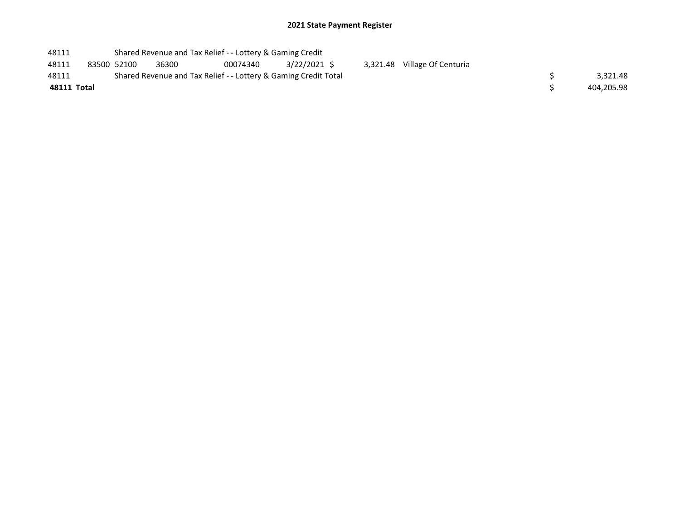| 48111       |             |                                                                 | Shared Revenue and Tax Relief - - Lottery & Gaming Credit |          |             |  |                              |  |            |  |  |  |
|-------------|-------------|-----------------------------------------------------------------|-----------------------------------------------------------|----------|-------------|--|------------------------------|--|------------|--|--|--|
| 48111       | 83500 52100 |                                                                 | 36300                                                     | 00074340 | 3/22/2021 S |  | 3,321.48 Village Of Centuria |  |            |  |  |  |
| 48111       |             | Shared Revenue and Tax Relief - - Lottery & Gaming Credit Total |                                                           | 3.321.48 |             |  |                              |  |            |  |  |  |
| 48111 Total |             |                                                                 |                                                           |          |             |  |                              |  | 404,205.98 |  |  |  |
|             |             |                                                                 |                                                           |          |             |  |                              |  |            |  |  |  |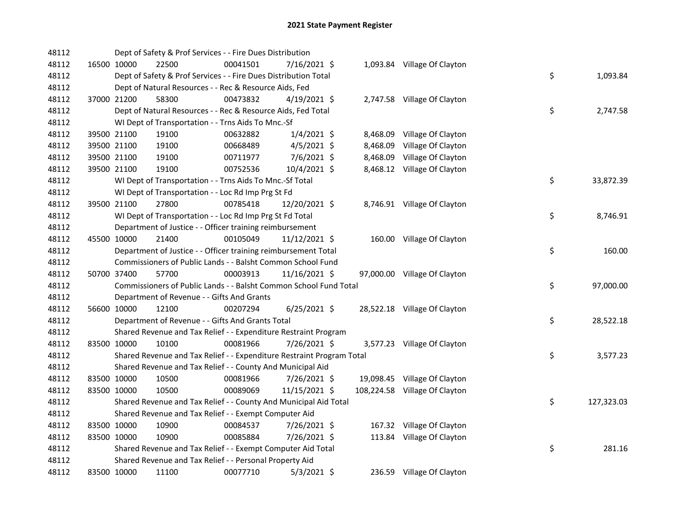| 48112 |             | Dept of Safety & Prof Services - - Fire Dues Distribution             |          |                |          |                               |    |            |
|-------|-------------|-----------------------------------------------------------------------|----------|----------------|----------|-------------------------------|----|------------|
| 48112 | 16500 10000 | 22500                                                                 | 00041501 | 7/16/2021 \$   |          | 1,093.84 Village Of Clayton   |    |            |
| 48112 |             | Dept of Safety & Prof Services - - Fire Dues Distribution Total       |          |                |          |                               | \$ | 1,093.84   |
| 48112 |             | Dept of Natural Resources - - Rec & Resource Aids, Fed                |          |                |          |                               |    |            |
| 48112 | 37000 21200 | 58300                                                                 | 00473832 | $4/19/2021$ \$ |          | 2,747.58 Village Of Clayton   |    |            |
| 48112 |             | Dept of Natural Resources - - Rec & Resource Aids, Fed Total          |          |                |          |                               | \$ | 2,747.58   |
| 48112 |             | WI Dept of Transportation - - Trns Aids To Mnc.-Sf                    |          |                |          |                               |    |            |
| 48112 | 39500 21100 | 19100                                                                 | 00632882 | $1/4/2021$ \$  |          | 8,468.09 Village Of Clayton   |    |            |
| 48112 | 39500 21100 | 19100                                                                 | 00668489 | $4/5/2021$ \$  | 8,468.09 | Village Of Clayton            |    |            |
| 48112 | 39500 21100 | 19100                                                                 | 00711977 | $7/6/2021$ \$  | 8,468.09 | Village Of Clayton            |    |            |
| 48112 | 39500 21100 | 19100                                                                 | 00752536 | 10/4/2021 \$   |          | 8,468.12 Village Of Clayton   |    |            |
| 48112 |             | WI Dept of Transportation - - Trns Aids To Mnc.-Sf Total              |          |                |          |                               | \$ | 33,872.39  |
| 48112 |             | WI Dept of Transportation - - Loc Rd Imp Prg St Fd                    |          |                |          |                               |    |            |
| 48112 | 39500 21100 | 27800                                                                 | 00785418 | 12/20/2021 \$  |          | 8,746.91 Village Of Clayton   |    |            |
| 48112 |             | WI Dept of Transportation - - Loc Rd Imp Prg St Fd Total              |          |                |          |                               | \$ | 8,746.91   |
| 48112 |             | Department of Justice - - Officer training reimbursement              |          |                |          |                               |    |            |
| 48112 | 45500 10000 | 21400                                                                 | 00105049 | 11/12/2021 \$  |          | 160.00 Village Of Clayton     |    |            |
| 48112 |             | Department of Justice - - Officer training reimbursement Total        |          |                |          |                               | \$ | 160.00     |
| 48112 |             | Commissioners of Public Lands - - Balsht Common School Fund           |          |                |          |                               |    |            |
| 48112 | 50700 37400 | 57700                                                                 | 00003913 | 11/16/2021 \$  |          | 97,000.00 Village Of Clayton  |    |            |
| 48112 |             | Commissioners of Public Lands - - Balsht Common School Fund Total     |          |                |          |                               | \$ | 97,000.00  |
| 48112 |             | Department of Revenue - - Gifts And Grants                            |          |                |          |                               |    |            |
| 48112 | 56600 10000 | 12100                                                                 | 00207294 | $6/25/2021$ \$ |          | 28,522.18 Village Of Clayton  |    |            |
| 48112 |             | Department of Revenue - - Gifts And Grants Total                      |          |                |          |                               | \$ | 28,522.18  |
| 48112 |             | Shared Revenue and Tax Relief - - Expenditure Restraint Program       |          |                |          |                               |    |            |
| 48112 | 83500 10000 | 10100                                                                 | 00081966 | 7/26/2021 \$   |          | 3,577.23 Village Of Clayton   |    |            |
| 48112 |             | Shared Revenue and Tax Relief - - Expenditure Restraint Program Total |          |                |          |                               | \$ | 3,577.23   |
| 48112 |             | Shared Revenue and Tax Relief - - County And Municipal Aid            |          |                |          |                               |    |            |
| 48112 | 83500 10000 | 10500                                                                 | 00081966 | 7/26/2021 \$   |          | 19,098.45 Village Of Clayton  |    |            |
| 48112 | 83500 10000 | 10500                                                                 | 00089069 | 11/15/2021 \$  |          | 108,224.58 Village Of Clayton |    |            |
| 48112 |             | Shared Revenue and Tax Relief - - County And Municipal Aid Total      |          |                |          |                               | \$ | 127,323.03 |
| 48112 |             | Shared Revenue and Tax Relief - - Exempt Computer Aid                 |          |                |          |                               |    |            |
| 48112 | 83500 10000 | 10900                                                                 | 00084537 | 7/26/2021 \$   |          | 167.32 Village Of Clayton     |    |            |
| 48112 | 83500 10000 | 10900                                                                 | 00085884 | 7/26/2021 \$   |          | 113.84 Village Of Clayton     |    |            |
| 48112 |             | Shared Revenue and Tax Relief - - Exempt Computer Aid Total           |          |                |          |                               | \$ | 281.16     |
| 48112 |             | Shared Revenue and Tax Relief - - Personal Property Aid               |          |                |          |                               |    |            |
| 48112 | 83500 10000 | 11100                                                                 | 00077710 | $5/3/2021$ \$  |          | 236.59 Village Of Clayton     |    |            |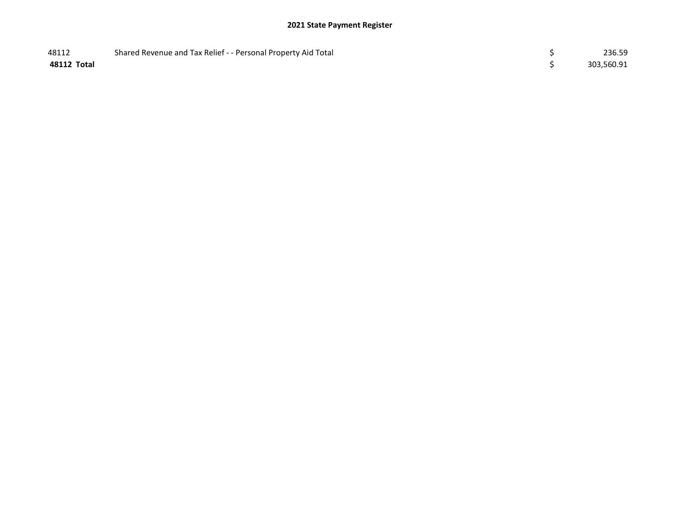| 48112       | Shared Revenue and Tax Relief - - Personal Property Aid Total | 236.59     |
|-------------|---------------------------------------------------------------|------------|
| 48112 Total |                                                               | 303,560.91 |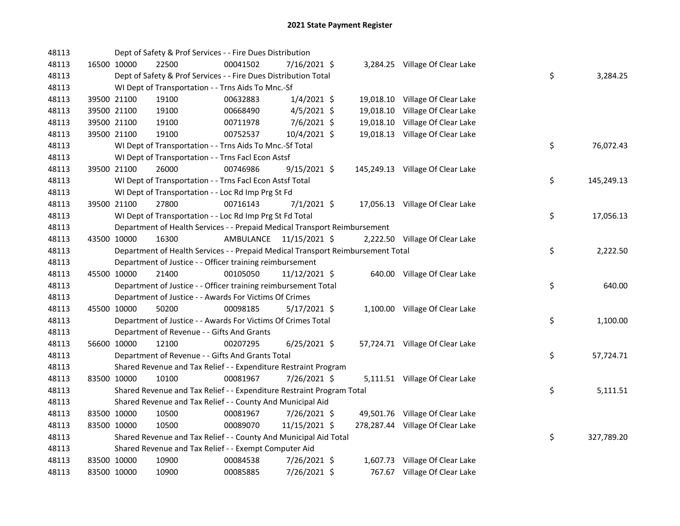| 48113 |             |             | Dept of Safety & Prof Services - - Fire Dues Distribution                       |                         |                |  |                                  |    |            |
|-------|-------------|-------------|---------------------------------------------------------------------------------|-------------------------|----------------|--|----------------------------------|----|------------|
| 48113 |             | 16500 10000 | 22500                                                                           | 00041502                | 7/16/2021 \$   |  | 3,284.25 Village Of Clear Lake   |    |            |
| 48113 |             |             | Dept of Safety & Prof Services - - Fire Dues Distribution Total                 |                         |                |  |                                  | \$ | 3,284.25   |
| 48113 |             |             | WI Dept of Transportation - - Trns Aids To Mnc.-Sf                              |                         |                |  |                                  |    |            |
| 48113 |             | 39500 21100 | 19100                                                                           | 00632883                | $1/4/2021$ \$  |  | 19,018.10 Village Of Clear Lake  |    |            |
| 48113 |             | 39500 21100 | 19100                                                                           | 00668490                | $4/5/2021$ \$  |  | 19,018.10 Village Of Clear Lake  |    |            |
| 48113 |             | 39500 21100 | 19100                                                                           | 00711978                | 7/6/2021 \$    |  | 19,018.10 Village Of Clear Lake  |    |            |
| 48113 |             | 39500 21100 | 19100                                                                           | 00752537                | 10/4/2021 \$   |  | 19,018.13 Village Of Clear Lake  |    |            |
| 48113 |             |             | WI Dept of Transportation - - Trns Aids To Mnc.-Sf Total                        |                         |                |  |                                  | \$ | 76,072.43  |
| 48113 |             |             | WI Dept of Transportation - - Trns Facl Econ Astsf                              |                         |                |  |                                  |    |            |
| 48113 |             | 39500 21100 | 26000                                                                           | 00746986                | $9/15/2021$ \$ |  | 145,249.13 Village Of Clear Lake |    |            |
| 48113 |             |             | WI Dept of Transportation - - Trns Facl Econ Astsf Total                        |                         |                |  |                                  | \$ | 145,249.13 |
| 48113 |             |             | WI Dept of Transportation - - Loc Rd Imp Prg St Fd                              |                         |                |  |                                  |    |            |
| 48113 |             | 39500 21100 | 27800                                                                           | 00716143                | $7/1/2021$ \$  |  | 17,056.13 Village Of Clear Lake  |    |            |
| 48113 |             |             | WI Dept of Transportation - - Loc Rd Imp Prg St Fd Total                        |                         |                |  |                                  | \$ | 17,056.13  |
| 48113 |             |             | Department of Health Services - - Prepaid Medical Transport Reimbursement       |                         |                |  |                                  |    |            |
| 48113 | 43500 10000 |             | 16300                                                                           | AMBULANCE 11/15/2021 \$ |                |  | 2,222.50 Village Of Clear Lake   |    |            |
| 48113 |             |             | Department of Health Services - - Prepaid Medical Transport Reimbursement Total |                         |                |  |                                  | \$ | 2,222.50   |
| 48113 |             |             | Department of Justice - - Officer training reimbursement                        |                         |                |  |                                  |    |            |
| 48113 |             | 45500 10000 | 21400                                                                           | 00105050                | 11/12/2021 \$  |  | 640.00 Village Of Clear Lake     |    |            |
| 48113 |             |             | Department of Justice - - Officer training reimbursement Total                  |                         |                |  |                                  | \$ | 640.00     |
| 48113 |             |             | Department of Justice - - Awards For Victims Of Crimes                          |                         |                |  |                                  |    |            |
| 48113 |             | 45500 10000 | 50200                                                                           | 00098185                | $5/17/2021$ \$ |  | 1,100.00 Village Of Clear Lake   |    |            |
| 48113 |             |             | Department of Justice - - Awards For Victims Of Crimes Total                    |                         |                |  |                                  | \$ | 1,100.00   |
| 48113 |             |             | Department of Revenue - - Gifts And Grants                                      |                         |                |  |                                  |    |            |
| 48113 |             | 56600 10000 | 12100                                                                           | 00207295                | $6/25/2021$ \$ |  | 57,724.71 Village Of Clear Lake  |    |            |
| 48113 |             |             | Department of Revenue - - Gifts And Grants Total                                |                         |                |  |                                  | \$ | 57,724.71  |
| 48113 |             |             | Shared Revenue and Tax Relief - - Expenditure Restraint Program                 |                         |                |  |                                  |    |            |
| 48113 |             | 83500 10000 | 10100                                                                           | 00081967                | 7/26/2021 \$   |  | 5,111.51 Village Of Clear Lake   |    |            |
| 48113 |             |             | Shared Revenue and Tax Relief - - Expenditure Restraint Program Total           |                         |                |  |                                  | \$ | 5,111.51   |
| 48113 |             |             | Shared Revenue and Tax Relief - - County And Municipal Aid                      |                         |                |  |                                  |    |            |
| 48113 |             | 83500 10000 | 10500                                                                           | 00081967                | 7/26/2021 \$   |  | 49,501.76 Village Of Clear Lake  |    |            |
| 48113 | 83500 10000 |             | 10500                                                                           | 00089070                | 11/15/2021 \$  |  | 278,287.44 Village Of Clear Lake |    |            |
| 48113 |             |             | Shared Revenue and Tax Relief - - County And Municipal Aid Total                |                         |                |  |                                  | \$ | 327,789.20 |
| 48113 |             |             | Shared Revenue and Tax Relief - - Exempt Computer Aid                           |                         |                |  |                                  |    |            |
| 48113 |             | 83500 10000 | 10900                                                                           | 00084538                | 7/26/2021 \$   |  | 1,607.73 Village Of Clear Lake   |    |            |
| 48113 | 83500 10000 |             | 10900                                                                           | 00085885                | 7/26/2021 \$   |  | 767.67 Village Of Clear Lake     |    |            |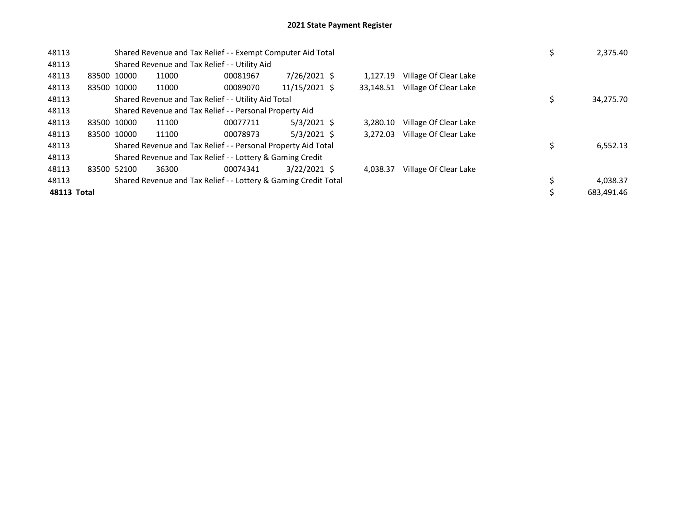| 48113       |             |             |       | Shared Revenue and Tax Relief - - Exempt Computer Aid Total     |               | 2,375.40  |                       |            |
|-------------|-------------|-------------|-------|-----------------------------------------------------------------|---------------|-----------|-----------------------|------------|
| 48113       |             |             |       | Shared Revenue and Tax Relief - - Utility Aid                   |               |           |                       |            |
| 48113       | 83500 10000 |             | 11000 | 00081967                                                        | 7/26/2021 \$  | 1.127.19  | Village Of Clear Lake |            |
| 48113       |             | 83500 10000 | 11000 | 00089070                                                        | 11/15/2021 \$ | 33,148.51 | Village Of Clear Lake |            |
| 48113       |             |             |       | Shared Revenue and Tax Relief - - Utility Aid Total             |               |           |                       | 34,275.70  |
| 48113       |             |             |       | Shared Revenue and Tax Relief - - Personal Property Aid         |               |           |                       |            |
| 48113       | 83500 10000 |             | 11100 | 00077711                                                        | $5/3/2021$ \$ | 3.280.10  | Village Of Clear Lake |            |
| 48113       |             | 83500 10000 | 11100 | 00078973                                                        | $5/3/2021$ \$ | 3,272.03  | Village Of Clear Lake |            |
| 48113       |             |             |       | Shared Revenue and Tax Relief - - Personal Property Aid Total   |               |           |                       | 6,552.13   |
| 48113       |             |             |       | Shared Revenue and Tax Relief - - Lottery & Gaming Credit       |               |           |                       |            |
| 48113       | 83500 52100 |             | 36300 | 00074341                                                        | 3/22/2021 \$  | 4.038.37  | Village Of Clear Lake |            |
| 48113       |             |             |       | Shared Revenue and Tax Relief - - Lottery & Gaming Credit Total |               |           |                       | 4,038.37   |
| 48113 Total |             |             |       |                                                                 |               |           |                       | 683,491.46 |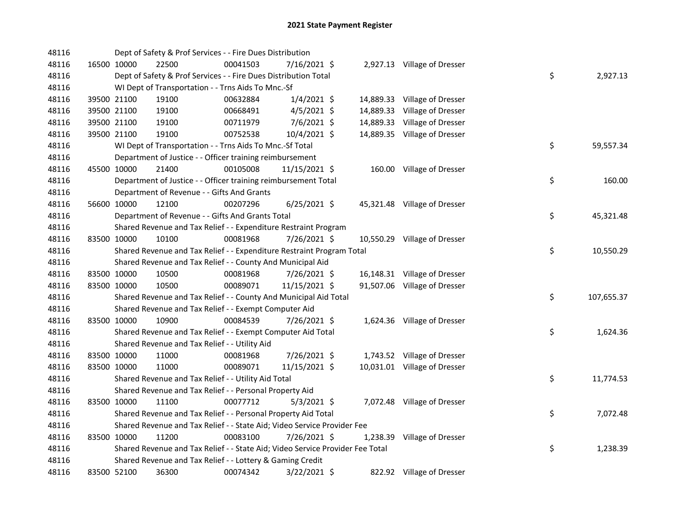| 48116 |             | Dept of Safety & Prof Services - - Fire Dues Distribution                     |          |                |           |                              |    |            |
|-------|-------------|-------------------------------------------------------------------------------|----------|----------------|-----------|------------------------------|----|------------|
| 48116 | 16500 10000 | 22500                                                                         | 00041503 | 7/16/2021 \$   |           | 2,927.13 Village of Dresser  |    |            |
| 48116 |             | Dept of Safety & Prof Services - - Fire Dues Distribution Total               |          |                |           |                              | \$ | 2,927.13   |
| 48116 |             | WI Dept of Transportation - - Trns Aids To Mnc.-Sf                            |          |                |           |                              |    |            |
| 48116 | 39500 21100 | 19100                                                                         | 00632884 | $1/4/2021$ \$  |           | 14,889.33 Village of Dresser |    |            |
| 48116 | 39500 21100 | 19100                                                                         | 00668491 | $4/5/2021$ \$  | 14,889.33 | Village of Dresser           |    |            |
| 48116 | 39500 21100 | 19100                                                                         | 00711979 | $7/6/2021$ \$  | 14,889.33 | Village of Dresser           |    |            |
| 48116 | 39500 21100 | 19100                                                                         | 00752538 | 10/4/2021 \$   |           | 14,889.35 Village of Dresser |    |            |
| 48116 |             | WI Dept of Transportation - - Trns Aids To Mnc.-Sf Total                      |          |                |           |                              | \$ | 59,557.34  |
| 48116 |             | Department of Justice - - Officer training reimbursement                      |          |                |           |                              |    |            |
| 48116 | 45500 10000 | 21400                                                                         | 00105008 | 11/15/2021 \$  |           | 160.00 Village of Dresser    |    |            |
| 48116 |             | Department of Justice - - Officer training reimbursement Total                |          |                |           |                              | \$ | 160.00     |
| 48116 |             | Department of Revenue - - Gifts And Grants                                    |          |                |           |                              |    |            |
| 48116 | 56600 10000 | 12100                                                                         | 00207296 | $6/25/2021$ \$ |           | 45,321.48 Village of Dresser |    |            |
| 48116 |             | Department of Revenue - - Gifts And Grants Total                              |          |                |           |                              | \$ | 45,321.48  |
| 48116 |             | Shared Revenue and Tax Relief - - Expenditure Restraint Program               |          |                |           |                              |    |            |
| 48116 | 83500 10000 | 10100                                                                         | 00081968 | 7/26/2021 \$   |           | 10,550.29 Village of Dresser |    |            |
| 48116 |             | Shared Revenue and Tax Relief - - Expenditure Restraint Program Total         |          |                |           |                              | \$ | 10,550.29  |
| 48116 |             | Shared Revenue and Tax Relief - - County And Municipal Aid                    |          |                |           |                              |    |            |
| 48116 | 83500 10000 | 10500                                                                         | 00081968 | 7/26/2021 \$   |           | 16,148.31 Village of Dresser |    |            |
| 48116 | 83500 10000 | 10500                                                                         | 00089071 | 11/15/2021 \$  |           | 91,507.06 Village of Dresser |    |            |
| 48116 |             | Shared Revenue and Tax Relief - - County And Municipal Aid Total              |          |                |           |                              | \$ | 107,655.37 |
| 48116 |             | Shared Revenue and Tax Relief - - Exempt Computer Aid                         |          |                |           |                              |    |            |
| 48116 | 83500 10000 | 10900                                                                         | 00084539 | 7/26/2021 \$   |           | 1,624.36 Village of Dresser  |    |            |
| 48116 |             | Shared Revenue and Tax Relief - - Exempt Computer Aid Total                   |          |                |           |                              | \$ | 1,624.36   |
| 48116 |             | Shared Revenue and Tax Relief - - Utility Aid                                 |          |                |           |                              |    |            |
| 48116 | 83500 10000 | 11000                                                                         | 00081968 | 7/26/2021 \$   |           | 1,743.52 Village of Dresser  |    |            |
| 48116 | 83500 10000 | 11000                                                                         | 00089071 | 11/15/2021 \$  |           | 10,031.01 Village of Dresser |    |            |
| 48116 |             | Shared Revenue and Tax Relief - - Utility Aid Total                           |          |                |           |                              | \$ | 11,774.53  |
| 48116 |             | Shared Revenue and Tax Relief - - Personal Property Aid                       |          |                |           |                              |    |            |
| 48116 | 83500 10000 | 11100                                                                         | 00077712 | $5/3/2021$ \$  |           | 7,072.48 Village of Dresser  |    |            |
| 48116 |             | Shared Revenue and Tax Relief - - Personal Property Aid Total                 |          |                |           |                              | \$ | 7,072.48   |
| 48116 |             | Shared Revenue and Tax Relief - - State Aid; Video Service Provider Fee       |          |                |           |                              |    |            |
| 48116 | 83500 10000 | 11200                                                                         | 00083100 | 7/26/2021 \$   |           | 1,238.39 Village of Dresser  |    |            |
| 48116 |             | Shared Revenue and Tax Relief - - State Aid; Video Service Provider Fee Total |          |                |           |                              | \$ | 1,238.39   |
| 48116 |             | Shared Revenue and Tax Relief - - Lottery & Gaming Credit                     |          |                |           |                              |    |            |
| 48116 | 83500 52100 | 36300                                                                         | 00074342 | 3/22/2021 \$   |           | 822.92 Village of Dresser    |    |            |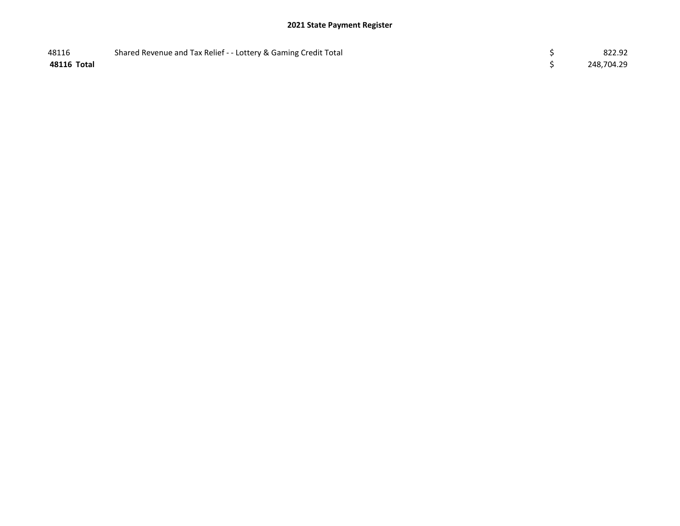| 48116       | Shared Revenue and Tax Relief - - Lottery & Gaming Credit Total | 822.92     |
|-------------|-----------------------------------------------------------------|------------|
| 48116 Total |                                                                 | 248,704.29 |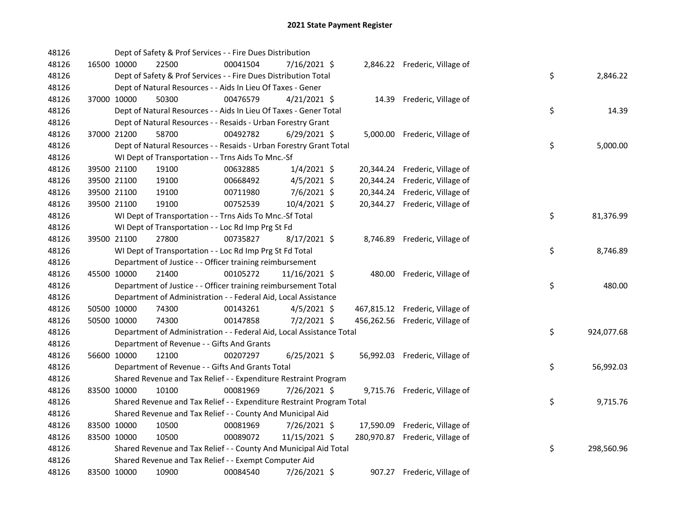| 48126 |             | Dept of Safety & Prof Services - - Fire Dues Distribution             |          |                |  |                                 |    |            |
|-------|-------------|-----------------------------------------------------------------------|----------|----------------|--|---------------------------------|----|------------|
| 48126 | 16500 10000 | 22500                                                                 | 00041504 | 7/16/2021 \$   |  | 2,846.22 Frederic, Village of   |    |            |
| 48126 |             | Dept of Safety & Prof Services - - Fire Dues Distribution Total       |          |                |  |                                 | \$ | 2,846.22   |
| 48126 |             | Dept of Natural Resources - - Aids In Lieu Of Taxes - Gener           |          |                |  |                                 |    |            |
| 48126 | 37000 10000 | 50300                                                                 | 00476579 | $4/21/2021$ \$ |  | 14.39 Frederic, Village of      |    |            |
| 48126 |             | Dept of Natural Resources - - Aids In Lieu Of Taxes - Gener Total     |          |                |  |                                 | \$ | 14.39      |
| 48126 |             | Dept of Natural Resources - - Resaids - Urban Forestry Grant          |          |                |  |                                 |    |            |
| 48126 | 37000 21200 | 58700                                                                 | 00492782 | $6/29/2021$ \$ |  | 5,000.00 Frederic, Village of   |    |            |
| 48126 |             | Dept of Natural Resources - - Resaids - Urban Forestry Grant Total    |          |                |  |                                 | \$ | 5,000.00   |
| 48126 |             | WI Dept of Transportation - - Trns Aids To Mnc.-Sf                    |          |                |  |                                 |    |            |
| 48126 | 39500 21100 | 19100                                                                 | 00632885 | $1/4/2021$ \$  |  | 20,344.24 Frederic, Village of  |    |            |
| 48126 | 39500 21100 | 19100                                                                 | 00668492 | $4/5/2021$ \$  |  | 20,344.24 Frederic, Village of  |    |            |
| 48126 | 39500 21100 | 19100                                                                 | 00711980 | 7/6/2021 \$    |  | 20,344.24 Frederic, Village of  |    |            |
| 48126 | 39500 21100 | 19100                                                                 | 00752539 | 10/4/2021 \$   |  | 20,344.27 Frederic, Village of  |    |            |
| 48126 |             | WI Dept of Transportation - - Trns Aids To Mnc.-Sf Total              |          |                |  |                                 | \$ | 81,376.99  |
| 48126 |             | WI Dept of Transportation - - Loc Rd Imp Prg St Fd                    |          |                |  |                                 |    |            |
| 48126 | 39500 21100 | 27800                                                                 | 00735827 | 8/17/2021 \$   |  | 8,746.89 Frederic, Village of   |    |            |
| 48126 |             | WI Dept of Transportation - - Loc Rd Imp Prg St Fd Total              |          |                |  |                                 | \$ | 8,746.89   |
| 48126 |             | Department of Justice - - Officer training reimbursement              |          |                |  |                                 |    |            |
| 48126 | 45500 10000 | 21400                                                                 | 00105272 | 11/16/2021 \$  |  | 480.00 Frederic, Village of     |    |            |
| 48126 |             | Department of Justice - - Officer training reimbursement Total        |          |                |  |                                 | \$ | 480.00     |
| 48126 |             | Department of Administration - - Federal Aid, Local Assistance        |          |                |  |                                 |    |            |
| 48126 | 50500 10000 | 74300                                                                 | 00143261 | $4/5/2021$ \$  |  | 467,815.12 Frederic, Village of |    |            |
| 48126 | 50500 10000 | 74300                                                                 | 00147858 | 7/2/2021 \$    |  | 456,262.56 Frederic, Village of |    |            |
| 48126 |             | Department of Administration - - Federal Aid, Local Assistance Total  |          |                |  |                                 | \$ | 924,077.68 |
| 48126 |             | Department of Revenue - - Gifts And Grants                            |          |                |  |                                 |    |            |
| 48126 | 56600 10000 | 12100                                                                 | 00207297 | $6/25/2021$ \$ |  | 56,992.03 Frederic, Village of  |    |            |
| 48126 |             | Department of Revenue - - Gifts And Grants Total                      |          |                |  |                                 | \$ | 56,992.03  |
| 48126 |             | Shared Revenue and Tax Relief - - Expenditure Restraint Program       |          |                |  |                                 |    |            |
| 48126 | 83500 10000 | 10100                                                                 | 00081969 | 7/26/2021 \$   |  | 9,715.76 Frederic, Village of   |    |            |
| 48126 |             | Shared Revenue and Tax Relief - - Expenditure Restraint Program Total |          |                |  |                                 | \$ | 9,715.76   |
| 48126 |             | Shared Revenue and Tax Relief - - County And Municipal Aid            |          |                |  |                                 |    |            |
| 48126 | 83500 10000 | 10500                                                                 | 00081969 | 7/26/2021 \$   |  | 17,590.09 Frederic, Village of  |    |            |
| 48126 | 83500 10000 | 10500                                                                 | 00089072 | 11/15/2021 \$  |  | 280,970.87 Frederic, Village of |    |            |
| 48126 |             | Shared Revenue and Tax Relief - - County And Municipal Aid Total      |          |                |  |                                 | \$ | 298,560.96 |
| 48126 |             | Shared Revenue and Tax Relief - - Exempt Computer Aid                 |          |                |  |                                 |    |            |
| 48126 | 83500 10000 | 10900                                                                 | 00084540 | 7/26/2021 \$   |  | 907.27 Frederic, Village of     |    |            |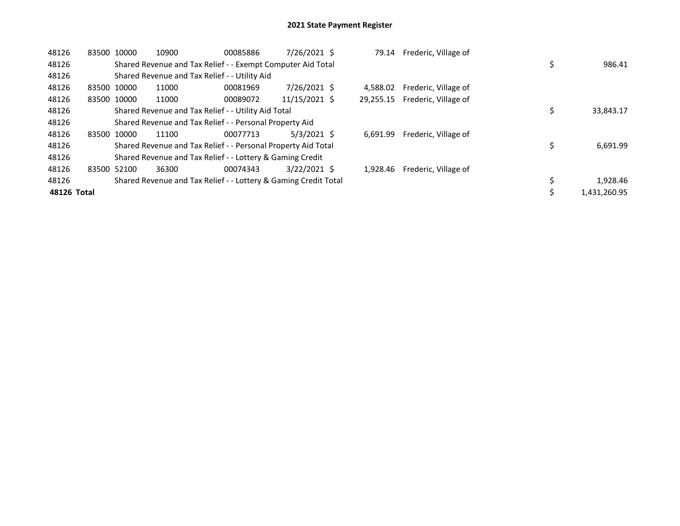| 48126       |       | 83500 10000 | 10900                                                           | 00085886 | 7/26/2021 \$   | 79.14    | Frederic, Village of           |  |              |
|-------------|-------|-------------|-----------------------------------------------------------------|----------|----------------|----------|--------------------------------|--|--------------|
| 48126       |       |             | Shared Revenue and Tax Relief - - Exempt Computer Aid Total     |          |                |          |                                |  | 986.41       |
| 48126       |       |             | Shared Revenue and Tax Relief - - Utility Aid                   |          |                |          |                                |  |              |
| 48126       |       | 83500 10000 | 11000                                                           | 00081969 | 7/26/2021 \$   | 4.588.02 | Frederic, Village of           |  |              |
| 48126       |       | 83500 10000 | 11000                                                           | 00089072 | 11/15/2021 \$  |          | 29,255.15 Frederic, Village of |  |              |
| 48126       |       |             | Shared Revenue and Tax Relief - - Utility Aid Total             |          |                |          |                                |  | 33,843.17    |
| 48126       |       |             | Shared Revenue and Tax Relief - - Personal Property Aid         |          |                |          |                                |  |              |
| 48126       |       | 83500 10000 | 11100                                                           | 00077713 | $5/3/2021$ \$  | 6.691.99 | Frederic, Village of           |  |              |
| 48126       |       |             | Shared Revenue and Tax Relief - - Personal Property Aid Total   |          |                |          |                                |  | 6,691.99     |
| 48126       |       |             | Shared Revenue and Tax Relief - - Lottery & Gaming Credit       |          |                |          |                                |  |              |
| 48126       | 83500 | 52100       | 36300                                                           | 00074343 | $3/22/2021$ \$ | 1.928.46 | Frederic, Village of           |  |              |
| 48126       |       |             | Shared Revenue and Tax Relief - - Lottery & Gaming Credit Total |          |                |          |                                |  | 1,928.46     |
| 48126 Total |       |             |                                                                 |          |                |          |                                |  | 1,431,260.95 |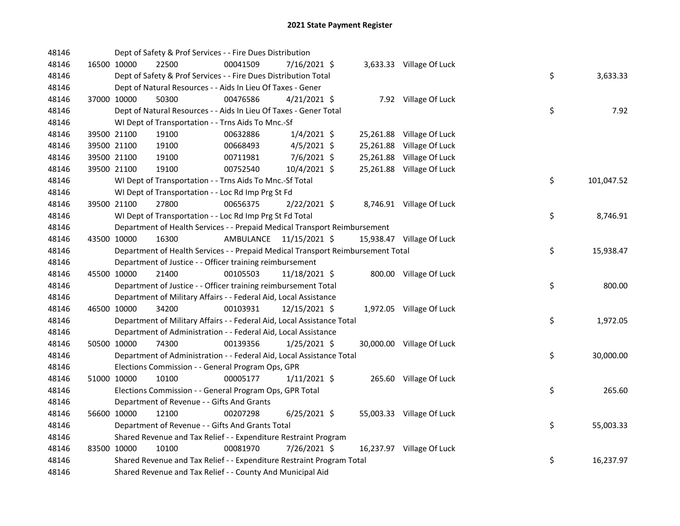| 48146 |             | Dept of Safety & Prof Services - - Fire Dues Distribution                       |                         |           |                           |                  |
|-------|-------------|---------------------------------------------------------------------------------|-------------------------|-----------|---------------------------|------------------|
| 48146 | 16500 10000 | 22500<br>00041509                                                               | 7/16/2021 \$            |           | 3,633.33 Village Of Luck  |                  |
| 48146 |             | Dept of Safety & Prof Services - - Fire Dues Distribution Total                 |                         |           |                           | \$<br>3,633.33   |
| 48146 |             | Dept of Natural Resources - - Aids In Lieu Of Taxes - Gener                     |                         |           |                           |                  |
| 48146 | 37000 10000 | 50300<br>00476586                                                               | $4/21/2021$ \$          |           | 7.92 Village Of Luck      |                  |
| 48146 |             | Dept of Natural Resources - - Aids In Lieu Of Taxes - Gener Total               |                         |           |                           | \$<br>7.92       |
| 48146 |             | WI Dept of Transportation - - Trns Aids To Mnc.-Sf                              |                         |           |                           |                  |
| 48146 | 39500 21100 | 19100<br>00632886                                                               | $1/4/2021$ \$           |           | 25,261.88 Village Of Luck |                  |
| 48146 |             | 39500 21100<br>19100<br>00668493                                                | $4/5/2021$ \$           | 25,261.88 | Village Of Luck           |                  |
| 48146 |             | 39500 21100<br>19100<br>00711981                                                | $7/6/2021$ \$           | 25,261.88 | Village Of Luck           |                  |
| 48146 | 39500 21100 | 19100<br>00752540                                                               | $10/4/2021$ \$          |           | 25,261.88 Village Of Luck |                  |
| 48146 |             | WI Dept of Transportation - - Trns Aids To Mnc.-Sf Total                        |                         |           |                           | \$<br>101,047.52 |
| 48146 |             | WI Dept of Transportation - - Loc Rd Imp Prg St Fd                              |                         |           |                           |                  |
| 48146 | 39500 21100 | 27800<br>00656375                                                               | 2/22/2021 \$            |           | 8,746.91 Village Of Luck  |                  |
| 48146 |             | WI Dept of Transportation - - Loc Rd Imp Prg St Fd Total                        |                         |           |                           | \$<br>8,746.91   |
| 48146 |             | Department of Health Services - - Prepaid Medical Transport Reimbursement       |                         |           |                           |                  |
| 48146 | 43500 10000 | 16300                                                                           | AMBULANCE 11/15/2021 \$ |           | 15,938.47 Village Of Luck |                  |
| 48146 |             | Department of Health Services - - Prepaid Medical Transport Reimbursement Total |                         |           |                           | \$<br>15,938.47  |
| 48146 |             | Department of Justice - - Officer training reimbursement                        |                         |           |                           |                  |
| 48146 |             | 00105503<br>45500 10000<br>21400                                                | 11/18/2021 \$           |           | 800.00 Village Of Luck    |                  |
| 48146 |             | Department of Justice - - Officer training reimbursement Total                  |                         |           |                           | \$<br>800.00     |
| 48146 |             | Department of Military Affairs - - Federal Aid, Local Assistance                |                         |           |                           |                  |
| 48146 | 46500 10000 | 34200<br>00103931                                                               | 12/15/2021 \$           |           | 1,972.05 Village Of Luck  |                  |
| 48146 |             | Department of Military Affairs - - Federal Aid, Local Assistance Total          |                         |           |                           | \$<br>1,972.05   |
| 48146 |             | Department of Administration - - Federal Aid, Local Assistance                  |                         |           |                           |                  |
| 48146 | 50500 10000 | 74300<br>00139356                                                               | $1/25/2021$ \$          |           | 30,000.00 Village Of Luck |                  |
| 48146 |             | Department of Administration - - Federal Aid, Local Assistance Total            |                         |           |                           | \$<br>30,000.00  |
| 48146 |             | Elections Commission - - General Program Ops, GPR                               |                         |           |                           |                  |
| 48146 | 51000 10000 | 10100<br>00005177                                                               | $1/11/2021$ \$          |           | 265.60 Village Of Luck    |                  |
| 48146 |             | Elections Commission - - General Program Ops, GPR Total                         |                         |           |                           | \$<br>265.60     |
| 48146 |             | Department of Revenue - - Gifts And Grants                                      |                         |           |                           |                  |
| 48146 |             | 56600 10000<br>12100<br>00207298                                                | $6/25/2021$ \$          |           | 55,003.33 Village Of Luck |                  |
| 48146 |             | Department of Revenue - - Gifts And Grants Total                                |                         |           |                           | \$<br>55,003.33  |
| 48146 |             | Shared Revenue and Tax Relief - - Expenditure Restraint Program                 |                         |           |                           |                  |
| 48146 | 83500 10000 | 10100<br>00081970                                                               | 7/26/2021 \$            |           | 16,237.97 Village Of Luck |                  |
| 48146 |             | Shared Revenue and Tax Relief - - Expenditure Restraint Program Total           |                         |           |                           | \$<br>16,237.97  |
| 48146 |             | Shared Revenue and Tax Relief - - County And Municipal Aid                      |                         |           |                           |                  |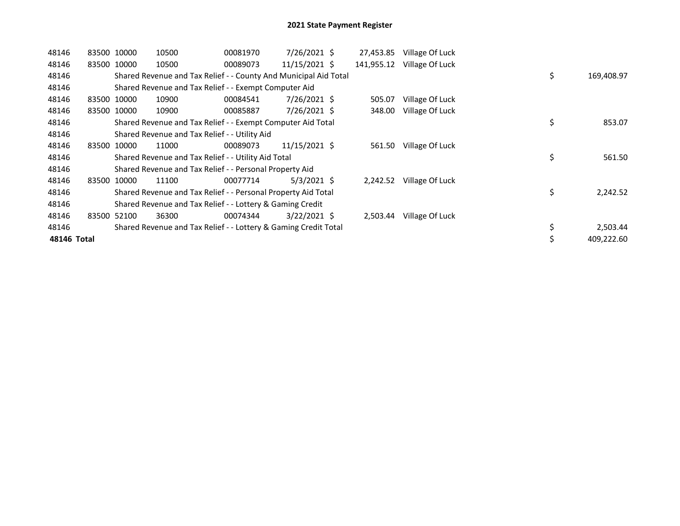| 48146       | 83500 10000 |             | 10500                                                            | 00081970 | $7/26/2021$ \$ | 27,453.85  | Village Of Luck |    |            |
|-------------|-------------|-------------|------------------------------------------------------------------|----------|----------------|------------|-----------------|----|------------|
| 48146       | 83500 10000 |             | 10500                                                            | 00089073 | 11/15/2021 \$  | 141,955.12 | Village Of Luck |    |            |
| 48146       |             |             | Shared Revenue and Tax Relief - - County And Municipal Aid Total |          |                |            |                 | \$ | 169,408.97 |
| 48146       |             |             | Shared Revenue and Tax Relief - - Exempt Computer Aid            |          |                |            |                 |    |            |
| 48146       |             | 83500 10000 | 10900                                                            | 00084541 | 7/26/2021 \$   | 505.07     | Village Of Luck |    |            |
| 48146       | 83500       | 10000       | 10900                                                            | 00085887 | $7/26/2021$ \$ | 348.00     | Village Of Luck |    |            |
| 48146       |             |             | Shared Revenue and Tax Relief - - Exempt Computer Aid Total      |          |                |            |                 | \$ | 853.07     |
| 48146       |             |             | Shared Revenue and Tax Relief - - Utility Aid                    |          |                |            |                 |    |            |
| 48146       | 83500       | 10000       | 11000                                                            | 00089073 | 11/15/2021 \$  | 561.50     | Village Of Luck |    |            |
| 48146       |             |             | Shared Revenue and Tax Relief - - Utility Aid Total              |          |                |            |                 | \$ | 561.50     |
| 48146       |             |             | Shared Revenue and Tax Relief - - Personal Property Aid          |          |                |            |                 |    |            |
| 48146       | 83500       | 10000       | 11100                                                            | 00077714 | $5/3/2021$ \$  | 2,242.52   | Village Of Luck |    |            |
| 48146       |             |             | Shared Revenue and Tax Relief - - Personal Property Aid Total    |          |                |            |                 | \$ | 2,242.52   |
| 48146       |             |             | Shared Revenue and Tax Relief - - Lottery & Gaming Credit        |          |                |            |                 |    |            |
| 48146       | 83500 52100 |             | 36300                                                            | 00074344 | $3/22/2021$ \$ | 2,503.44   | Village Of Luck |    |            |
| 48146       |             |             | Shared Revenue and Tax Relief - - Lottery & Gaming Credit Total  |          |                |            |                 | \$ | 2,503.44   |
| 48146 Total |             |             |                                                                  |          |                |            |                 | \$ | 409,222.60 |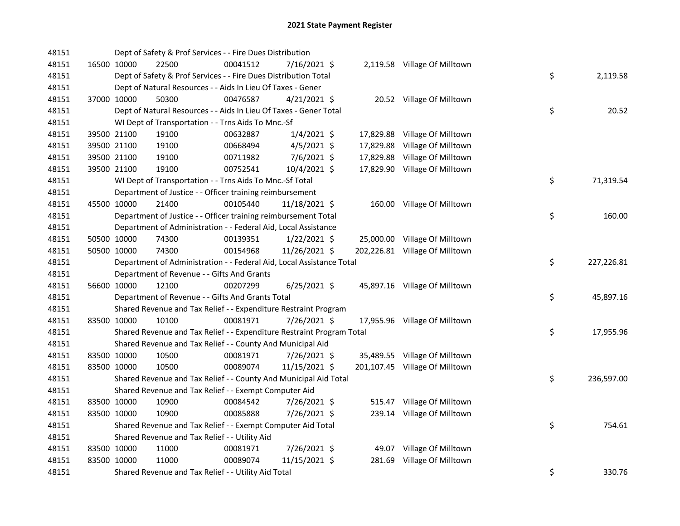| 48151 |             | Dept of Safety & Prof Services - - Fire Dues Distribution             |          |                |           |                                |    |            |
|-------|-------------|-----------------------------------------------------------------------|----------|----------------|-----------|--------------------------------|----|------------|
| 48151 | 16500 10000 | 22500                                                                 | 00041512 | 7/16/2021 \$   |           | 2,119.58 Village Of Milltown   |    |            |
| 48151 |             | Dept of Safety & Prof Services - - Fire Dues Distribution Total       |          |                |           |                                | \$ | 2,119.58   |
| 48151 |             | Dept of Natural Resources - - Aids In Lieu Of Taxes - Gener           |          |                |           |                                |    |            |
| 48151 | 37000 10000 | 50300                                                                 | 00476587 | $4/21/2021$ \$ |           | 20.52 Village Of Milltown      |    |            |
| 48151 |             | Dept of Natural Resources - - Aids In Lieu Of Taxes - Gener Total     |          |                |           |                                | \$ | 20.52      |
| 48151 |             | WI Dept of Transportation - - Trns Aids To Mnc.-Sf                    |          |                |           |                                |    |            |
| 48151 | 39500 21100 | 19100                                                                 | 00632887 | $1/4/2021$ \$  |           | 17,829.88 Village Of Milltown  |    |            |
| 48151 | 39500 21100 | 19100                                                                 | 00668494 | $4/5/2021$ \$  | 17,829.88 | Village Of Milltown            |    |            |
| 48151 | 39500 21100 | 19100                                                                 | 00711982 | $7/6/2021$ \$  | 17,829.88 | Village Of Milltown            |    |            |
| 48151 | 39500 21100 | 19100                                                                 | 00752541 | 10/4/2021 \$   |           | 17,829.90 Village Of Milltown  |    |            |
| 48151 |             | WI Dept of Transportation - - Trns Aids To Mnc.-Sf Total              |          |                |           |                                | \$ | 71,319.54  |
| 48151 |             | Department of Justice - - Officer training reimbursement              |          |                |           |                                |    |            |
| 48151 | 45500 10000 | 21400                                                                 | 00105440 | 11/18/2021 \$  |           | 160.00 Village Of Milltown     |    |            |
| 48151 |             | Department of Justice - - Officer training reimbursement Total        |          |                |           |                                | \$ | 160.00     |
| 48151 |             | Department of Administration - - Federal Aid, Local Assistance        |          |                |           |                                |    |            |
| 48151 | 50500 10000 | 74300                                                                 | 00139351 | $1/22/2021$ \$ |           | 25,000.00 Village Of Milltown  |    |            |
| 48151 | 50500 10000 | 74300                                                                 | 00154968 | 11/26/2021 \$  |           | 202,226.81 Village Of Milltown |    |            |
| 48151 |             | Department of Administration - - Federal Aid, Local Assistance Total  |          |                |           |                                | \$ | 227,226.81 |
| 48151 |             | Department of Revenue - - Gifts And Grants                            |          |                |           |                                |    |            |
| 48151 | 56600 10000 | 12100                                                                 | 00207299 | $6/25/2021$ \$ |           | 45,897.16 Village Of Milltown  |    |            |
| 48151 |             | Department of Revenue - - Gifts And Grants Total                      |          |                |           |                                | \$ | 45,897.16  |
| 48151 |             | Shared Revenue and Tax Relief - - Expenditure Restraint Program       |          |                |           |                                |    |            |
| 48151 | 83500 10000 | 10100                                                                 | 00081971 | 7/26/2021 \$   |           | 17,955.96 Village Of Milltown  |    |            |
| 48151 |             | Shared Revenue and Tax Relief - - Expenditure Restraint Program Total |          |                |           |                                | \$ | 17,955.96  |
| 48151 |             | Shared Revenue and Tax Relief - - County And Municipal Aid            |          |                |           |                                |    |            |
| 48151 | 83500 10000 | 10500                                                                 | 00081971 | 7/26/2021 \$   |           | 35,489.55 Village Of Milltown  |    |            |
| 48151 | 83500 10000 | 10500                                                                 | 00089074 | 11/15/2021 \$  |           | 201,107.45 Village Of Milltown |    |            |
| 48151 |             | Shared Revenue and Tax Relief - - County And Municipal Aid Total      |          |                |           |                                | \$ | 236,597.00 |
| 48151 |             | Shared Revenue and Tax Relief - - Exempt Computer Aid                 |          |                |           |                                |    |            |
| 48151 | 83500 10000 | 10900                                                                 | 00084542 | 7/26/2021 \$   |           | 515.47 Village Of Milltown     |    |            |
| 48151 | 83500 10000 | 10900                                                                 | 00085888 | 7/26/2021 \$   |           | 239.14 Village Of Milltown     |    |            |
| 48151 |             | Shared Revenue and Tax Relief - - Exempt Computer Aid Total           |          |                |           |                                | \$ | 754.61     |
| 48151 |             | Shared Revenue and Tax Relief - - Utility Aid                         |          |                |           |                                |    |            |
| 48151 | 83500 10000 | 11000                                                                 | 00081971 | 7/26/2021 \$   |           | 49.07 Village Of Milltown      |    |            |
| 48151 | 83500 10000 | 11000                                                                 | 00089074 | 11/15/2021 \$  | 281.69    | Village Of Milltown            |    |            |
| 48151 |             | Shared Revenue and Tax Relief - - Utility Aid Total                   |          |                |           |                                | \$ | 330.76     |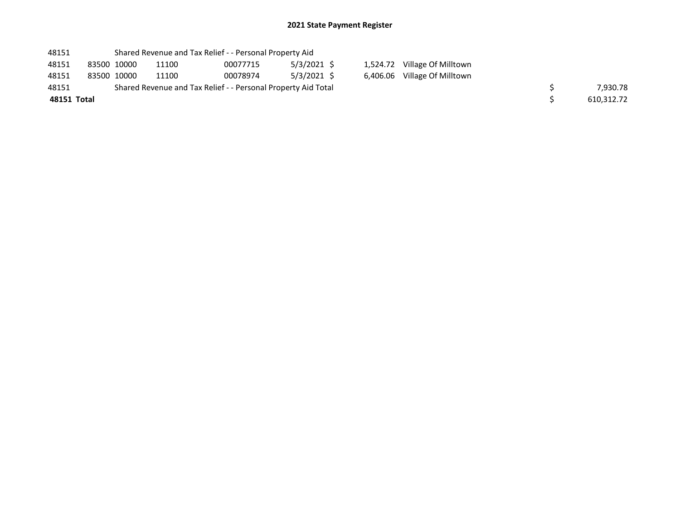## 2021 State Payment Register

| 48151       |             | Shared Revenue and Tax Relief - - Personal Property Aid       |          |               |  |                              |            |
|-------------|-------------|---------------------------------------------------------------|----------|---------------|--|------------------------------|------------|
| 48151       | 83500 10000 | 11100                                                         | 00077715 | $5/3/2021$ \$ |  | 1,524.72 Village Of Milltown |            |
| 48151       | 83500 10000 | 11100                                                         | 00078974 | $5/3/2021$ \$ |  | 6,406.06 Village Of Milltown |            |
| 48151       |             | Shared Revenue and Tax Relief - - Personal Property Aid Total |          |               |  |                              | 7.930.78   |
| 48151 Total |             |                                                               |          |               |  |                              | 610.312.72 |
|             |             |                                                               |          |               |  |                              |            |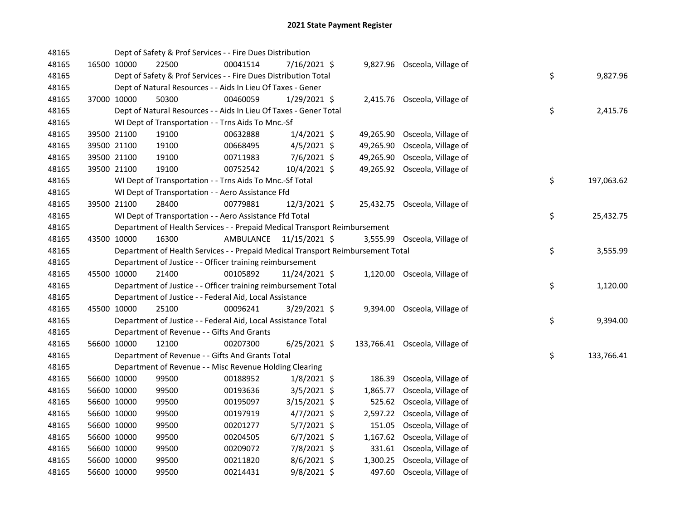| 48165 |             | Dept of Safety & Prof Services - - Fire Dues Distribution                       |           |                |           |                                |    |            |
|-------|-------------|---------------------------------------------------------------------------------|-----------|----------------|-----------|--------------------------------|----|------------|
| 48165 | 16500 10000 | 22500                                                                           | 00041514  | 7/16/2021 \$   |           | 9,827.96 Osceola, Village of   |    |            |
| 48165 |             | Dept of Safety & Prof Services - - Fire Dues Distribution Total                 |           |                |           |                                | \$ | 9,827.96   |
| 48165 |             | Dept of Natural Resources - - Aids In Lieu Of Taxes - Gener                     |           |                |           |                                |    |            |
| 48165 | 37000 10000 | 50300                                                                           | 00460059  | $1/29/2021$ \$ |           | 2,415.76 Osceola, Village of   |    |            |
| 48165 |             | Dept of Natural Resources - - Aids In Lieu Of Taxes - Gener Total               |           |                |           |                                | \$ | 2,415.76   |
| 48165 |             | WI Dept of Transportation - - Trns Aids To Mnc.-Sf                              |           |                |           |                                |    |            |
| 48165 | 39500 21100 | 19100                                                                           | 00632888  | $1/4/2021$ \$  | 49,265.90 | Osceola, Village of            |    |            |
| 48165 | 39500 21100 | 19100                                                                           | 00668495  | $4/5/2021$ \$  | 49,265.90 | Osceola, Village of            |    |            |
| 48165 | 39500 21100 | 19100                                                                           | 00711983  | $7/6/2021$ \$  | 49,265.90 | Osceola, Village of            |    |            |
| 48165 | 39500 21100 | 19100                                                                           | 00752542  | 10/4/2021 \$   |           | 49,265.92 Osceola, Village of  |    |            |
| 48165 |             | WI Dept of Transportation - - Trns Aids To Mnc.-Sf Total                        |           |                |           |                                | \$ | 197,063.62 |
| 48165 |             | WI Dept of Transportation - - Aero Assistance Ffd                               |           |                |           |                                |    |            |
| 48165 | 39500 21100 | 28400                                                                           | 00779881  | 12/3/2021 \$   |           | 25,432.75 Osceola, Village of  |    |            |
| 48165 |             | WI Dept of Transportation - - Aero Assistance Ffd Total                         |           |                |           |                                | \$ | 25,432.75  |
| 48165 |             | Department of Health Services - - Prepaid Medical Transport Reimbursement       |           |                |           |                                |    |            |
| 48165 | 43500 10000 | 16300                                                                           | AMBULANCE | 11/15/2021 \$  |           | 3,555.99 Osceola, Village of   |    |            |
| 48165 |             | Department of Health Services - - Prepaid Medical Transport Reimbursement Total |           |                |           |                                | \$ | 3,555.99   |
| 48165 |             | Department of Justice - - Officer training reimbursement                        |           |                |           |                                |    |            |
| 48165 | 45500 10000 | 21400                                                                           | 00105892  | 11/24/2021 \$  |           | 1,120.00 Osceola, Village of   |    |            |
| 48165 |             | Department of Justice - - Officer training reimbursement Total                  |           |                |           |                                | \$ | 1,120.00   |
| 48165 |             | Department of Justice - - Federal Aid, Local Assistance                         |           |                |           |                                |    |            |
| 48165 | 45500 10000 | 25100                                                                           | 00096241  | $3/29/2021$ \$ |           | 9,394.00 Osceola, Village of   |    |            |
| 48165 |             | Department of Justice - - Federal Aid, Local Assistance Total                   |           |                |           |                                | \$ | 9,394.00   |
| 48165 |             | Department of Revenue - - Gifts And Grants                                      |           |                |           |                                |    |            |
| 48165 | 56600 10000 | 12100                                                                           | 00207300  | $6/25/2021$ \$ |           | 133,766.41 Osceola, Village of |    |            |
| 48165 |             | Department of Revenue - - Gifts And Grants Total                                |           |                |           |                                | \$ | 133,766.41 |
| 48165 |             | Department of Revenue - - Misc Revenue Holding Clearing                         |           |                |           |                                |    |            |
| 48165 | 56600 10000 | 99500                                                                           | 00188952  | $1/8/2021$ \$  | 186.39    | Osceola, Village of            |    |            |
| 48165 | 56600 10000 | 99500                                                                           | 00193636  | $3/5/2021$ \$  | 1,865.77  | Osceola, Village of            |    |            |
| 48165 | 56600 10000 | 99500                                                                           | 00195097  | 3/15/2021 \$   | 525.62    | Osceola, Village of            |    |            |
| 48165 | 56600 10000 | 99500                                                                           | 00197919  | $4/7/2021$ \$  | 2,597.22  | Osceola, Village of            |    |            |
| 48165 | 56600 10000 | 99500                                                                           | 00201277  | $5/7/2021$ \$  | 151.05    | Osceola, Village of            |    |            |
| 48165 | 56600 10000 | 99500                                                                           | 00204505  | $6/7/2021$ \$  | 1,167.62  | Osceola, Village of            |    |            |
| 48165 | 56600 10000 | 99500                                                                           | 00209072  | 7/8/2021 \$    | 331.61    | Osceola, Village of            |    |            |
| 48165 | 56600 10000 | 99500                                                                           | 00211820  | $8/6/2021$ \$  | 1,300.25  | Osceola, Village of            |    |            |
| 48165 | 56600 10000 | 99500                                                                           | 00214431  | $9/8/2021$ \$  | 497.60    | Osceola, Village of            |    |            |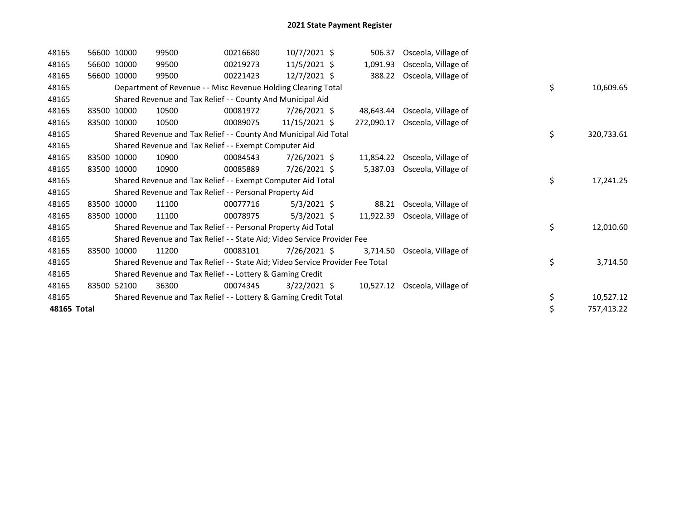| 48165       | 56600 10000 | 99500                                                                         | 00216680 | $10/7/2021$ \$  | 506.37     | Osceola, Village of           |    |            |
|-------------|-------------|-------------------------------------------------------------------------------|----------|-----------------|------------|-------------------------------|----|------------|
| 48165       | 56600 10000 | 99500                                                                         | 00219273 | $11/5/2021$ \$  | 1,091.93   | Osceola, Village of           |    |            |
| 48165       | 56600 10000 | 99500                                                                         | 00221423 | $12/7/2021$ \$  | 388.22     | Osceola, Village of           |    |            |
| 48165       |             | Department of Revenue - - Misc Revenue Holding Clearing Total                 |          |                 |            |                               | \$ | 10,609.65  |
| 48165       |             | Shared Revenue and Tax Relief - - County And Municipal Aid                    |          |                 |            |                               |    |            |
| 48165       | 83500 10000 | 10500                                                                         | 00081972 | 7/26/2021 \$    | 48.643.44  | Osceola, Village of           |    |            |
| 48165       | 83500 10000 | 10500                                                                         | 00089075 | $11/15/2021$ \$ | 272,090.17 | Osceola, Village of           |    |            |
| 48165       |             | Shared Revenue and Tax Relief - - County And Municipal Aid Total              |          |                 |            |                               | \$ | 320,733.61 |
| 48165       |             | Shared Revenue and Tax Relief - - Exempt Computer Aid                         |          |                 |            |                               |    |            |
| 48165       | 83500 10000 | 10900                                                                         | 00084543 | 7/26/2021 \$    | 11,854.22  | Osceola, Village of           |    |            |
| 48165       | 83500 10000 | 10900                                                                         | 00085889 | 7/26/2021 \$    | 5,387.03   | Osceola, Village of           |    |            |
| 48165       |             | Shared Revenue and Tax Relief - - Exempt Computer Aid Total                   |          |                 |            |                               | \$ | 17,241.25  |
| 48165       |             | Shared Revenue and Tax Relief - - Personal Property Aid                       |          |                 |            |                               |    |            |
| 48165       | 83500 10000 | 11100                                                                         | 00077716 | $5/3/2021$ \$   | 88.21      | Osceola, Village of           |    |            |
| 48165       | 83500 10000 | 11100                                                                         | 00078975 | $5/3/2021$ \$   | 11,922.39  | Osceola, Village of           |    |            |
| 48165       |             | Shared Revenue and Tax Relief - - Personal Property Aid Total                 |          |                 |            |                               | \$ | 12,010.60  |
| 48165       |             | Shared Revenue and Tax Relief - - State Aid; Video Service Provider Fee       |          |                 |            |                               |    |            |
| 48165       | 83500 10000 | 11200                                                                         | 00083101 | 7/26/2021 \$    | 3,714.50   | Osceola, Village of           |    |            |
| 48165       |             | Shared Revenue and Tax Relief - - State Aid; Video Service Provider Fee Total |          |                 |            |                               | \$ | 3,714.50   |
| 48165       |             | Shared Revenue and Tax Relief - - Lottery & Gaming Credit                     |          |                 |            |                               |    |            |
| 48165       | 83500 52100 | 36300                                                                         | 00074345 | $3/22/2021$ \$  |            | 10,527.12 Osceola, Village of |    |            |
| 48165       |             | Shared Revenue and Tax Relief - - Lottery & Gaming Credit Total               |          |                 |            |                               | \$ | 10,527.12  |
| 48165 Total |             |                                                                               |          |                 |            |                               | \$ | 757,413.22 |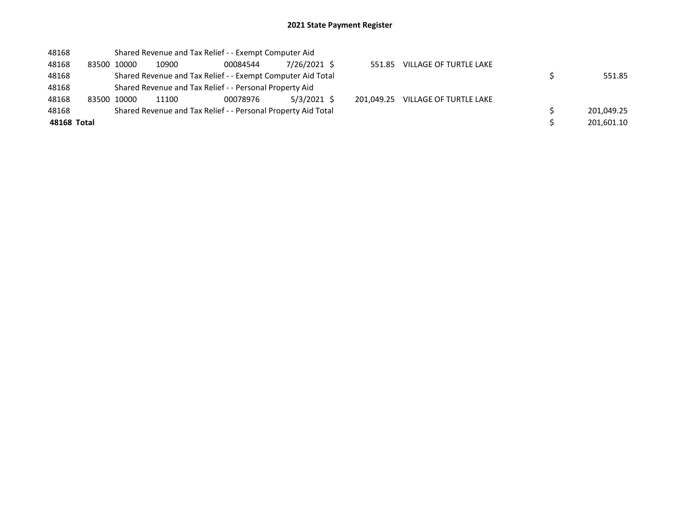## 2021 State Payment Register

| 48168       |             | Shared Revenue and Tax Relief - - Exempt Computer Aid       |                                                               |              |            |                        |            |
|-------------|-------------|-------------------------------------------------------------|---------------------------------------------------------------|--------------|------------|------------------------|------------|
| 48168       | 83500 10000 | 10900                                                       | 00084544                                                      | 7/26/2021 \$ | 551.85     | VILLAGE OF TURTLE LAKE |            |
| 48168       |             | Shared Revenue and Tax Relief - - Exempt Computer Aid Total | 551.85                                                        |              |            |                        |            |
| 48168       |             |                                                             | Shared Revenue and Tax Relief - - Personal Property Aid       |              |            |                        |            |
| 48168       | 83500 10000 | 11100                                                       | 00078976                                                      | 5/3/2021 \$  | 201.049.25 | VILLAGE OF TURTLE LAKE |            |
| 48168       |             |                                                             | Shared Revenue and Tax Relief - - Personal Property Aid Total |              |            |                        | 201,049.25 |
| 48168 Total |             |                                                             |                                                               |              |            |                        | 201,601.10 |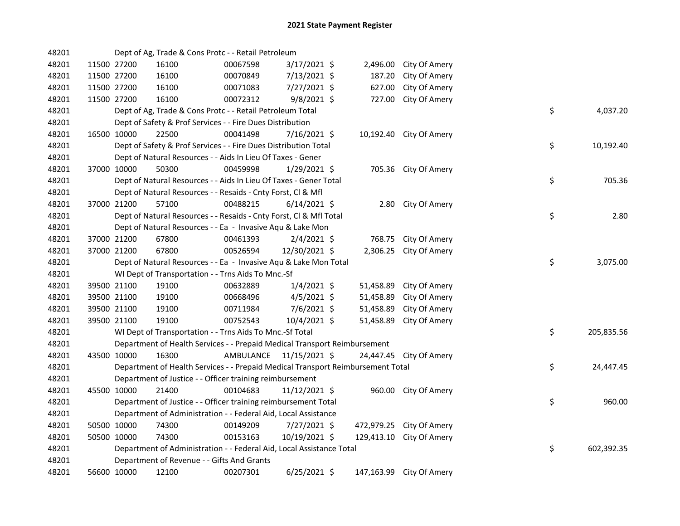| 48201 |             | Dept of Ag, Trade & Cons Protc - - Retail Petroleum                             |           |                |           |                          |    |            |
|-------|-------------|---------------------------------------------------------------------------------|-----------|----------------|-----------|--------------------------|----|------------|
| 48201 | 11500 27200 | 16100                                                                           | 00067598  | 3/17/2021 \$   | 2,496.00  | City Of Amery            |    |            |
| 48201 | 11500 27200 | 16100                                                                           | 00070849  | 7/13/2021 \$   | 187.20    | City Of Amery            |    |            |
| 48201 | 11500 27200 | 16100                                                                           | 00071083  | 7/27/2021 \$   | 627.00    | City Of Amery            |    |            |
| 48201 | 11500 27200 | 16100                                                                           | 00072312  | $9/8/2021$ \$  | 727.00    | City Of Amery            |    |            |
| 48201 |             | Dept of Ag, Trade & Cons Protc - - Retail Petroleum Total                       |           |                |           |                          | \$ | 4,037.20   |
| 48201 |             | Dept of Safety & Prof Services - - Fire Dues Distribution                       |           |                |           |                          |    |            |
| 48201 | 16500 10000 | 22500                                                                           | 00041498  | 7/16/2021 \$   |           | 10,192.40 City Of Amery  |    |            |
| 48201 |             | Dept of Safety & Prof Services - - Fire Dues Distribution Total                 |           |                |           |                          | \$ | 10,192.40  |
| 48201 |             | Dept of Natural Resources - - Aids In Lieu Of Taxes - Gener                     |           |                |           |                          |    |            |
| 48201 | 37000 10000 | 50300                                                                           | 00459998  | $1/29/2021$ \$ |           | 705.36 City Of Amery     |    |            |
| 48201 |             | Dept of Natural Resources - - Aids In Lieu Of Taxes - Gener Total               |           |                |           |                          | \$ | 705.36     |
| 48201 |             | Dept of Natural Resources - - Resaids - Cnty Forst, Cl & Mfl                    |           |                |           |                          |    |            |
| 48201 | 37000 21200 | 57100                                                                           | 00488215  | $6/14/2021$ \$ |           | 2.80 City Of Amery       |    |            |
| 48201 |             | Dept of Natural Resources - - Resaids - Cnty Forst, Cl & Mfl Total              |           |                |           |                          | \$ | 2.80       |
| 48201 |             | Dept of Natural Resources - - Ea - Invasive Aqu & Lake Mon                      |           |                |           |                          |    |            |
| 48201 | 37000 21200 | 67800                                                                           | 00461393  | $2/4/2021$ \$  | 768.75    | City Of Amery            |    |            |
| 48201 | 37000 21200 | 67800                                                                           | 00526594  | 12/30/2021 \$  | 2,306.25  | City Of Amery            |    |            |
| 48201 |             | Dept of Natural Resources - - Ea - Invasive Aqu & Lake Mon Total                |           |                |           |                          | \$ | 3,075.00   |
| 48201 |             | WI Dept of Transportation - - Trns Aids To Mnc.-Sf                              |           |                |           |                          |    |            |
| 48201 | 39500 21100 | 19100                                                                           | 00632889  | $1/4/2021$ \$  | 51,458.89 | City Of Amery            |    |            |
| 48201 | 39500 21100 | 19100                                                                           | 00668496  | $4/5/2021$ \$  | 51,458.89 | City Of Amery            |    |            |
| 48201 | 39500 21100 | 19100                                                                           | 00711984  | 7/6/2021 \$    | 51,458.89 | City Of Amery            |    |            |
| 48201 | 39500 21100 | 19100                                                                           | 00752543  | 10/4/2021 \$   | 51,458.89 | City Of Amery            |    |            |
| 48201 |             | WI Dept of Transportation - - Trns Aids To Mnc.-Sf Total                        |           |                |           |                          | \$ | 205,835.56 |
| 48201 |             | Department of Health Services - - Prepaid Medical Transport Reimbursement       |           |                |           |                          |    |            |
| 48201 | 43500 10000 | 16300                                                                           | AMBULANCE | 11/15/2021 \$  |           | 24,447.45 City Of Amery  |    |            |
| 48201 |             | Department of Health Services - - Prepaid Medical Transport Reimbursement Total |           |                |           |                          | \$ | 24,447.45  |
| 48201 |             | Department of Justice - - Officer training reimbursement                        |           |                |           |                          |    |            |
| 48201 | 45500 10000 | 21400                                                                           | 00104683  | 11/12/2021 \$  |           | 960.00 City Of Amery     |    |            |
| 48201 |             | Department of Justice - - Officer training reimbursement Total                  |           |                |           |                          | \$ | 960.00     |
| 48201 |             | Department of Administration - - Federal Aid, Local Assistance                  |           |                |           |                          |    |            |
| 48201 | 50500 10000 | 74300                                                                           | 00149209  | $7/27/2021$ \$ |           | 472,979.25 City Of Amery |    |            |
| 48201 | 50500 10000 | 74300                                                                           | 00153163  | 10/19/2021 \$  |           | 129,413.10 City Of Amery |    |            |
| 48201 |             | Department of Administration - - Federal Aid, Local Assistance Total            |           |                |           |                          | \$ | 602,392.35 |
| 48201 |             | Department of Revenue - - Gifts And Grants                                      |           |                |           |                          |    |            |
| 48201 | 56600 10000 | 12100                                                                           | 00207301  | $6/25/2021$ \$ |           | 147,163.99 City Of Amery |    |            |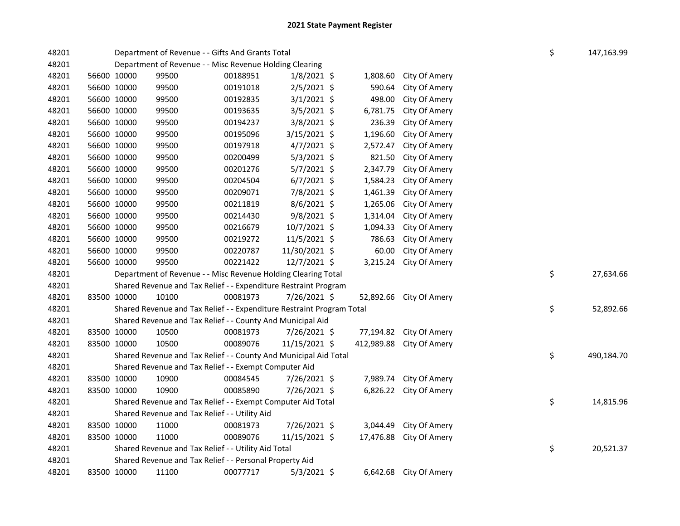| 48201 |             | Department of Revenue - - Gifts And Grants Total                      |          |               |            |                        | \$ | 147,163.99 |
|-------|-------------|-----------------------------------------------------------------------|----------|---------------|------------|------------------------|----|------------|
| 48201 |             | Department of Revenue - - Misc Revenue Holding Clearing               |          |               |            |                        |    |            |
| 48201 | 56600 10000 | 99500                                                                 | 00188951 | $1/8/2021$ \$ | 1,808.60   | City Of Amery          |    |            |
| 48201 | 56600 10000 | 99500                                                                 | 00191018 | $2/5/2021$ \$ | 590.64     | City Of Amery          |    |            |
| 48201 | 56600 10000 | 99500                                                                 | 00192835 | $3/1/2021$ \$ | 498.00     | City Of Amery          |    |            |
| 48201 | 56600 10000 | 99500                                                                 | 00193635 | $3/5/2021$ \$ | 6,781.75   | City Of Amery          |    |            |
| 48201 | 56600 10000 | 99500                                                                 | 00194237 | 3/8/2021 \$   | 236.39     | City Of Amery          |    |            |
| 48201 | 56600 10000 | 99500                                                                 | 00195096 | 3/15/2021 \$  | 1,196.60   | City Of Amery          |    |            |
| 48201 | 56600 10000 | 99500                                                                 | 00197918 | 4/7/2021 \$   | 2,572.47   | City Of Amery          |    |            |
| 48201 | 56600 10000 | 99500                                                                 | 00200499 | $5/3/2021$ \$ | 821.50     | City Of Amery          |    |            |
| 48201 | 56600 10000 | 99500                                                                 | 00201276 | $5/7/2021$ \$ | 2,347.79   | City Of Amery          |    |            |
| 48201 | 56600 10000 | 99500                                                                 | 00204504 | $6/7/2021$ \$ | 1,584.23   | City Of Amery          |    |            |
| 48201 | 56600 10000 | 99500                                                                 | 00209071 | 7/8/2021 \$   | 1,461.39   | City Of Amery          |    |            |
| 48201 | 56600 10000 | 99500                                                                 | 00211819 | $8/6/2021$ \$ | 1,265.06   | City Of Amery          |    |            |
| 48201 | 56600 10000 | 99500                                                                 | 00214430 | $9/8/2021$ \$ | 1,314.04   | City Of Amery          |    |            |
| 48201 | 56600 10000 | 99500                                                                 | 00216679 | 10/7/2021 \$  | 1,094.33   | City Of Amery          |    |            |
| 48201 | 56600 10000 | 99500                                                                 | 00219272 | 11/5/2021 \$  | 786.63     | City Of Amery          |    |            |
| 48201 | 56600 10000 | 99500                                                                 | 00220787 | 11/30/2021 \$ | 60.00      | City Of Amery          |    |            |
| 48201 | 56600 10000 | 99500                                                                 | 00221422 | 12/7/2021 \$  | 3,215.24   | City Of Amery          |    |            |
| 48201 |             | Department of Revenue - - Misc Revenue Holding Clearing Total         |          |               |            |                        | \$ | 27,634.66  |
| 48201 |             | Shared Revenue and Tax Relief - - Expenditure Restraint Program       |          |               |            |                        |    |            |
| 48201 | 83500 10000 | 10100                                                                 | 00081973 | 7/26/2021 \$  | 52,892.66  | City Of Amery          |    |            |
| 48201 |             | Shared Revenue and Tax Relief - - Expenditure Restraint Program Total |          |               |            |                        | \$ | 52,892.66  |
| 48201 |             | Shared Revenue and Tax Relief - - County And Municipal Aid            |          |               |            |                        |    |            |
| 48201 | 83500 10000 | 10500                                                                 | 00081973 | 7/26/2021 \$  | 77,194.82  | City Of Amery          |    |            |
| 48201 | 83500 10000 | 10500                                                                 | 00089076 | 11/15/2021 \$ | 412,989.88 | City Of Amery          |    |            |
| 48201 |             | Shared Revenue and Tax Relief - - County And Municipal Aid Total      |          |               |            |                        | \$ | 490,184.70 |
| 48201 |             | Shared Revenue and Tax Relief - - Exempt Computer Aid                 |          |               |            |                        |    |            |
| 48201 | 83500 10000 | 10900                                                                 | 00084545 | 7/26/2021 \$  | 7,989.74   | City Of Amery          |    |            |
| 48201 | 83500 10000 | 10900                                                                 | 00085890 | 7/26/2021 \$  | 6,826.22   | City Of Amery          |    |            |
| 48201 |             | Shared Revenue and Tax Relief - - Exempt Computer Aid Total           |          |               |            |                        | \$ | 14,815.96  |
| 48201 |             | Shared Revenue and Tax Relief - - Utility Aid                         |          |               |            |                        |    |            |
| 48201 | 83500 10000 | 11000                                                                 | 00081973 | 7/26/2021 \$  | 3,044.49   | City Of Amery          |    |            |
| 48201 | 83500 10000 | 11000                                                                 | 00089076 | 11/15/2021 \$ | 17,476.88  | City Of Amery          |    |            |
| 48201 |             | Shared Revenue and Tax Relief - - Utility Aid Total                   |          |               |            |                        | \$ | 20,521.37  |
| 48201 |             | Shared Revenue and Tax Relief - - Personal Property Aid               |          |               |            |                        |    |            |
| 48201 | 83500 10000 | 11100                                                                 | 00077717 | $5/3/2021$ \$ |            | 6,642.68 City Of Amery |    |            |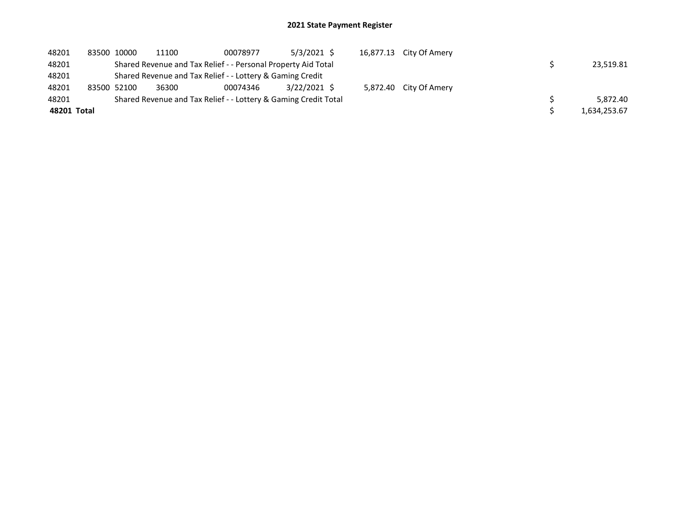## 2021 State Payment Register

| 48201       | 83500 10000                                                   | 11100 | 00078977                                                        | $5/3/2021$ \$ | 16,877.13 City Of Amery |  |              |
|-------------|---------------------------------------------------------------|-------|-----------------------------------------------------------------|---------------|-------------------------|--|--------------|
| 48201       | Shared Revenue and Tax Relief - - Personal Property Aid Total |       | 23.519.81                                                       |               |                         |  |              |
| 48201       | Shared Revenue and Tax Relief - - Lottery & Gaming Credit     |       |                                                                 |               |                         |  |              |
| 48201       | 83500 52100                                                   | 36300 | 00074346                                                        | 3/22/2021 \$  | 5,872.40 City Of Amery  |  |              |
| 48201       |                                                               |       | Shared Revenue and Tax Relief - - Lottery & Gaming Credit Total |               |                         |  | 5.872.40     |
| 48201 Total |                                                               |       |                                                                 |               |                         |  | 1,634,253.67 |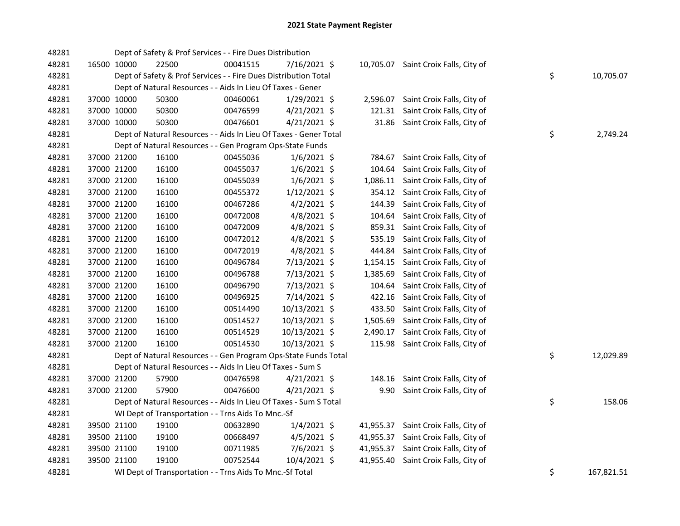| 48281 |             | Dept of Safety & Prof Services - - Fire Dues Distribution         |          |                |           |                                      |    |            |
|-------|-------------|-------------------------------------------------------------------|----------|----------------|-----------|--------------------------------------|----|------------|
| 48281 | 16500 10000 | 22500                                                             | 00041515 | 7/16/2021 \$   |           | 10,705.07 Saint Croix Falls, City of |    |            |
| 48281 |             | Dept of Safety & Prof Services - - Fire Dues Distribution Total   |          |                |           |                                      | \$ | 10,705.07  |
| 48281 |             | Dept of Natural Resources - - Aids In Lieu Of Taxes - Gener       |          |                |           |                                      |    |            |
| 48281 | 37000 10000 | 50300                                                             | 00460061 | 1/29/2021 \$   | 2,596.07  | Saint Croix Falls, City of           |    |            |
| 48281 | 37000 10000 | 50300                                                             | 00476599 | $4/21/2021$ \$ | 121.31    | Saint Croix Falls, City of           |    |            |
| 48281 | 37000 10000 | 50300                                                             | 00476601 | $4/21/2021$ \$ |           | 31.86 Saint Croix Falls, City of     |    |            |
| 48281 |             | Dept of Natural Resources - - Aids In Lieu Of Taxes - Gener Total |          |                |           |                                      | \$ | 2,749.24   |
| 48281 |             | Dept of Natural Resources - - Gen Program Ops-State Funds         |          |                |           |                                      |    |            |
| 48281 | 37000 21200 | 16100                                                             | 00455036 | $1/6/2021$ \$  | 784.67    | Saint Croix Falls, City of           |    |            |
| 48281 | 37000 21200 | 16100                                                             | 00455037 | $1/6/2021$ \$  | 104.64    | Saint Croix Falls, City of           |    |            |
| 48281 | 37000 21200 | 16100                                                             | 00455039 | $1/6/2021$ \$  |           | 1,086.11 Saint Croix Falls, City of  |    |            |
| 48281 | 37000 21200 | 16100                                                             | 00455372 | $1/12/2021$ \$ |           | 354.12 Saint Croix Falls, City of    |    |            |
| 48281 | 37000 21200 | 16100                                                             | 00467286 | $4/2/2021$ \$  | 144.39    | Saint Croix Falls, City of           |    |            |
| 48281 | 37000 21200 | 16100                                                             | 00472008 | $4/8/2021$ \$  | 104.64    | Saint Croix Falls, City of           |    |            |
| 48281 | 37000 21200 | 16100                                                             | 00472009 | $4/8/2021$ \$  | 859.31    | Saint Croix Falls, City of           |    |            |
| 48281 | 37000 21200 | 16100                                                             | 00472012 | $4/8/2021$ \$  | 535.19    | Saint Croix Falls, City of           |    |            |
| 48281 | 37000 21200 | 16100                                                             | 00472019 | $4/8/2021$ \$  | 444.84    | Saint Croix Falls, City of           |    |            |
| 48281 | 37000 21200 | 16100                                                             | 00496784 | 7/13/2021 \$   |           | 1,154.15 Saint Croix Falls, City of  |    |            |
| 48281 | 37000 21200 | 16100                                                             | 00496788 | 7/13/2021 \$   | 1,385.69  | Saint Croix Falls, City of           |    |            |
| 48281 | 37000 21200 | 16100                                                             | 00496790 | 7/13/2021 \$   | 104.64    | Saint Croix Falls, City of           |    |            |
| 48281 | 37000 21200 | 16100                                                             | 00496925 | 7/14/2021 \$   |           | 422.16 Saint Croix Falls, City of    |    |            |
| 48281 | 37000 21200 | 16100                                                             | 00514490 | 10/13/2021 \$  | 433.50    | Saint Croix Falls, City of           |    |            |
| 48281 | 37000 21200 | 16100                                                             | 00514527 | 10/13/2021 \$  | 1,505.69  | Saint Croix Falls, City of           |    |            |
| 48281 | 37000 21200 | 16100                                                             | 00514529 | 10/13/2021 \$  | 2,490.17  | Saint Croix Falls, City of           |    |            |
| 48281 | 37000 21200 | 16100                                                             | 00514530 | 10/13/2021 \$  |           | 115.98 Saint Croix Falls, City of    |    |            |
| 48281 |             | Dept of Natural Resources - - Gen Program Ops-State Funds Total   |          |                |           |                                      | \$ | 12,029.89  |
| 48281 |             | Dept of Natural Resources - - Aids In Lieu Of Taxes - Sum S       |          |                |           |                                      |    |            |
| 48281 | 37000 21200 | 57900                                                             | 00476598 | $4/21/2021$ \$ |           | 148.16 Saint Croix Falls, City of    |    |            |
| 48281 | 37000 21200 | 57900                                                             | 00476600 | $4/21/2021$ \$ | 9.90      | Saint Croix Falls, City of           |    |            |
| 48281 |             | Dept of Natural Resources - - Aids In Lieu Of Taxes - Sum S Total |          |                |           |                                      | \$ | 158.06     |
| 48281 |             | WI Dept of Transportation - - Trns Aids To Mnc.-Sf                |          |                |           |                                      |    |            |
| 48281 | 39500 21100 | 19100                                                             | 00632890 | $1/4/2021$ \$  |           | 41,955.37 Saint Croix Falls, City of |    |            |
| 48281 | 39500 21100 | 19100                                                             | 00668497 | 4/5/2021 \$    |           | 41,955.37 Saint Croix Falls, City of |    |            |
| 48281 | 39500 21100 | 19100                                                             | 00711985 | 7/6/2021 \$    |           | 41,955.37 Saint Croix Falls, City of |    |            |
| 48281 | 39500 21100 | 19100                                                             | 00752544 | 10/4/2021 \$   | 41,955.40 | Saint Croix Falls, City of           |    |            |
| 48281 |             | WI Dept of Transportation - - Trns Aids To Mnc.-Sf Total          |          |                |           |                                      | \$ | 167,821.51 |
|       |             |                                                                   |          |                |           |                                      |    |            |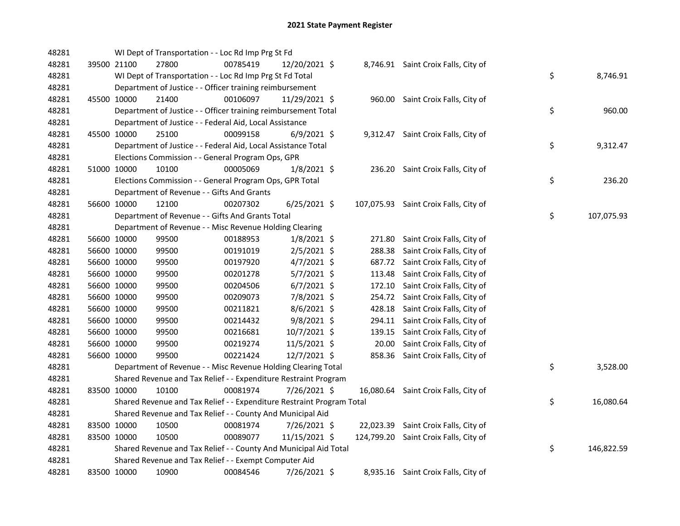| 48281 |             | WI Dept of Transportation - - Loc Rd Imp Prg St Fd                    |          |                |       |                                       |    |            |
|-------|-------------|-----------------------------------------------------------------------|----------|----------------|-------|---------------------------------------|----|------------|
| 48281 | 39500 21100 | 27800                                                                 | 00785419 | 12/20/2021 \$  |       | 8,746.91 Saint Croix Falls, City of   |    |            |
| 48281 |             | WI Dept of Transportation - - Loc Rd Imp Prg St Fd Total              |          |                |       |                                       | \$ | 8,746.91   |
| 48281 |             | Department of Justice - - Officer training reimbursement              |          |                |       |                                       |    |            |
| 48281 | 45500 10000 | 21400                                                                 | 00106097 | 11/29/2021 \$  |       | 960.00 Saint Croix Falls, City of     |    |            |
| 48281 |             | Department of Justice - - Officer training reimbursement Total        |          |                |       |                                       | \$ | 960.00     |
| 48281 |             | Department of Justice - - Federal Aid, Local Assistance               |          |                |       |                                       |    |            |
| 48281 | 45500 10000 | 25100                                                                 | 00099158 | $6/9/2021$ \$  |       | 9,312.47 Saint Croix Falls, City of   |    |            |
| 48281 |             | Department of Justice - - Federal Aid, Local Assistance Total         |          |                |       |                                       | \$ | 9,312.47   |
| 48281 |             | Elections Commission - - General Program Ops, GPR                     |          |                |       |                                       |    |            |
| 48281 | 51000 10000 | 10100                                                                 | 00005069 | $1/8/2021$ \$  |       | 236.20 Saint Croix Falls, City of     |    |            |
| 48281 |             | Elections Commission - - General Program Ops, GPR Total               |          |                |       |                                       | \$ | 236.20     |
| 48281 |             | Department of Revenue - - Gifts And Grants                            |          |                |       |                                       |    |            |
| 48281 | 56600 10000 | 12100                                                                 | 00207302 | $6/25/2021$ \$ |       | 107,075.93 Saint Croix Falls, City of |    |            |
| 48281 |             | Department of Revenue - - Gifts And Grants Total                      |          |                |       |                                       | \$ | 107,075.93 |
| 48281 |             | Department of Revenue - - Misc Revenue Holding Clearing               |          |                |       |                                       |    |            |
| 48281 | 56600 10000 | 99500                                                                 | 00188953 | $1/8/2021$ \$  |       | 271.80 Saint Croix Falls, City of     |    |            |
| 48281 | 56600 10000 | 99500                                                                 | 00191019 | $2/5/2021$ \$  |       | 288.38 Saint Croix Falls, City of     |    |            |
| 48281 | 56600 10000 | 99500                                                                 | 00197920 | $4/7/2021$ \$  |       | 687.72 Saint Croix Falls, City of     |    |            |
| 48281 | 56600 10000 | 99500                                                                 | 00201278 | 5/7/2021 \$    |       | 113.48 Saint Croix Falls, City of     |    |            |
| 48281 | 56600 10000 | 99500                                                                 | 00204506 | $6/7/2021$ \$  |       | 172.10 Saint Croix Falls, City of     |    |            |
| 48281 | 56600 10000 | 99500                                                                 | 00209073 | 7/8/2021 \$    |       | 254.72 Saint Croix Falls, City of     |    |            |
| 48281 | 56600 10000 | 99500                                                                 | 00211821 | $8/6/2021$ \$  |       | 428.18 Saint Croix Falls, City of     |    |            |
| 48281 | 56600 10000 | 99500                                                                 | 00214432 | 9/8/2021 \$    |       | 294.11 Saint Croix Falls, City of     |    |            |
| 48281 | 56600 10000 | 99500                                                                 | 00216681 | 10/7/2021 \$   |       | 139.15 Saint Croix Falls, City of     |    |            |
| 48281 | 56600 10000 | 99500                                                                 | 00219274 | 11/5/2021 \$   | 20.00 | Saint Croix Falls, City of            |    |            |
| 48281 | 56600 10000 | 99500                                                                 | 00221424 | 12/7/2021 \$   |       | 858.36 Saint Croix Falls, City of     |    |            |
| 48281 |             | Department of Revenue - - Misc Revenue Holding Clearing Total         |          |                |       |                                       | \$ | 3,528.00   |
| 48281 |             | Shared Revenue and Tax Relief - - Expenditure Restraint Program       |          |                |       |                                       |    |            |
| 48281 | 83500 10000 | 10100                                                                 | 00081974 | 7/26/2021 \$   |       | 16,080.64 Saint Croix Falls, City of  |    |            |
| 48281 |             | Shared Revenue and Tax Relief - - Expenditure Restraint Program Total |          |                |       |                                       | \$ | 16,080.64  |
| 48281 |             | Shared Revenue and Tax Relief - - County And Municipal Aid            |          |                |       |                                       |    |            |
| 48281 | 83500 10000 | 10500                                                                 | 00081974 | 7/26/2021 \$   |       | 22,023.39 Saint Croix Falls, City of  |    |            |
| 48281 | 83500 10000 | 10500                                                                 | 00089077 | 11/15/2021 \$  |       | 124,799.20 Saint Croix Falls, City of |    |            |
| 48281 |             | Shared Revenue and Tax Relief - - County And Municipal Aid Total      |          |                |       |                                       | \$ | 146,822.59 |
| 48281 |             | Shared Revenue and Tax Relief - - Exempt Computer Aid                 |          |                |       |                                       |    |            |
| 48281 | 83500 10000 | 10900                                                                 | 00084546 | 7/26/2021 \$   |       | 8,935.16 Saint Croix Falls, City of   |    |            |